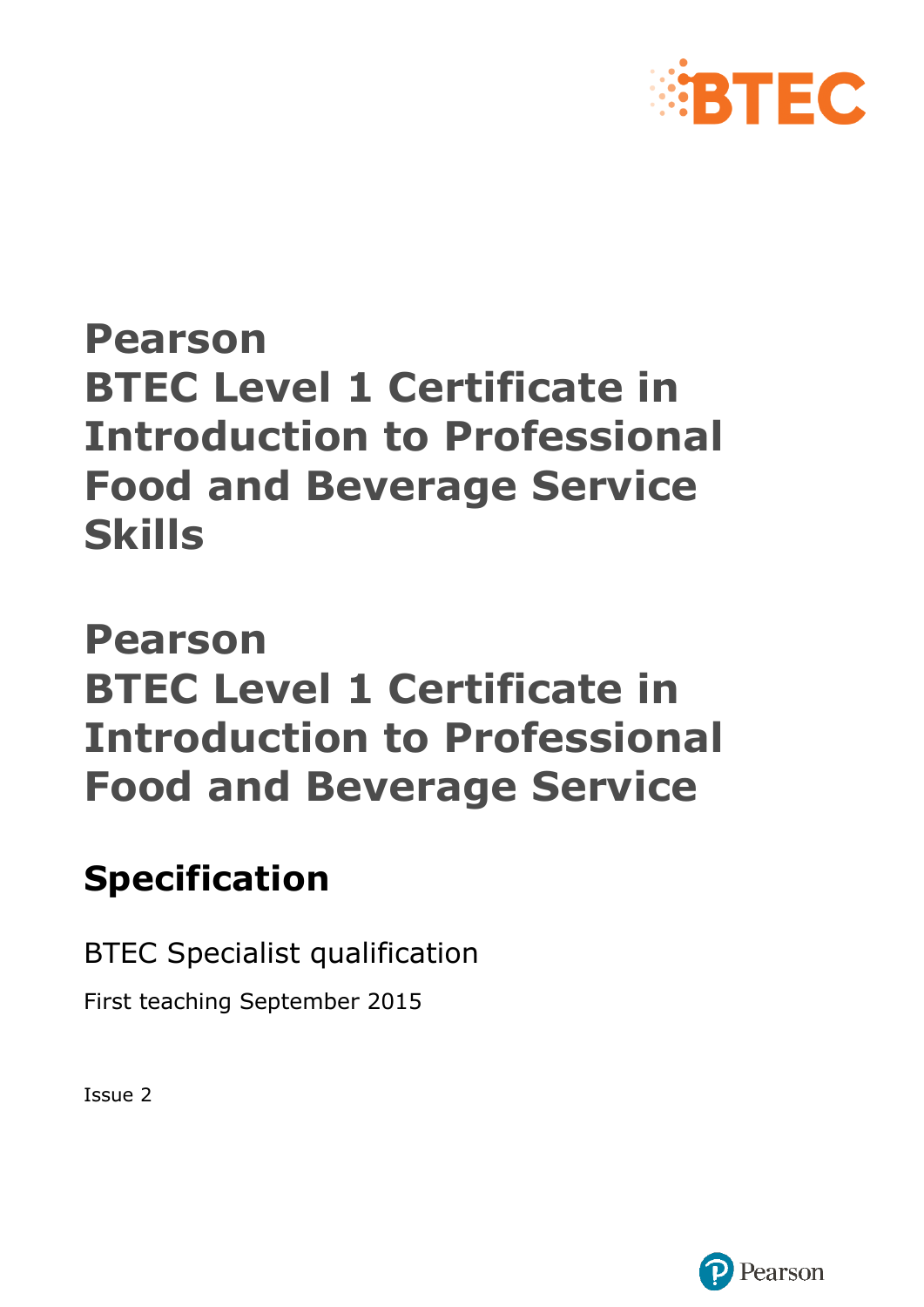

# **Pearson BTEC Level 1 Certificate in Introduction to Professional Food and Beverage Service Skills**

# **Pearson BTEC Level 1 Certificate in Introduction to Professional Food and Beverage Service**

# **Specification**

BTEC Specialist qualification

First teaching September 2015

Issue 2

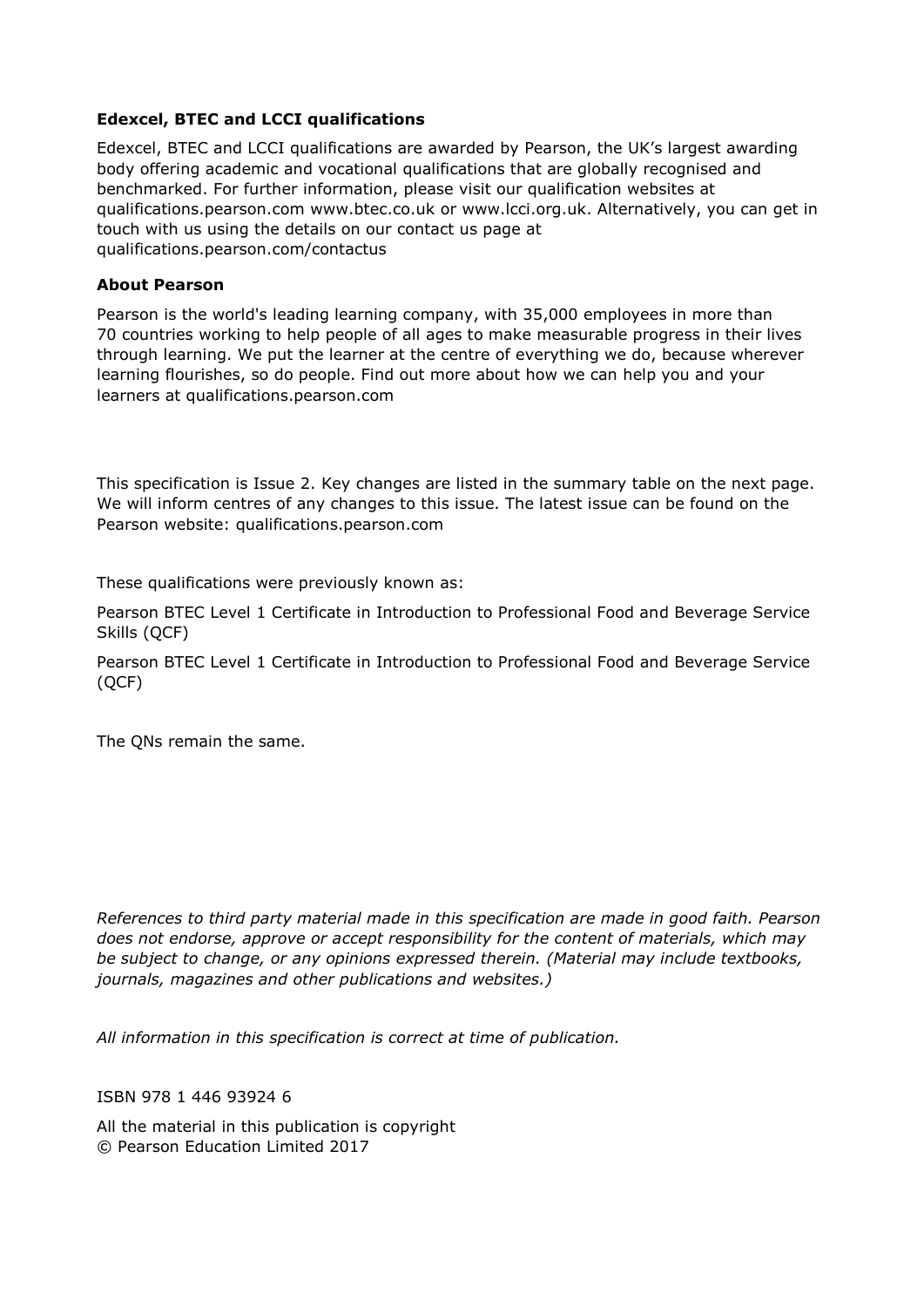#### **Edexcel, BTEC and LCCI qualifications**

Edexcel, BTEC and LCCI qualifications are awarded by Pearson, the UK's largest awarding body offering academic and vocational qualifications that are globally recognised and benchmarked. For further information, please visit our qualification websites at qualifications.pearson.com www.btec.co.uk or www.lcci.org.uk. Alternatively, you can get in touch with us using the details on our contact us page at qualifications.pearson.com/contactus

#### **About Pearson**

Pearson is the world's leading learning company, with 35,000 employees in more than 70 countries working to help people of all ages to make measurable progress in their lives through learning. We put the learner at the centre of everything we do, because wherever learning flourishes, so do people. Find out more about how we can help you and your learners at qualifications.pearson.com

This specification is Issue 2. Key changes are listed in the summary table on the next page. We will inform centres of any changes to this issue. The latest issue can be found on the Pearson website: qualifications.pearson.com

These qualifications were previously known as:

Pearson BTEC Level 1 Certificate in Introduction to Professional Food and Beverage Service Skills (QCF)

Pearson BTEC Level 1 Certificate in Introduction to Professional Food and Beverage Service (QCF)

The QNs remain the same.

*References to third party material made in this specification are made in good faith. Pearson does not endorse, approve or accept responsibility for the content of materials, which may be subject to change, or any opinions expressed therein. (Material may include textbooks, journals, magazines and other publications and websites.)*

*All information in this specification is correct at time of publication.*

ISBN 978 1 446 93924 6

All the material in this publication is copyright © Pearson Education Limited 2017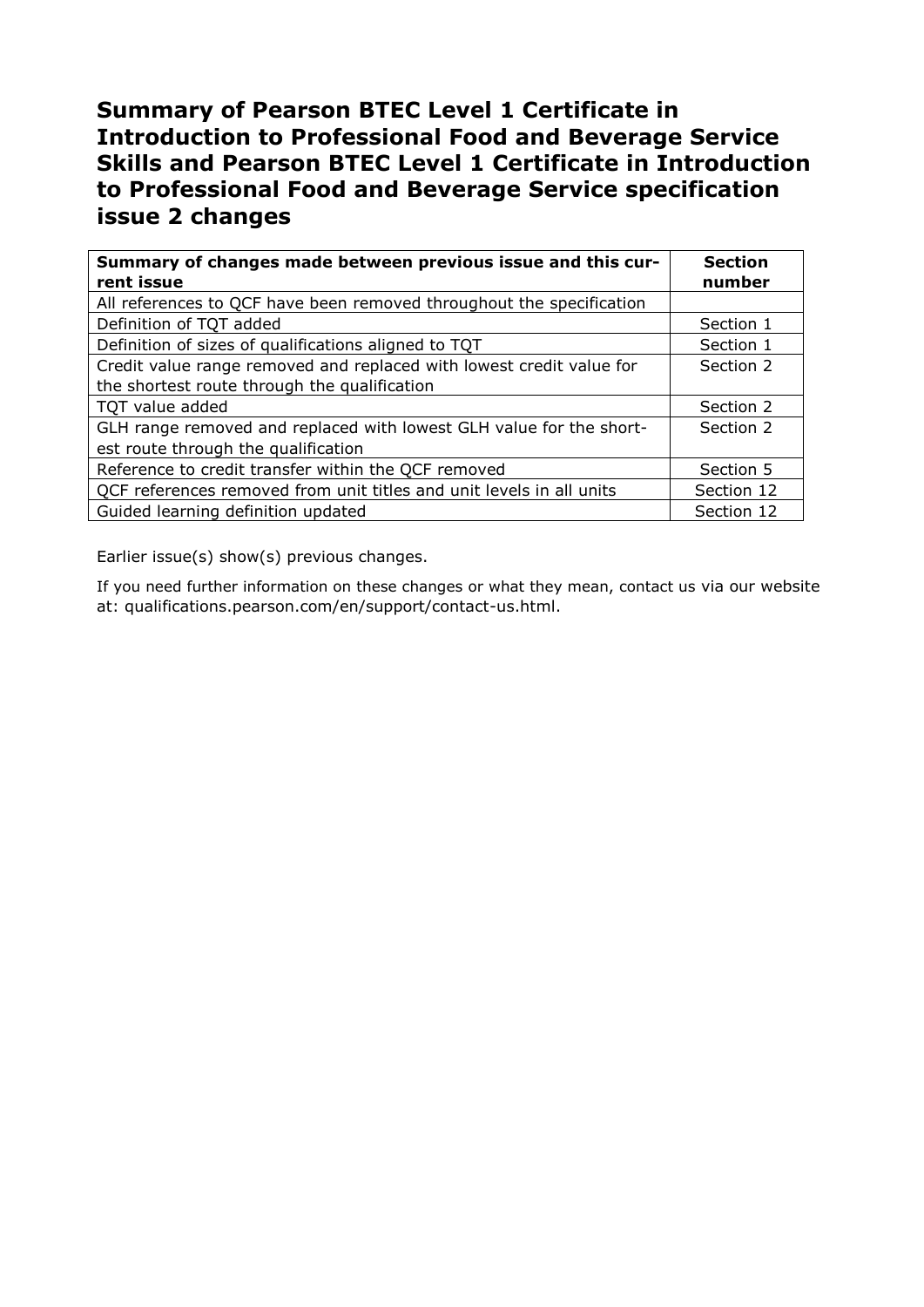### **Summary of Pearson BTEC Level 1 Certificate in Introduction to Professional Food and Beverage Service Skills and Pearson BTEC Level 1 Certificate in Introduction to Professional Food and Beverage Service specification issue 2 changes**

| Summary of changes made between previous issue and this cur-<br>rent issue | <b>Section</b><br>number |
|----------------------------------------------------------------------------|--------------------------|
| All references to QCF have been removed throughout the specification       |                          |
| Definition of TQT added                                                    | Section 1                |
| Definition of sizes of qualifications aligned to TQT                       | Section 1                |
| Credit value range removed and replaced with lowest credit value for       | Section 2                |
| the shortest route through the qualification                               |                          |
| TQT value added                                                            | Section 2                |
| GLH range removed and replaced with lowest GLH value for the short-        | Section 2                |
| est route through the qualification                                        |                          |
| Reference to credit transfer within the QCF removed                        | Section 5                |
| QCF references removed from unit titles and unit levels in all units       | Section 12               |
| Guided learning definition updated                                         | Section 12               |

Earlier issue(s) show(s) previous changes.

If you need further information on these changes or what they mean, contact us via our website at: qualifications.pearson.com/en/support/contact-us.html.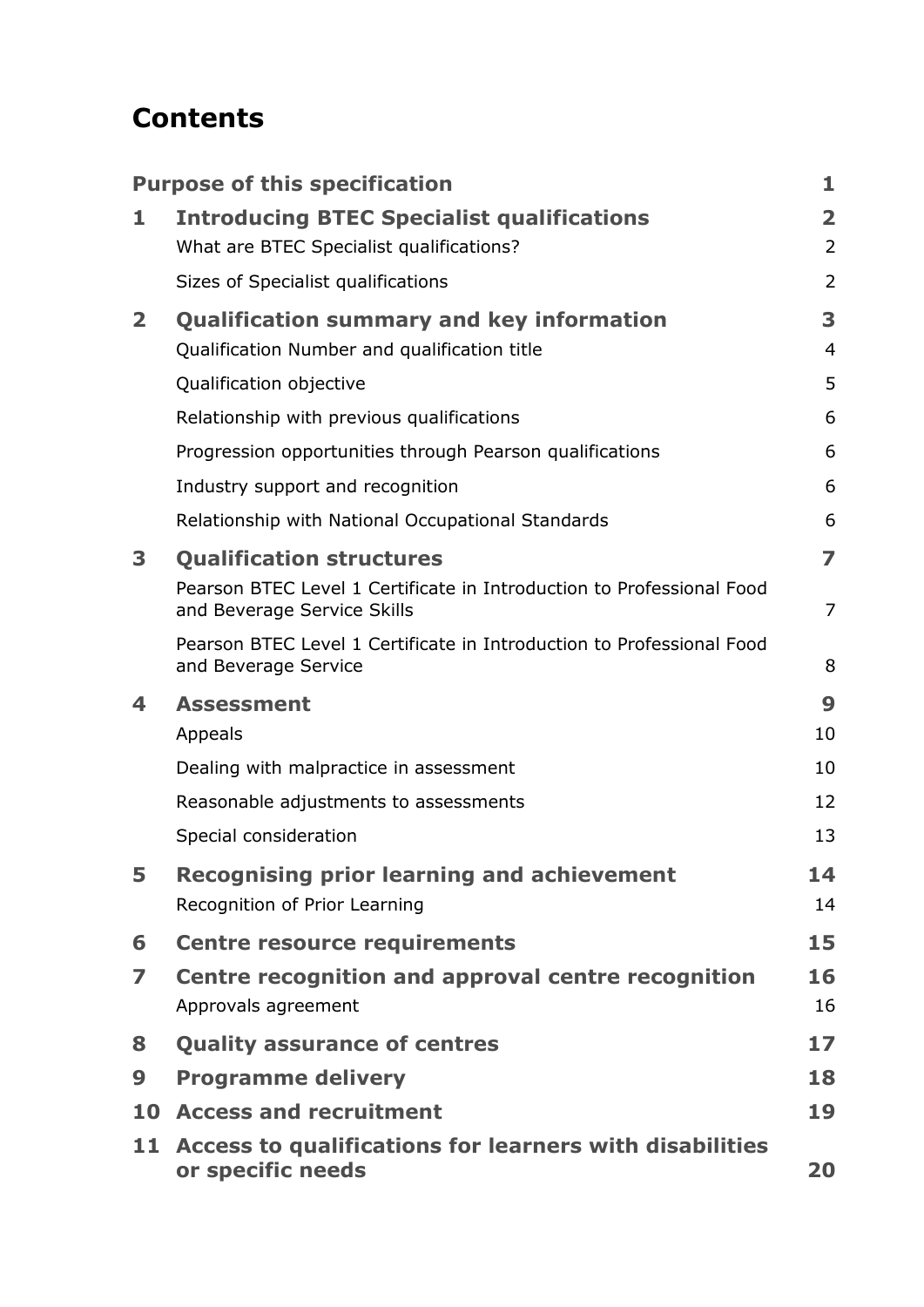### **Contents**

|                | <b>Purpose of this specification</b>                                                                 | 1                       |
|----------------|------------------------------------------------------------------------------------------------------|-------------------------|
| 1              | <b>Introducing BTEC Specialist qualifications</b>                                                    | $\overline{\mathbf{2}}$ |
|                | What are BTEC Specialist qualifications?                                                             | 2                       |
|                | Sizes of Specialist qualifications                                                                   | 2                       |
| $\mathbf{2}$   | <b>Qualification summary and key information</b>                                                     | 3                       |
|                | Qualification Number and qualification title                                                         | $\overline{4}$          |
|                | Qualification objective                                                                              | 5                       |
|                | Relationship with previous qualifications                                                            | 6                       |
|                | Progression opportunities through Pearson qualifications                                             | 6                       |
|                | Industry support and recognition                                                                     | 6                       |
|                | Relationship with National Occupational Standards                                                    | 6                       |
| 3              | <b>Qualification structures</b>                                                                      | 7                       |
|                | Pearson BTEC Level 1 Certificate in Introduction to Professional Food<br>and Beverage Service Skills | $\overline{7}$          |
|                | Pearson BTEC Level 1 Certificate in Introduction to Professional Food<br>and Beverage Service        | 8                       |
| 4              | <b>Assessment</b>                                                                                    | 9                       |
|                | Appeals                                                                                              | 10                      |
|                | Dealing with malpractice in assessment                                                               | 10                      |
|                | Reasonable adjustments to assessments                                                                | 12                      |
|                | Special consideration                                                                                | 13                      |
| 5              | <b>Recognising prior learning and achievement</b>                                                    | 14                      |
|                | Recognition of Prior Learning                                                                        | 14                      |
| 6              | <b>Centre resource requirements</b>                                                                  | 15                      |
| $\overline{ }$ | Centre recognition and approval centre recognition<br>Approvals agreement                            | 16<br>16                |
| 8              | <b>Quality assurance of centres</b>                                                                  | 17                      |
| 9              | <b>Programme delivery</b>                                                                            | 18                      |
| 10             | <b>Access and recruitment</b>                                                                        | 19                      |
| 11             | Access to qualifications for learners with disabilities<br>or specific needs                         | 20                      |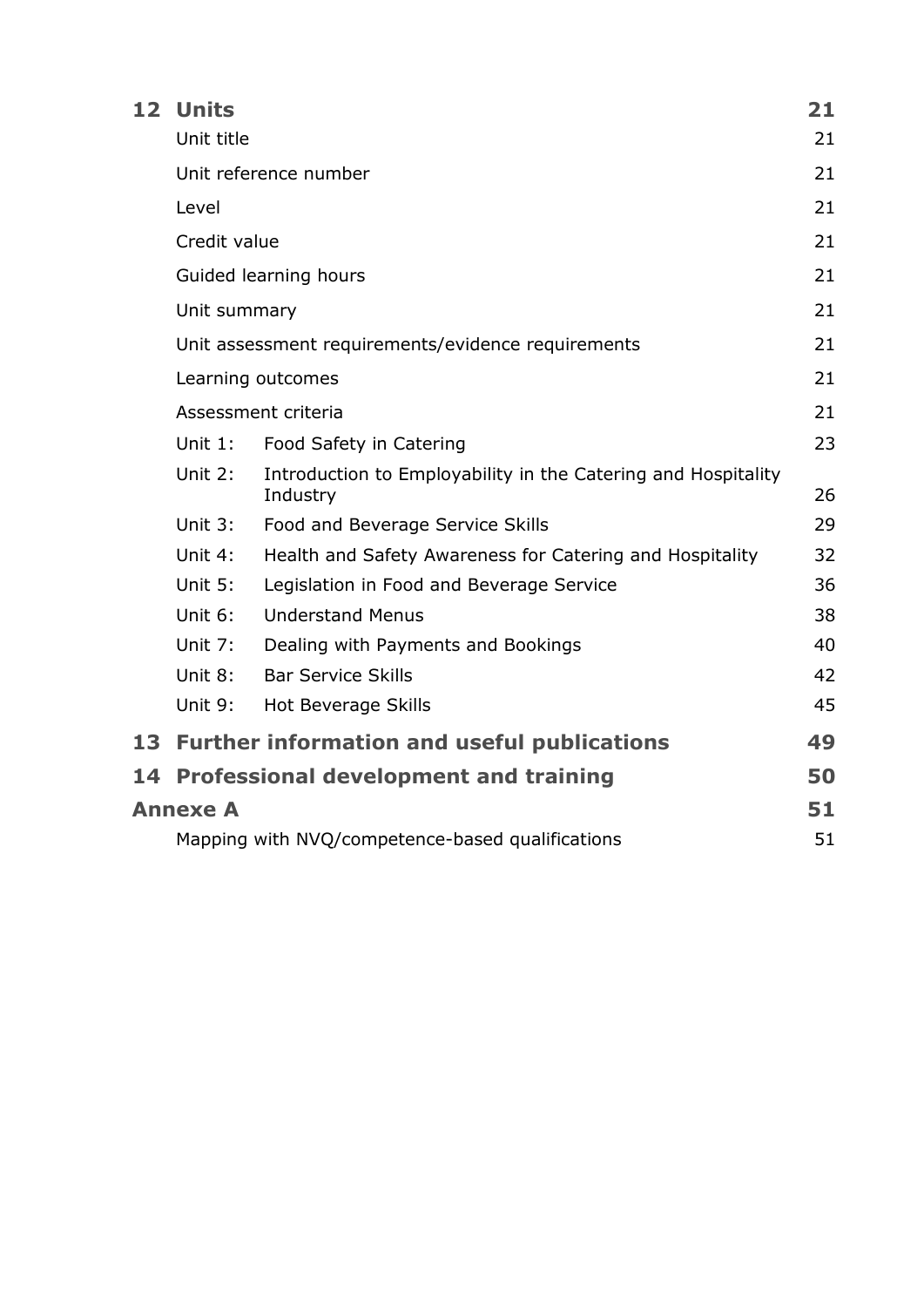|    | 12 Units                                               |                                                                           | 21 |  |  |  |  |  |  |
|----|--------------------------------------------------------|---------------------------------------------------------------------------|----|--|--|--|--|--|--|
|    | Unit title                                             |                                                                           | 21 |  |  |  |  |  |  |
|    | Unit reference number                                  |                                                                           |    |  |  |  |  |  |  |
|    | Level                                                  |                                                                           | 21 |  |  |  |  |  |  |
|    | Credit value                                           |                                                                           |    |  |  |  |  |  |  |
|    | Guided learning hours                                  |                                                                           |    |  |  |  |  |  |  |
|    | Unit summary                                           |                                                                           | 21 |  |  |  |  |  |  |
|    |                                                        | Unit assessment requirements/evidence requirements                        |    |  |  |  |  |  |  |
|    | Learning outcomes                                      |                                                                           |    |  |  |  |  |  |  |
|    |                                                        | Assessment criteria                                                       |    |  |  |  |  |  |  |
|    | Unit $1$ :                                             | Food Safety in Catering                                                   | 23 |  |  |  |  |  |  |
|    | Unit 2:                                                | Introduction to Employability in the Catering and Hospitality<br>Industry | 26 |  |  |  |  |  |  |
|    | Unit $3:$                                              | Food and Beverage Service Skills                                          | 29 |  |  |  |  |  |  |
|    | Unit 4:                                                | Health and Safety Awareness for Catering and Hospitality                  | 32 |  |  |  |  |  |  |
|    | Unit 5:                                                | Legislation in Food and Beverage Service                                  | 36 |  |  |  |  |  |  |
|    | Unit 6:                                                | <b>Understand Menus</b>                                                   | 38 |  |  |  |  |  |  |
|    | Unit 7:                                                | Dealing with Payments and Bookings                                        | 40 |  |  |  |  |  |  |
|    | Unit 8:                                                | <b>Bar Service Skills</b>                                                 | 42 |  |  |  |  |  |  |
|    | Unit 9:                                                | Hot Beverage Skills                                                       | 45 |  |  |  |  |  |  |
|    |                                                        | 13 Further information and useful publications                            | 49 |  |  |  |  |  |  |
| 14 |                                                        | <b>Professional development and training</b>                              | 50 |  |  |  |  |  |  |
|    | <b>Annexe A</b>                                        |                                                                           | 51 |  |  |  |  |  |  |
|    | 51<br>Mapping with NVQ/competence-based qualifications |                                                                           |    |  |  |  |  |  |  |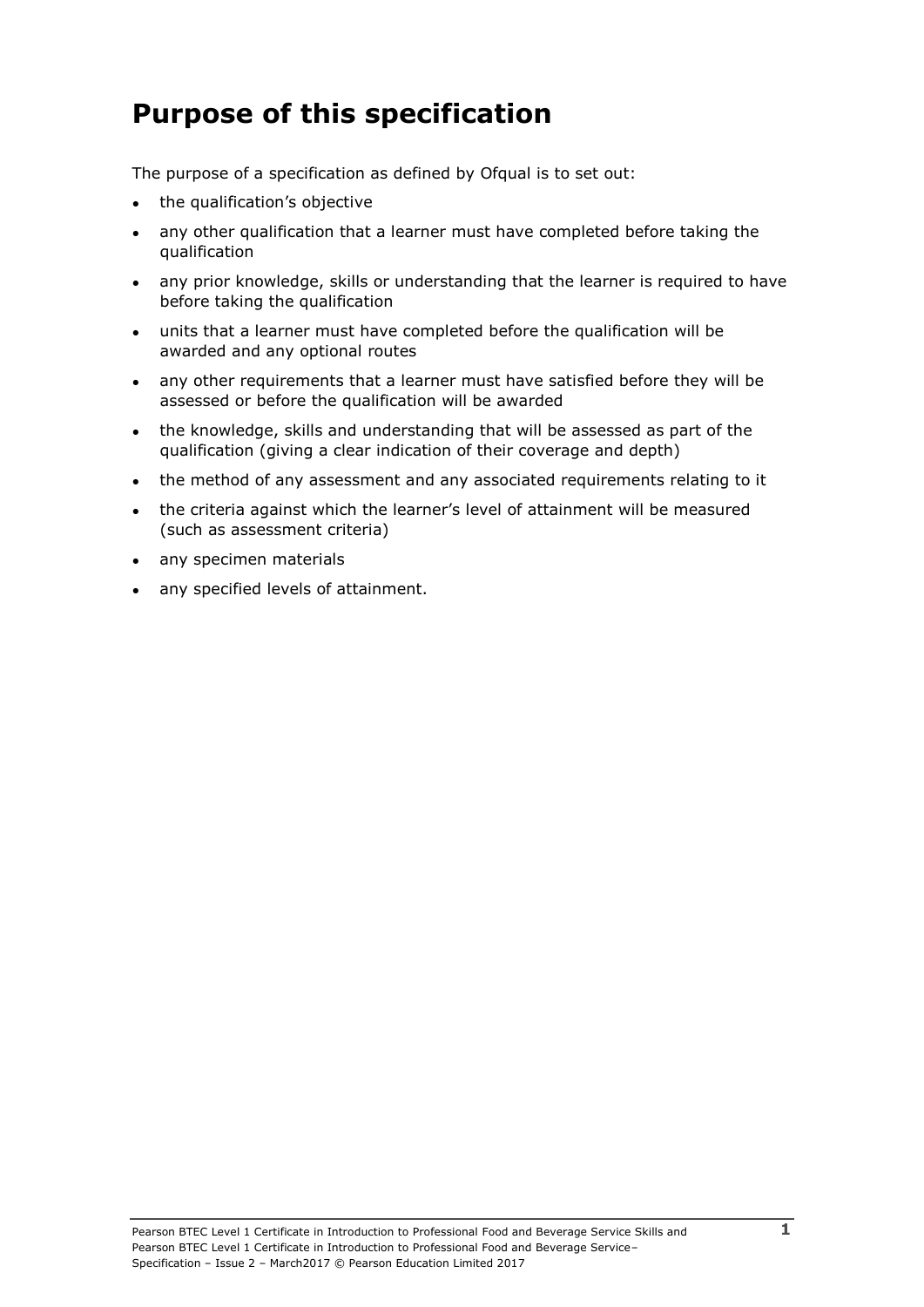### **Purpose of this specification**

The purpose of a specification as defined by Ofqual is to set out:

- the qualification's objective
- any other qualification that a learner must have completed before taking the qualification
- any prior knowledge, skills or understanding that the learner is required to have before taking the qualification
- units that a learner must have completed before the qualification will be awarded and any optional routes
- any other requirements that a learner must have satisfied before they will be assessed or before the qualification will be awarded
- the knowledge, skills and understanding that will be assessed as part of the qualification (giving a clear indication of their coverage and depth)
- the method of any assessment and any associated requirements relating to it
- the criteria against which the learner's level of attainment will be measured (such as assessment criteria)
- any specimen materials
- any specified levels of attainment.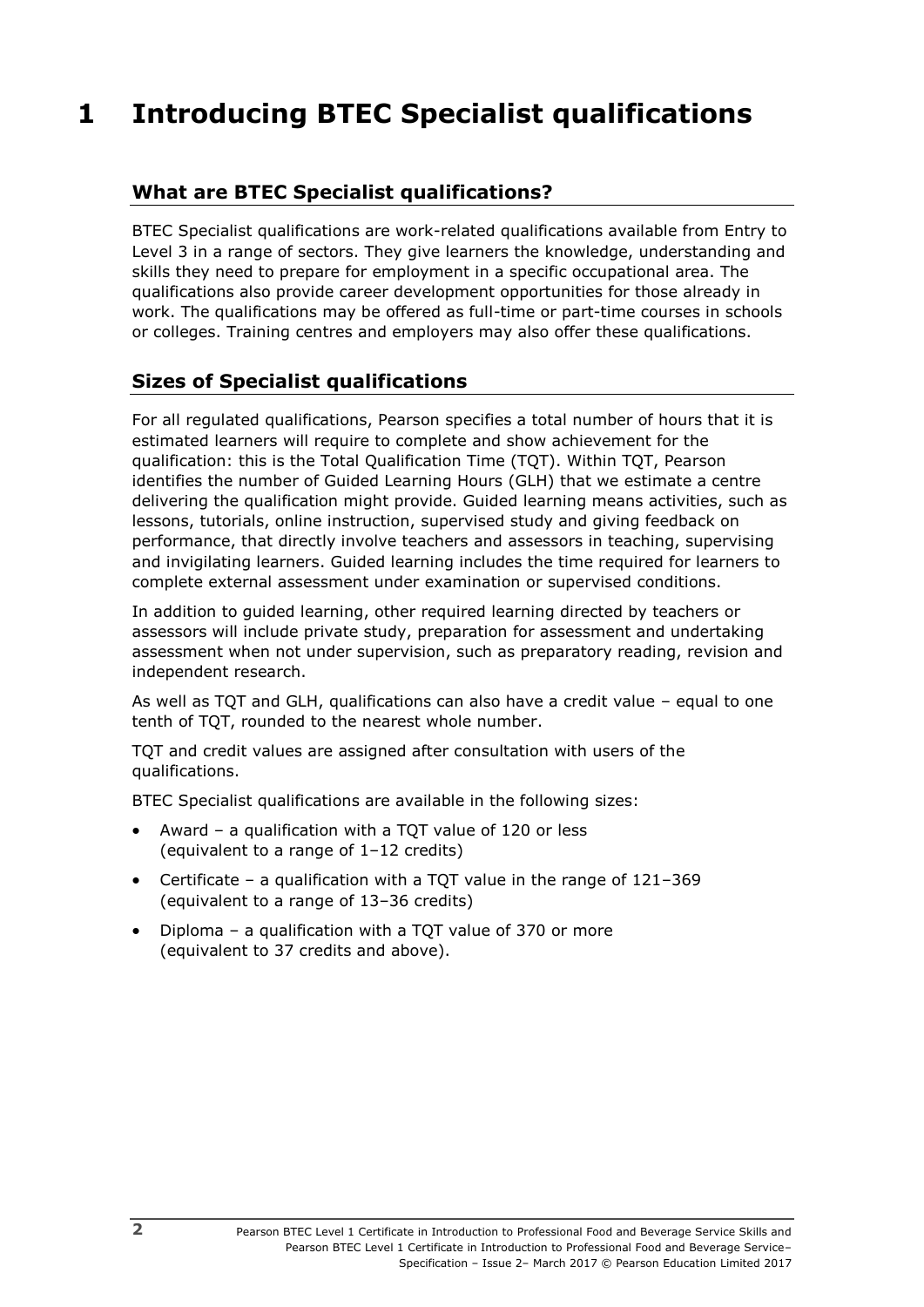### **1 Introducing BTEC Specialist qualifications**

#### **What are BTEC Specialist qualifications?**

BTEC Specialist qualifications are work-related qualifications available from Entry to Level 3 in a range of sectors. They give learners the knowledge, understanding and skills they need to prepare for employment in a specific occupational area. The qualifications also provide career development opportunities for those already in work. The qualifications may be offered as full-time or part-time courses in schools or colleges. Training centres and employers may also offer these qualifications.

#### **Sizes of Specialist qualifications**

For all regulated qualifications, Pearson specifies a total number of hours that it is estimated learners will require to complete and show achievement for the qualification: this is the Total Qualification Time (TQT). Within TQT, Pearson identifies the number of Guided Learning Hours (GLH) that we estimate a centre delivering the qualification might provide. Guided learning means activities, such as lessons, tutorials, online instruction, supervised study and giving feedback on performance, that directly involve teachers and assessors in teaching, supervising and invigilating learners. Guided learning includes the time required for learners to complete external assessment under examination or supervised conditions.

In addition to guided learning, other required learning directed by teachers or assessors will include private study, preparation for assessment and undertaking assessment when not under supervision, such as preparatory reading, revision and independent research.

As well as TQT and GLH, qualifications can also have a credit value – equal to one tenth of TQT, rounded to the nearest whole number.

TQT and credit values are assigned after consultation with users of the qualifications.

BTEC Specialist qualifications are available in the following sizes:

- Award a qualification with a TQT value of 120 or less (equivalent to a range of 1–12 credits)
- Certificate a qualification with a TQT value in the range of 121–369 (equivalent to a range of 13–36 credits)
- Diploma a qualification with a TQT value of 370 or more (equivalent to 37 credits and above).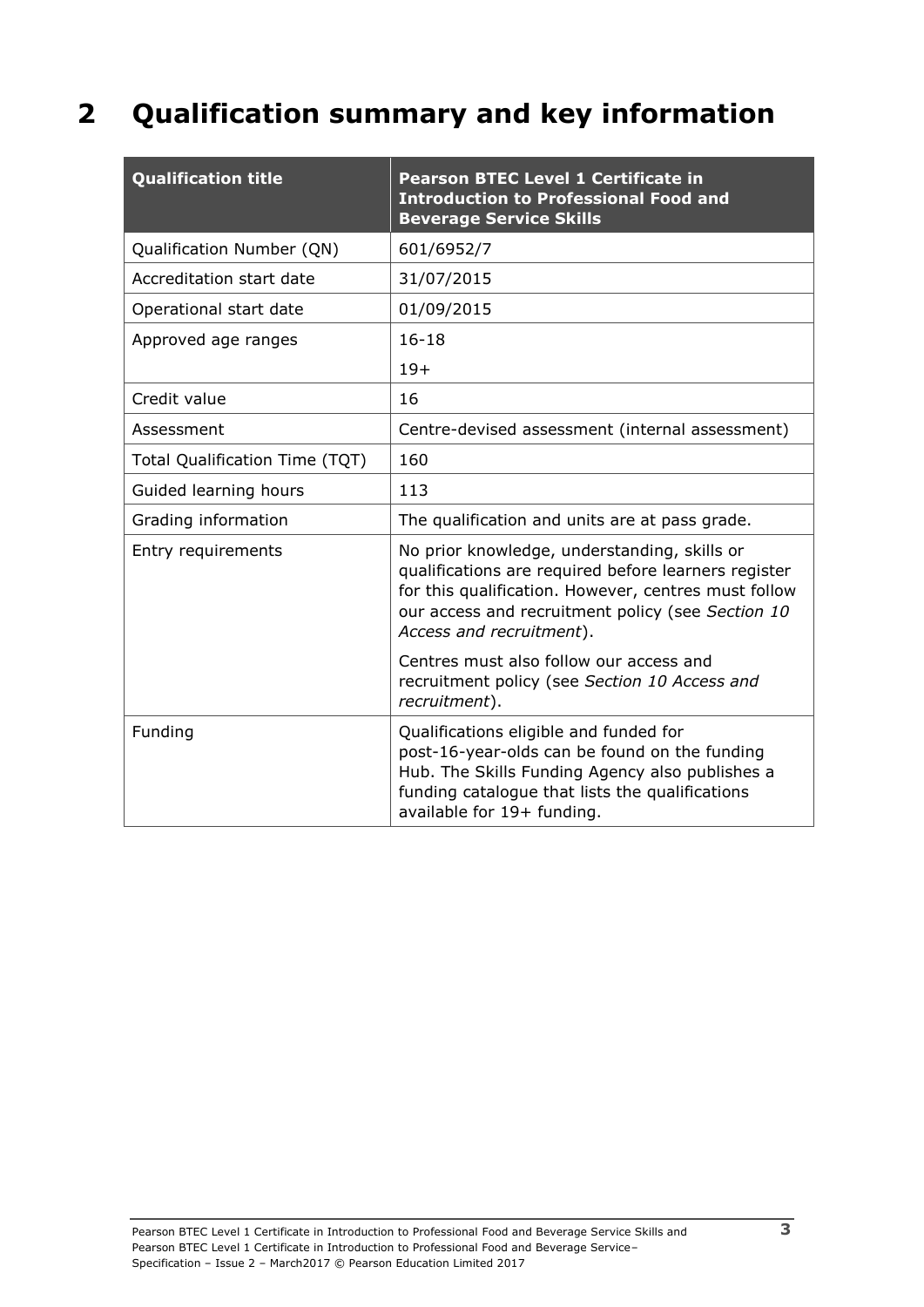### **2 Qualification summary and key information**

| <b>Qualification title</b>     | <b>Pearson BTEC Level 1 Certificate in</b><br><b>Introduction to Professional Food and</b><br><b>Beverage Service Skills</b>                                                                                                                  |  |  |
|--------------------------------|-----------------------------------------------------------------------------------------------------------------------------------------------------------------------------------------------------------------------------------------------|--|--|
| Qualification Number (QN)      | 601/6952/7                                                                                                                                                                                                                                    |  |  |
| Accreditation start date       | 31/07/2015                                                                                                                                                                                                                                    |  |  |
| Operational start date         | 01/09/2015                                                                                                                                                                                                                                    |  |  |
| Approved age ranges            | $16 - 18$                                                                                                                                                                                                                                     |  |  |
|                                | $19+$                                                                                                                                                                                                                                         |  |  |
| Credit value                   | 16                                                                                                                                                                                                                                            |  |  |
| Assessment                     | Centre-devised assessment (internal assessment)                                                                                                                                                                                               |  |  |
| Total Qualification Time (TQT) | 160                                                                                                                                                                                                                                           |  |  |
| Guided learning hours          | 113                                                                                                                                                                                                                                           |  |  |
| Grading information            | The qualification and units are at pass grade.                                                                                                                                                                                                |  |  |
| Entry requirements             | No prior knowledge, understanding, skills or<br>qualifications are required before learners register<br>for this qualification. However, centres must follow<br>our access and recruitment policy (see Section 10<br>Access and recruitment). |  |  |
|                                | Centres must also follow our access and<br>recruitment policy (see Section 10 Access and<br>recruitment).                                                                                                                                     |  |  |
| Funding                        | Qualifications eligible and funded for<br>post-16-year-olds can be found on the funding<br>Hub. The Skills Funding Agency also publishes a<br>funding catalogue that lists the qualifications<br>available for 19+ funding.                   |  |  |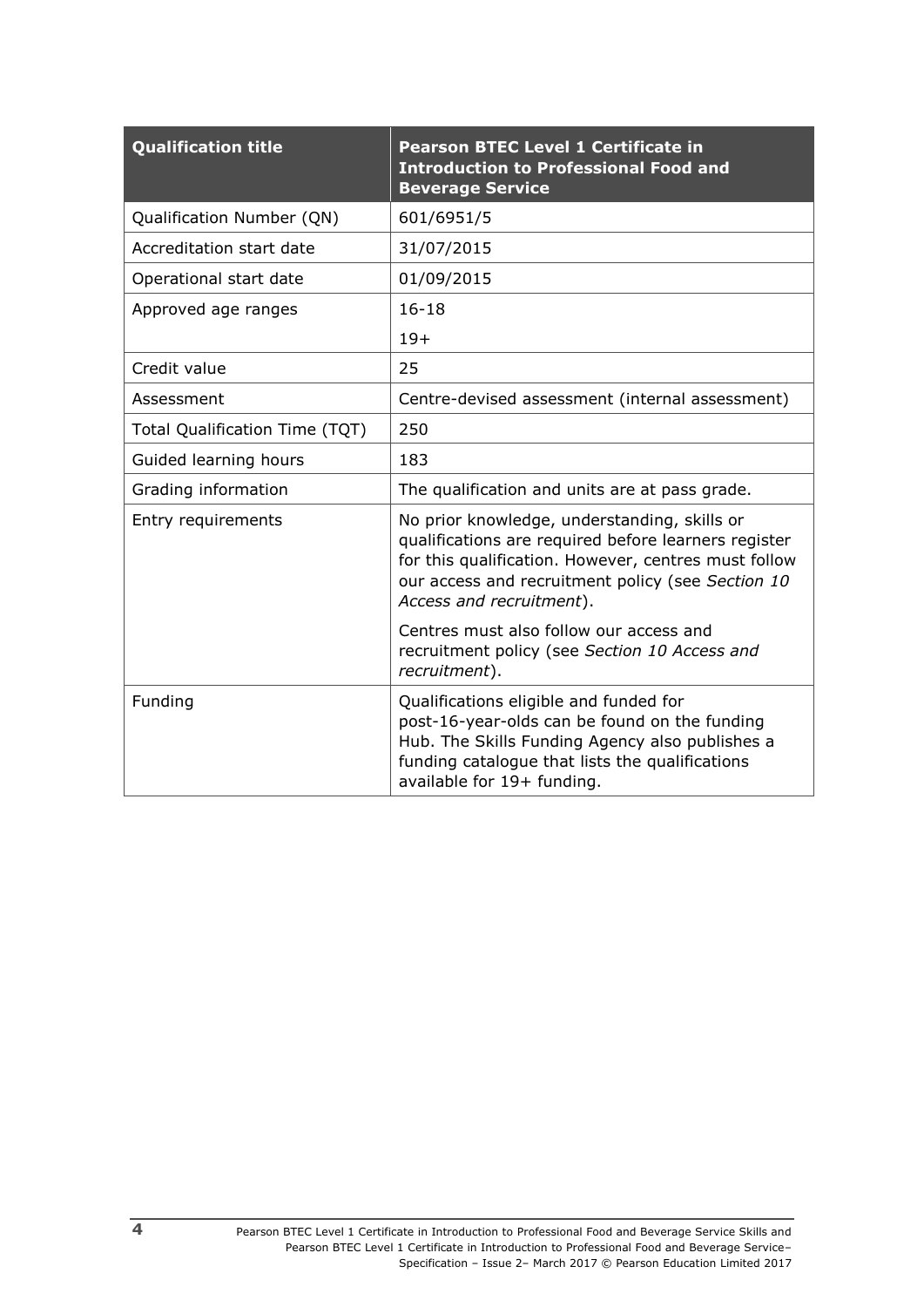| <b>Qualification title</b>     | <b>Pearson BTEC Level 1 Certificate in</b><br><b>Introduction to Professional Food and</b><br><b>Beverage Service</b>                                                                                                                         |  |  |
|--------------------------------|-----------------------------------------------------------------------------------------------------------------------------------------------------------------------------------------------------------------------------------------------|--|--|
| Qualification Number (QN)      | 601/6951/5                                                                                                                                                                                                                                    |  |  |
| Accreditation start date       | 31/07/2015                                                                                                                                                                                                                                    |  |  |
| Operational start date         | 01/09/2015                                                                                                                                                                                                                                    |  |  |
| Approved age ranges            | $16 - 18$                                                                                                                                                                                                                                     |  |  |
|                                | $19+$                                                                                                                                                                                                                                         |  |  |
| Credit value                   | 25                                                                                                                                                                                                                                            |  |  |
| Assessment                     | Centre-devised assessment (internal assessment)                                                                                                                                                                                               |  |  |
| Total Qualification Time (TQT) | 250                                                                                                                                                                                                                                           |  |  |
| Guided learning hours          | 183                                                                                                                                                                                                                                           |  |  |
| Grading information            | The qualification and units are at pass grade.                                                                                                                                                                                                |  |  |
| Entry requirements             | No prior knowledge, understanding, skills or<br>qualifications are required before learners register<br>for this qualification. However, centres must follow<br>our access and recruitment policy (see Section 10<br>Access and recruitment). |  |  |
|                                | Centres must also follow our access and<br>recruitment policy (see Section 10 Access and<br>recruitment).                                                                                                                                     |  |  |
| Funding                        | Qualifications eligible and funded for<br>post-16-year-olds can be found on the funding<br>Hub. The Skills Funding Agency also publishes a<br>funding catalogue that lists the qualifications<br>available for 19+ funding.                   |  |  |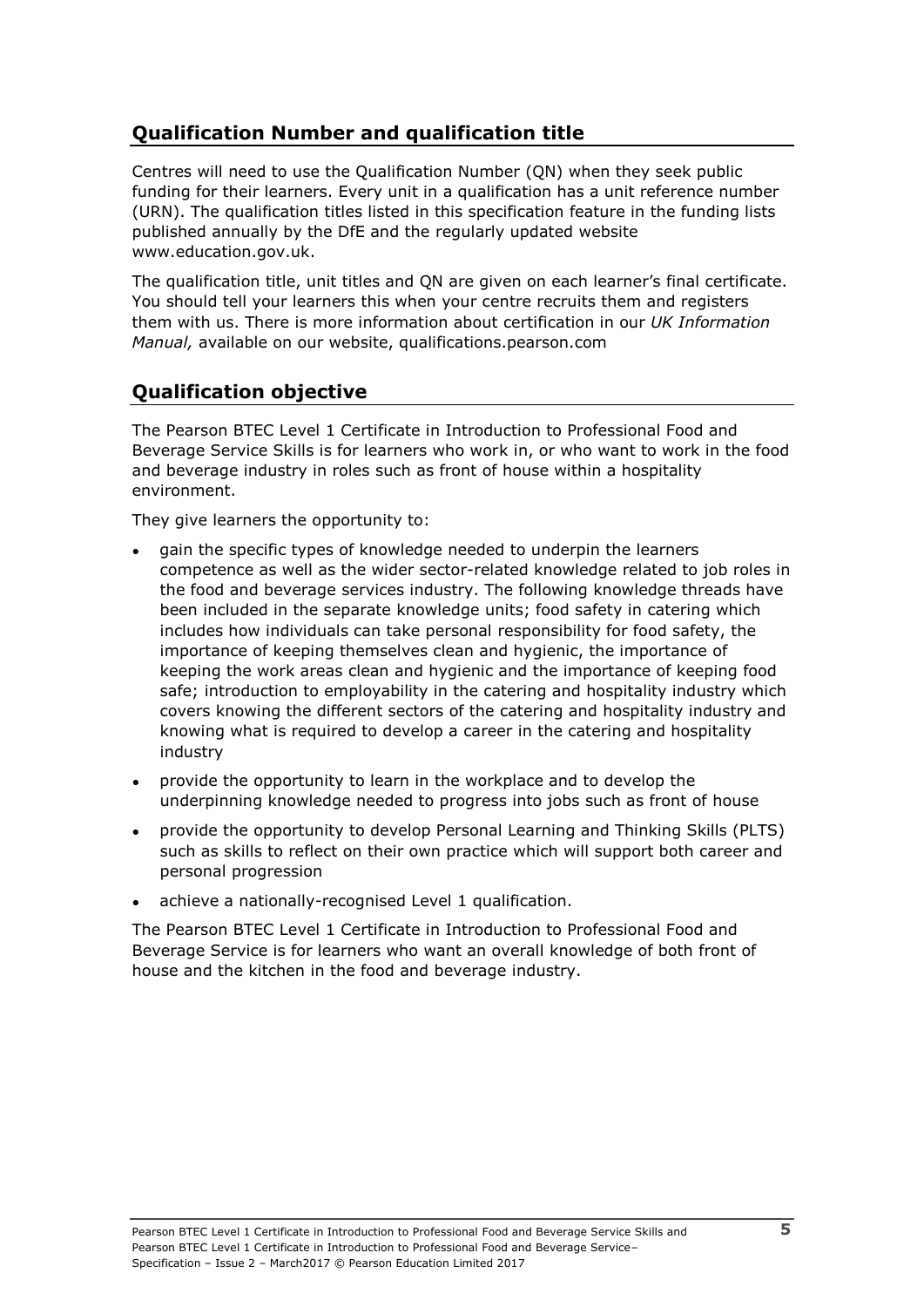#### **Qualification Number and qualification title**

Centres will need to use the Qualification Number (QN) when they seek public funding for their learners. Every unit in a qualification has a unit reference number (URN). The qualification titles listed in this specification feature in the funding lists published annually by the DfE and the regularly updated website www.education.gov.uk.

The qualification title, unit titles and QN are given on each learner's final certificate. You should tell your learners this when your centre recruits them and registers them with us. There is more information about certification in our *UK Information Manual,* available on our website, qualifications.pearson.com

#### **Qualification objective**

The Pearson BTEC Level 1 Certificate in Introduction to Professional Food and Beverage Service Skills is for learners who work in, or who want to work in the food and beverage industry in roles such as front of house within a hospitality environment.

They give learners the opportunity to:

- gain the specific types of knowledge needed to underpin the learners competence as well as the wider sector-related knowledge related to job roles in the food and beverage services industry. The following knowledge threads have been included in the separate knowledge units; food safety in catering which includes how individuals can take personal responsibility for food safety, the importance of keeping themselves clean and hygienic, the importance of keeping the work areas clean and hygienic and the importance of keeping food safe; introduction to employability in the catering and hospitality industry which covers knowing the different sectors of the catering and hospitality industry and knowing what is required to develop a career in the catering and hospitality industry
- provide the opportunity to learn in the workplace and to develop the underpinning knowledge needed to progress into jobs such as front of house
- provide the opportunity to develop Personal Learning and Thinking Skills (PLTS) such as skills to reflect on their own practice which will support both career and personal progression
- achieve a nationally-recognised Level 1 qualification.

The Pearson BTEC Level 1 Certificate in Introduction to Professional Food and Beverage Service is for learners who want an overall knowledge of both front of house and the kitchen in the food and beverage industry.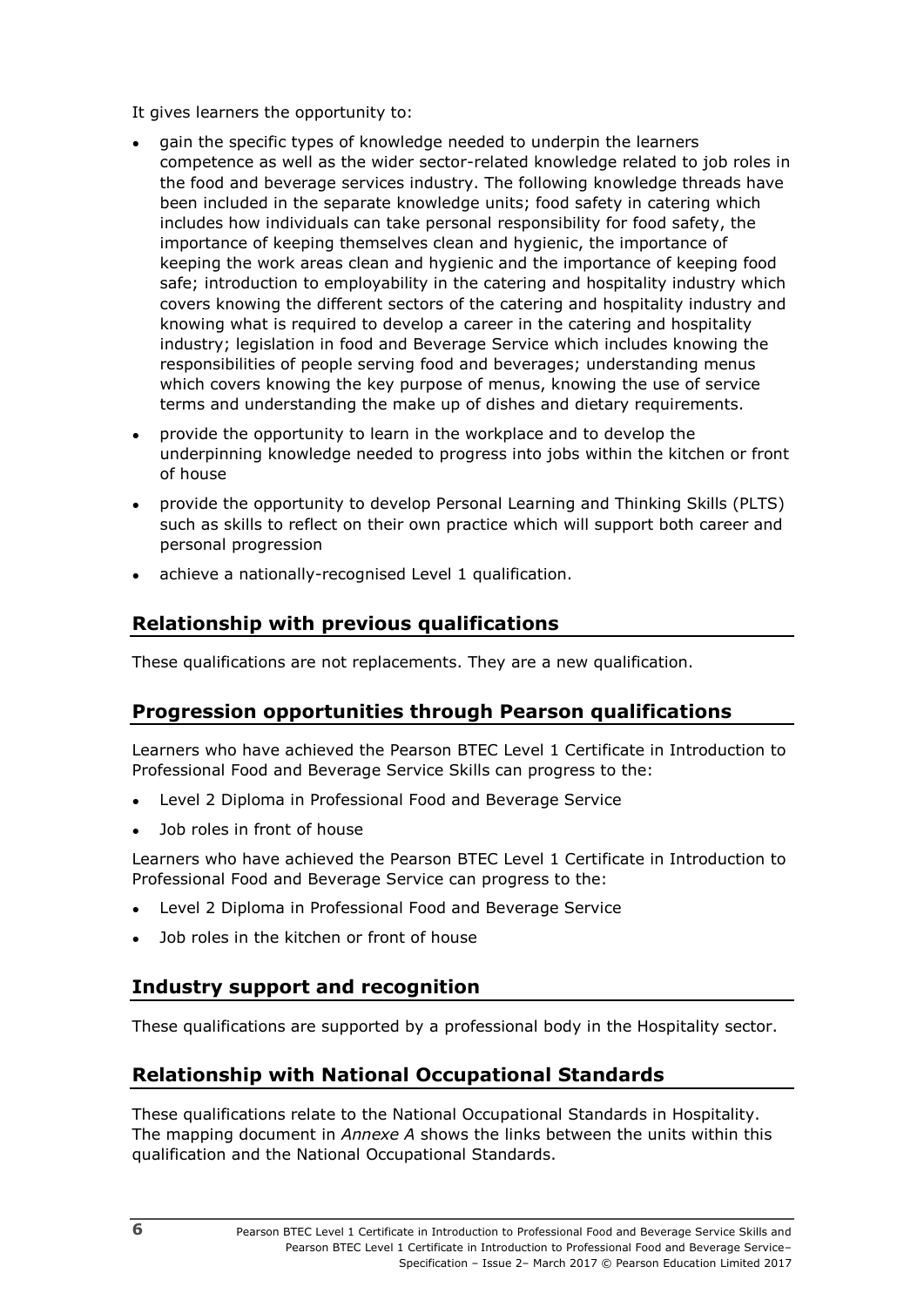It gives learners the opportunity to:

- gain the specific types of knowledge needed to underpin the learners competence as well as the wider sector-related knowledge related to job roles in the food and beverage services industry. The following knowledge threads have been included in the separate knowledge units; food safety in catering which includes how individuals can take personal responsibility for food safety, the importance of keeping themselves clean and hygienic, the importance of keeping the work areas clean and hygienic and the importance of keeping food safe; introduction to employability in the catering and hospitality industry which covers knowing the different sectors of the catering and hospitality industry and knowing what is required to develop a career in the catering and hospitality industry; legislation in food and Beverage Service which includes knowing the responsibilities of people serving food and beverages; understanding menus which covers knowing the key purpose of menus, knowing the use of service terms and understanding the make up of dishes and dietary requirements.
- provide the opportunity to learn in the workplace and to develop the underpinning knowledge needed to progress into jobs within the kitchen or front of house
- provide the opportunity to develop Personal Learning and Thinking Skills (PLTS) such as skills to reflect on their own practice which will support both career and personal progression
- achieve a nationally-recognised Level 1 qualification.

#### **Relationship with previous qualifications**

These qualifications are not replacements. They are a new qualification.

#### **Progression opportunities through Pearson qualifications**

Learners who have achieved the Pearson BTEC Level 1 Certificate in Introduction to Professional Food and Beverage Service Skills can progress to the:

- Level 2 Diploma in Professional Food and Beverage Service
- Job roles in front of house

Learners who have achieved the Pearson BTEC Level 1 Certificate in Introduction to Professional Food and Beverage Service can progress to the:

- Level 2 Diploma in Professional Food and Beverage Service
- Job roles in the kitchen or front of house

#### **Industry support and recognition**

These qualifications are supported by a professional body in the Hospitality sector.

#### **Relationship with National Occupational Standards**

These qualifications relate to the National Occupational Standards in Hospitality. The mapping document in *Annexe A* shows the links between the units within this qualification and the National Occupational Standards.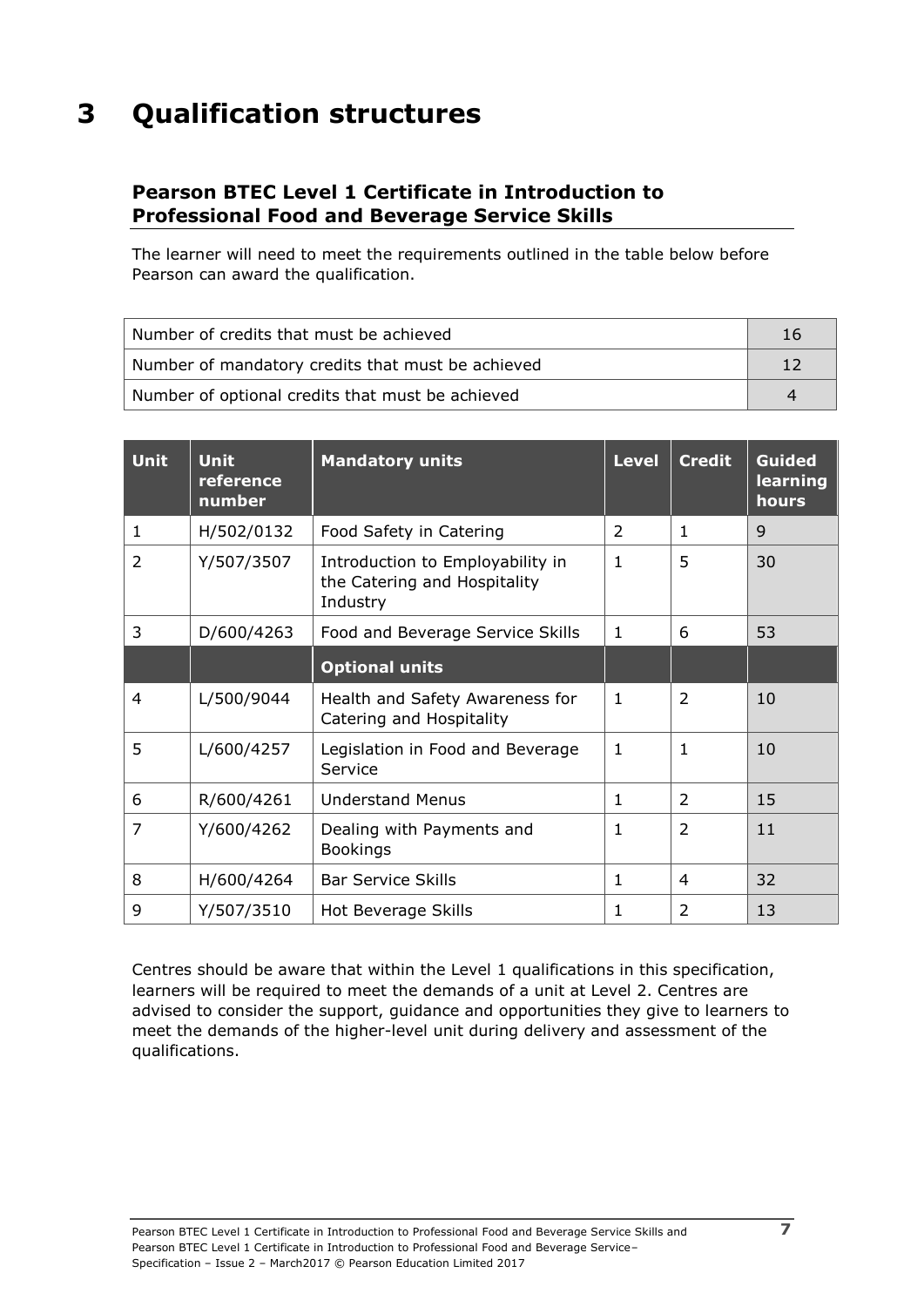### **3 Qualification structures**

#### **Pearson BTEC Level 1 Certificate in Introduction to Professional Food and Beverage Service Skills**

The learner will need to meet the requirements outlined in the table below before Pearson can award the qualification.

| Number of credits that must be achieved           | 16 |
|---------------------------------------------------|----|
| Number of mandatory credits that must be achieved |    |
| Number of optional credits that must be achieved  |    |

| <b>Unit</b>    | <b>Unit</b><br>reference<br>number | <b>Mandatory units</b>                                                       | <b>Level</b>  | <b>Credit</b>  | <b>Guided</b><br><b>learning</b><br>hours |
|----------------|------------------------------------|------------------------------------------------------------------------------|---------------|----------------|-------------------------------------------|
| $\mathbf{1}$   | H/502/0132                         | Food Safety in Catering                                                      | $\mathcal{P}$ | $\mathbf{1}$   | 9                                         |
| $\overline{2}$ | Y/507/3507                         | Introduction to Employability in<br>the Catering and Hospitality<br>Industry | 1             | 5              | 30                                        |
| 3              | D/600/4263                         | Food and Beverage Service Skills                                             | $\mathbf{1}$  | 6              | 53                                        |
|                |                                    | <b>Optional units</b>                                                        |               |                |                                           |
| 4              | L/500/9044                         | Health and Safety Awareness for<br>Catering and Hospitality                  | $\mathbf{1}$  | 2              | 10                                        |
| 5              | L/600/4257                         | Legislation in Food and Beverage<br>Service                                  | 1             | 1              | 10                                        |
| 6              | R/600/4261                         | <b>Understand Menus</b>                                                      | $\mathbf{1}$  | $\mathcal{P}$  | 15                                        |
| $\overline{7}$ | Y/600/4262                         | Dealing with Payments and<br><b>Bookings</b>                                 | $\mathbf{1}$  | $\overline{2}$ | 11                                        |
| 8              | H/600/4264                         | <b>Bar Service Skills</b>                                                    | $\mathbf{1}$  | 4              | 32                                        |
| 9              | Y/507/3510                         | Hot Beverage Skills                                                          | 1             | $\overline{2}$ | 13                                        |

Centres should be aware that within the Level 1 qualifications in this specification, learners will be required to meet the demands of a unit at Level 2. Centres are advised to consider the support, guidance and opportunities they give to learners to meet the demands of the higher-level unit during delivery and assessment of the qualifications.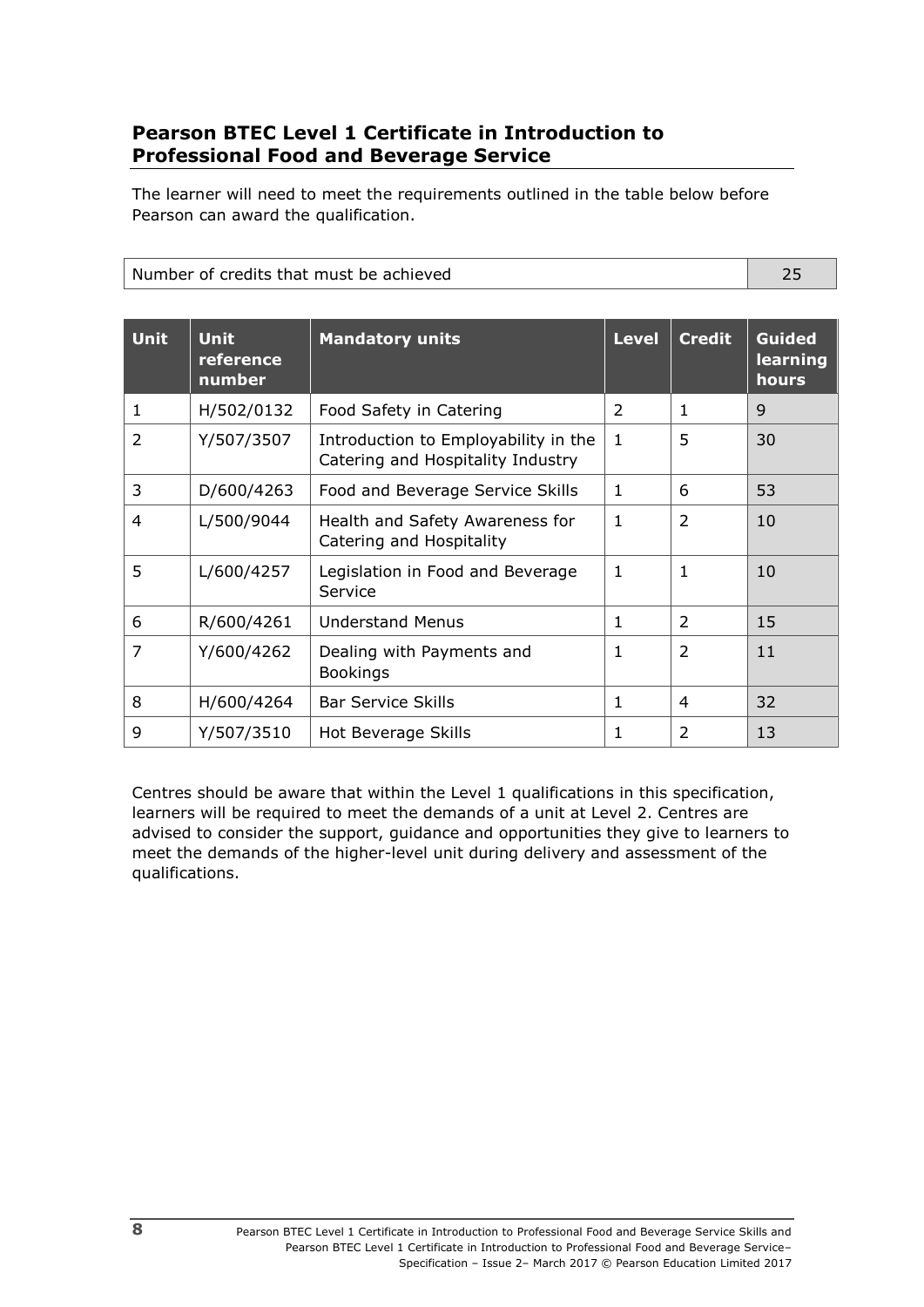#### **Pearson BTEC Level 1 Certificate in Introduction to Professional Food and Beverage Service**

The learner will need to meet the requirements outlined in the table below before Pearson can award the qualification.

| Number of credits that must be achieved |                                    |                                                                           |               |                |                                    |
|-----------------------------------------|------------------------------------|---------------------------------------------------------------------------|---------------|----------------|------------------------------------|
|                                         |                                    |                                                                           |               |                |                                    |
| <b>Unit</b>                             | <b>Unit</b><br>reference<br>number | <b>Mandatory units</b>                                                    | <b>Level</b>  | <b>Credit</b>  | <b>Guided</b><br>learning<br>hours |
| $\mathbf{1}$                            | H/502/0132                         | Food Safety in Catering                                                   | $\mathcal{P}$ | 1              | 9                                  |
| 2                                       | Y/507/3507                         | Introduction to Employability in the<br>Catering and Hospitality Industry | $\mathbf{1}$  | 5              | 30                                 |
| 3                                       | D/600/4263                         | Food and Beverage Service Skills                                          | $\mathbf{1}$  | 6              | 53                                 |
| 4                                       | L/500/9044                         | Health and Safety Awareness for<br>Catering and Hospitality               | $\mathbf{1}$  | $\overline{2}$ | 10                                 |
| 5                                       | L/600/4257                         | Legislation in Food and Beverage<br>Service                               | $\mathbf{1}$  | 1              | 10                                 |
| 6                                       | R/600/4261                         | <b>Understand Menus</b>                                                   | $\mathbf{1}$  | $\mathcal{P}$  | 15                                 |
| 7                                       | Y/600/4262                         | Dealing with Payments and<br><b>Bookings</b>                              | $\mathbf{1}$  | $\overline{2}$ | 11                                 |
| 8                                       | H/600/4264                         | <b>Bar Service Skills</b>                                                 | $\mathbf{1}$  | 4              | 32                                 |
| 9                                       | Y/507/3510                         | Hot Beverage Skills                                                       | 1             | 2              | 13                                 |

Centres should be aware that within the Level 1 qualifications in this specification, learners will be required to meet the demands of a unit at Level 2. Centres are advised to consider the support, guidance and opportunities they give to learners to meet the demands of the higher-level unit during delivery and assessment of the qualifications.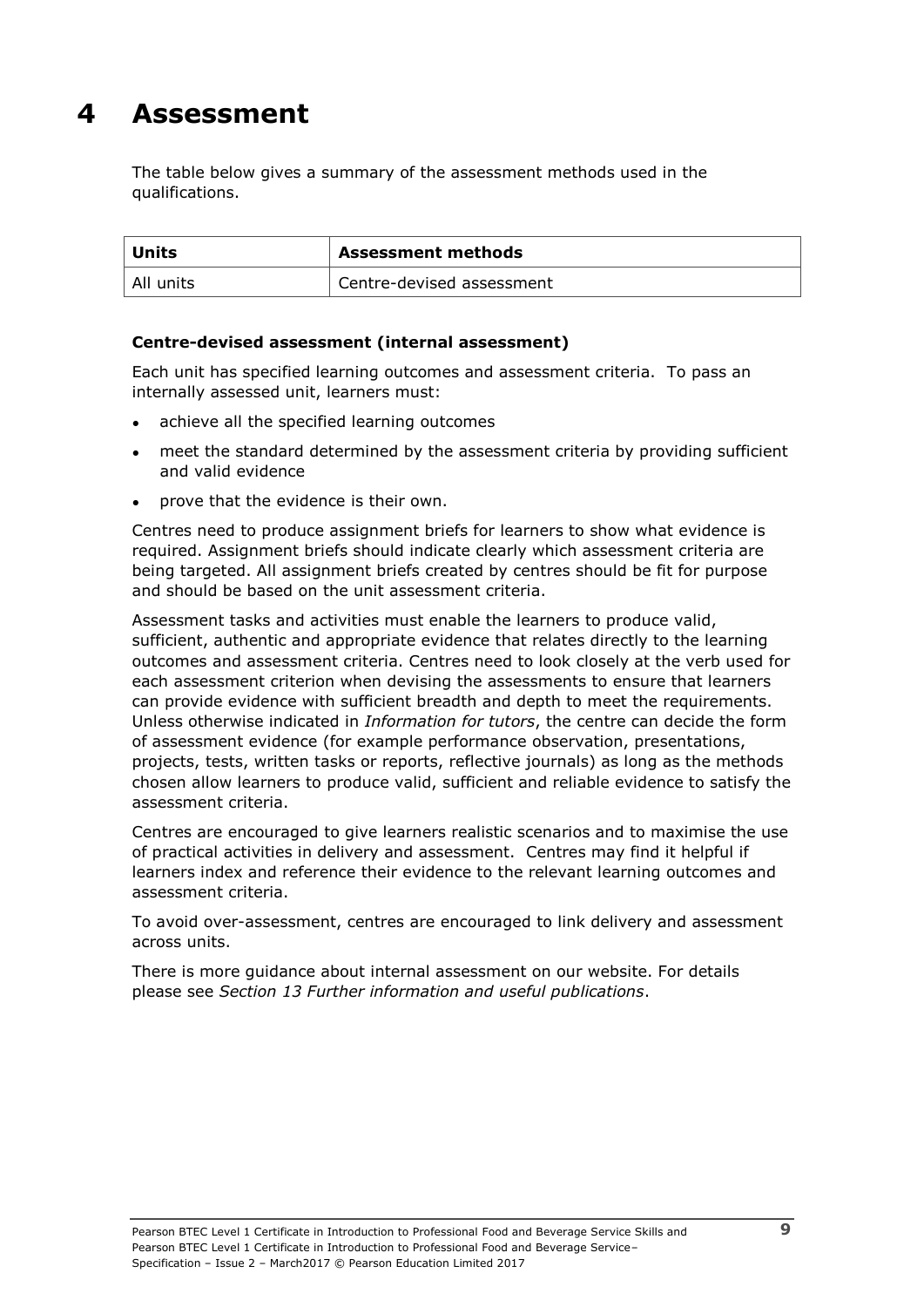### **4 Assessment**

The table below gives a summary of the assessment methods used in the qualifications.

| Units     | <b>Assessment methods</b> |
|-----------|---------------------------|
| All units | Centre-devised assessment |

#### **Centre-devised assessment (internal assessment)**

Each unit has specified learning outcomes and assessment criteria. To pass an internally assessed unit, learners must:

- achieve all the specified learning outcomes
- meet the standard determined by the assessment criteria by providing sufficient and valid evidence
- prove that the evidence is their own.

Centres need to produce assignment briefs for learners to show what evidence is required. Assignment briefs should indicate clearly which assessment criteria are being targeted. All assignment briefs created by centres should be fit for purpose and should be based on the unit assessment criteria.

Assessment tasks and activities must enable the learners to produce valid, sufficient, authentic and appropriate evidence that relates directly to the learning outcomes and assessment criteria. Centres need to look closely at the verb used for each assessment criterion when devising the assessments to ensure that learners can provide evidence with sufficient breadth and depth to meet the requirements. Unless otherwise indicated in *Information for tutors*, the centre can decide the form of assessment evidence (for example performance observation, presentations, projects, tests, written tasks or reports, reflective journals) as long as the methods chosen allow learners to produce valid, sufficient and reliable evidence to satisfy the assessment criteria.

Centres are encouraged to give learners realistic scenarios and to maximise the use of practical activities in delivery and assessment. Centres may find it helpful if learners index and reference their evidence to the relevant learning outcomes and assessment criteria.

To avoid over-assessment, centres are encouraged to link delivery and assessment across units.

There is more guidance about internal assessment on our website. For details please see *Section 13 Further information and useful publications*.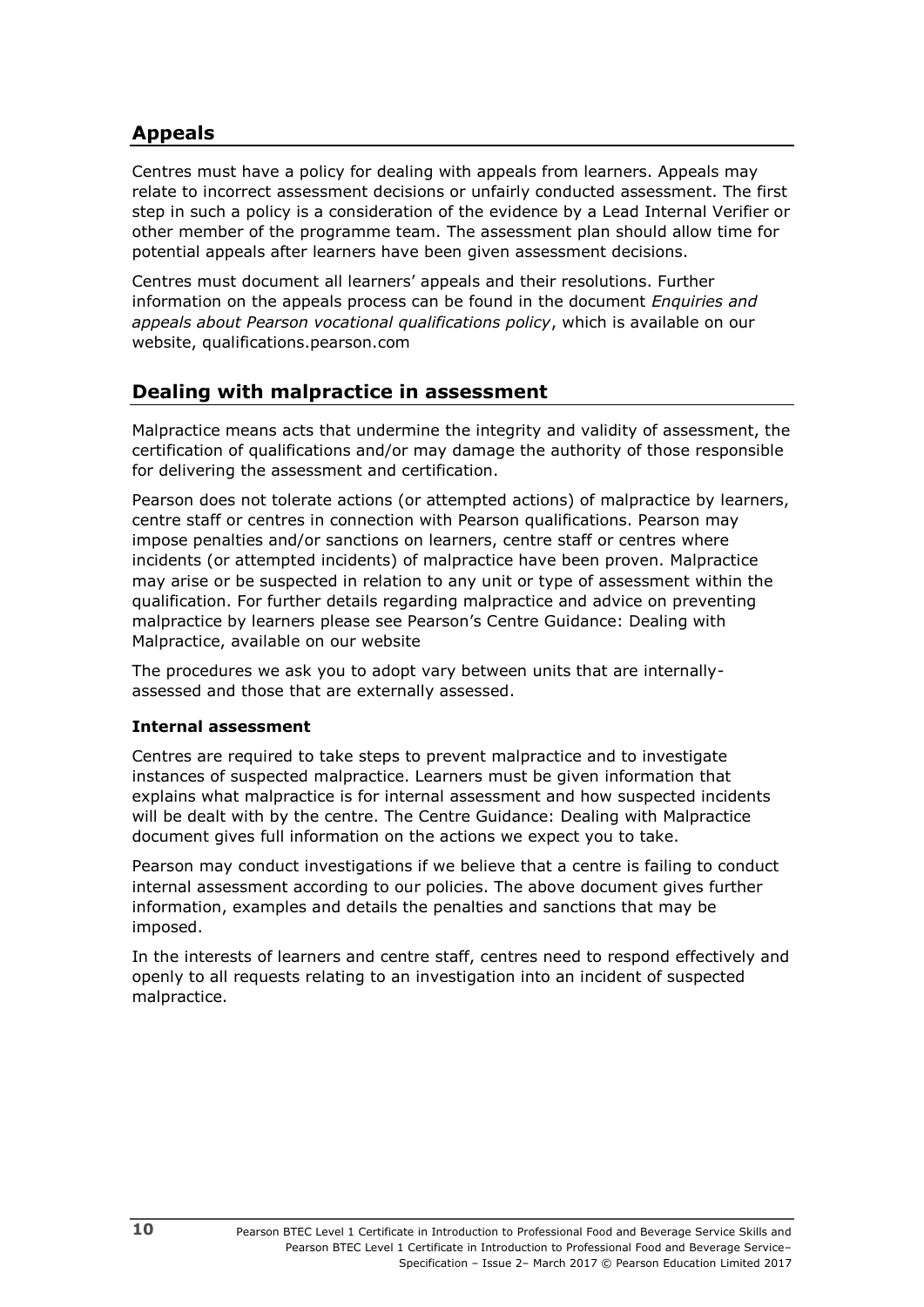#### **Appeals**

Centres must have a policy for dealing with appeals from learners. Appeals may relate to incorrect assessment decisions or unfairly conducted assessment. The first step in such a policy is a consideration of the evidence by a Lead Internal Verifier or other member of the programme team. The assessment plan should allow time for potential appeals after learners have been given assessment decisions.

Centres must document all learners' appeals and their resolutions. Further information on the appeals process can be found in the document *Enquiries and appeals about Pearson vocational qualifications policy*, which is available on our website, qualifications.pearson.com

#### **Dealing with malpractice in assessment**

Malpractice means acts that undermine the integrity and validity of assessment, the certification of qualifications and/or may damage the authority of those responsible for delivering the assessment and certification.

Pearson does not tolerate actions (or attempted actions) of malpractice by learners, centre staff or centres in connection with Pearson qualifications. Pearson may impose penalties and/or sanctions on learners, centre staff or centres where incidents (or attempted incidents) of malpractice have been proven. Malpractice may arise or be suspected in relation to any unit or type of assessment within the qualification. For further details regarding malpractice and advice on preventing malpractice by learners please see Pearson's Centre Guidance: Dealing with Malpractice, available on our website

The procedures we ask you to adopt vary between units that are internallyassessed and those that are externally assessed.

#### **Internal assessment**

Centres are required to take steps to prevent malpractice and to investigate instances of suspected malpractice. Learners must be given information that explains what malpractice is for internal assessment and how suspected incidents will be dealt with by the centre. The Centre Guidance: Dealing with Malpractice document gives full information on the actions we expect you to take.

Pearson may conduct investigations if we believe that a centre is failing to conduct internal assessment according to our policies. The above document gives further information, examples and details the penalties and sanctions that may be imposed.

In the interests of learners and centre staff, centres need to respond effectively and openly to all requests relating to an investigation into an incident of suspected malpractice.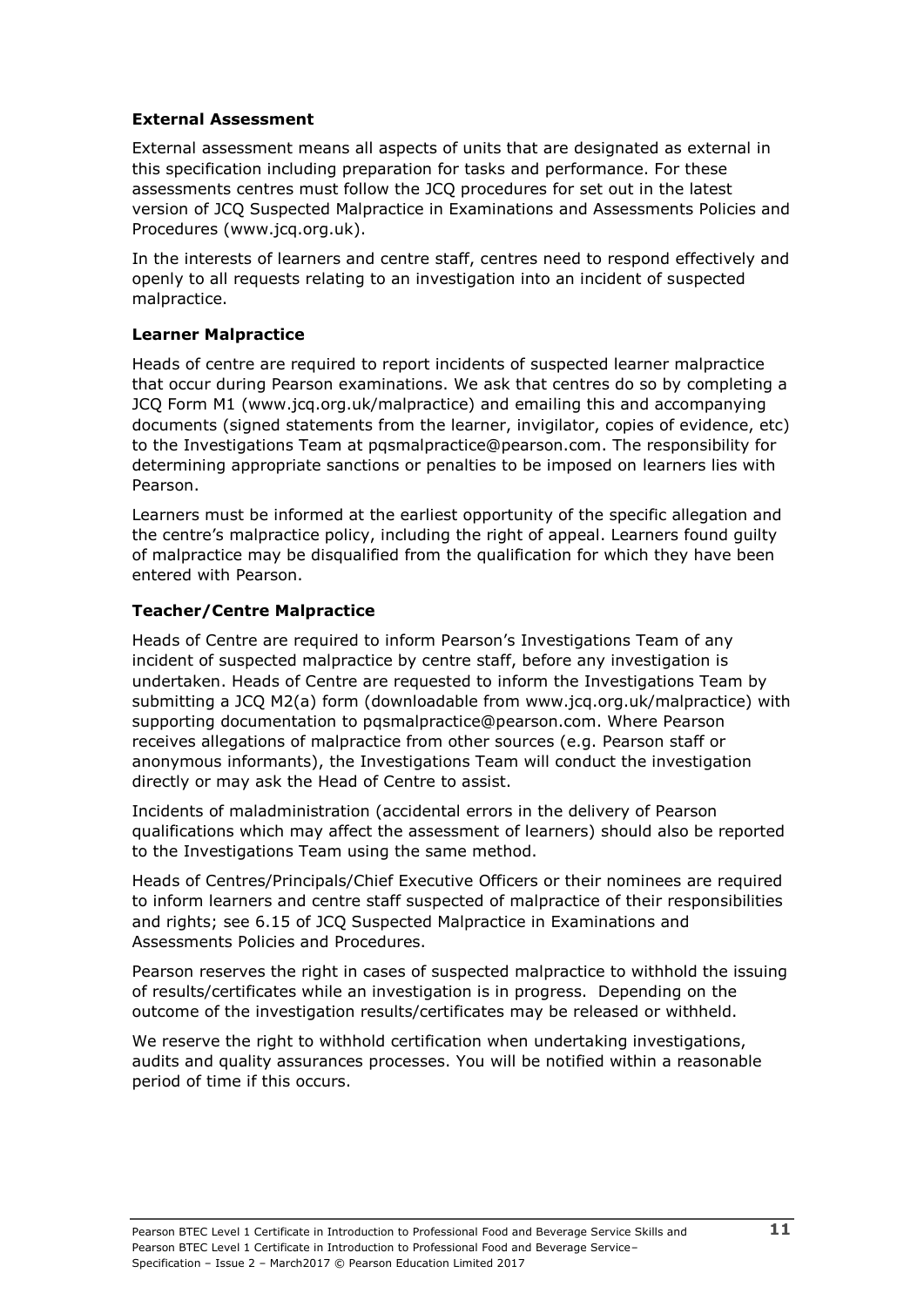#### **External Assessment**

External assessment means all aspects of units that are designated as external in this specification including preparation for tasks and performance. For these assessments centres must follow the JCQ procedures for set out in the latest version of JCQ Suspected Malpractice in Examinations and Assessments Policies and Procedures [\(www.jcq.org.uk\)](http://www.jcq.org.uk/).

In the interests of learners and centre staff, centres need to respond effectively and openly to all requests relating to an investigation into an incident of suspected malpractice.

#### **Learner Malpractice**

Heads of centre are required to report incidents of suspected learner malpractice that occur during Pearson examinations. We ask that centres do so by completing a JCQ Form M1 (www.jcq.org.uk/malpractice) and emailing this and accompanying documents (signed statements from the learner, invigilator, copies of evidence, etc) to the Investigations Team at pqsmalpractice@pearson.com. The responsibility for determining appropriate sanctions or penalties to be imposed on learners lies with Pearson.

Learners must be informed at the earliest opportunity of the specific allegation and the centre's malpractice policy, including the right of appeal. Learners found guilty of malpractice may be disqualified from the qualification for which they have been entered with Pearson.

#### **Teacher/Centre Malpractice**

Heads of Centre are required to inform Pearson's Investigations Team of any incident of suspected malpractice by centre staff, before any investigation is undertaken. Heads of Centre are requested to inform the Investigations Team by submitting a JCQ M2(a) form (downloadable from www.jcq.org.uk/malpractice) with supporting documentation to pqsmalpractice@pearson.com. Where Pearson receives allegations of malpractice from other sources (e.g. Pearson staff or anonymous informants), the Investigations Team will conduct the investigation directly or may ask the Head of Centre to assist.

Incidents of maladministration (accidental errors in the delivery of Pearson qualifications which may affect the assessment of learners) should also be reported to the Investigations Team using the same method.

Heads of Centres/Principals/Chief Executive Officers or their nominees are required to inform learners and centre staff suspected of malpractice of their responsibilities and rights; see 6.15 of JCQ Suspected Malpractice in Examinations and Assessments Policies and Procedures.

Pearson reserves the right in cases of suspected malpractice to withhold the issuing of results/certificates while an investigation is in progress. Depending on the outcome of the investigation results/certificates may be released or withheld.

We reserve the right to withhold certification when undertaking investigations, audits and quality assurances processes. You will be notified within a reasonable period of time if this occurs.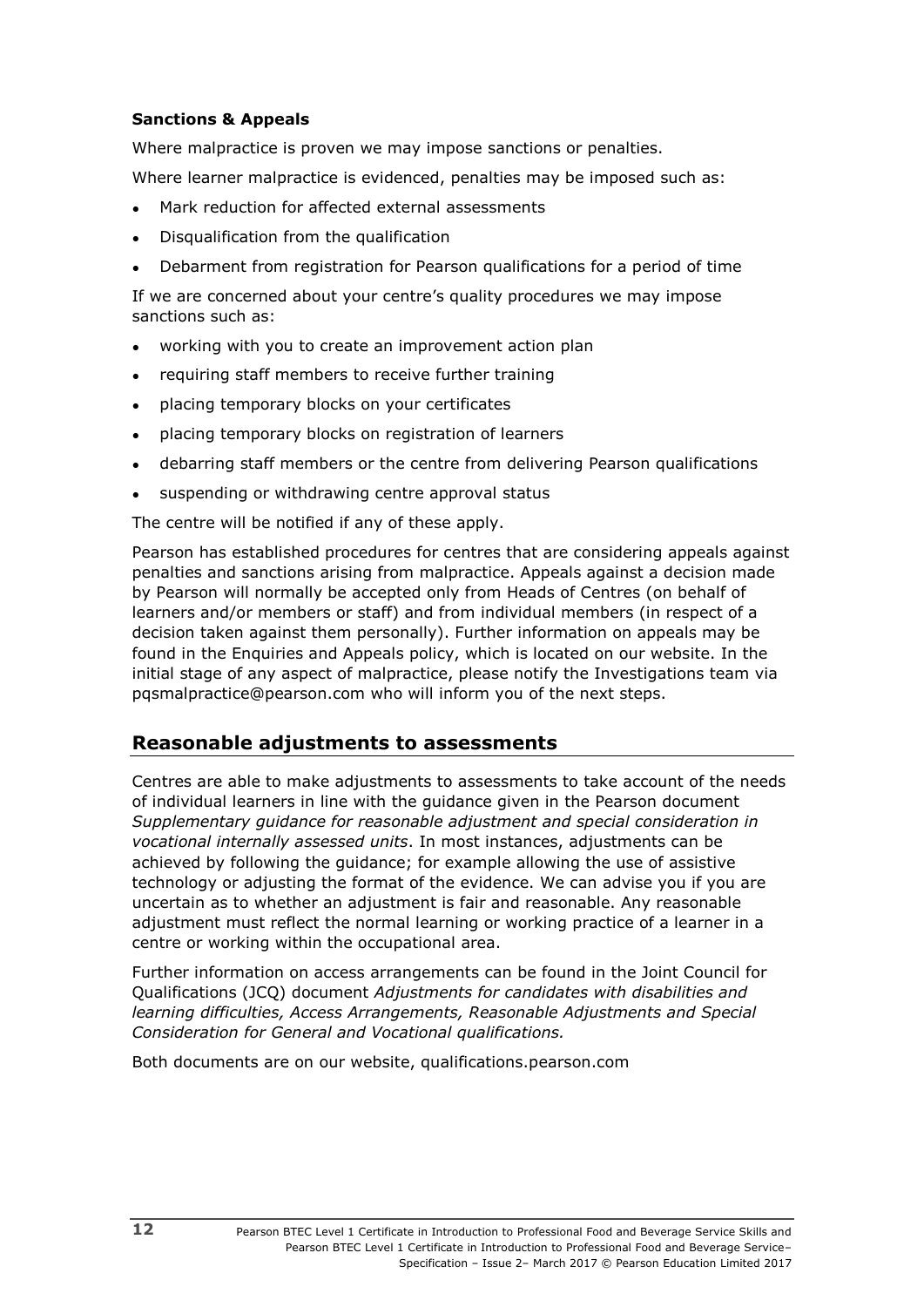#### **Sanctions & Appeals**

Where malpractice is proven we may impose sanctions or penalties.

Where learner malpractice is evidenced, penalties may be imposed such as:

- Mark reduction for affected external assessments
- Disqualification from the qualification
- Debarment from registration for Pearson qualifications for a period of time

If we are concerned about your centre's quality procedures we may impose sanctions such as:

- working with you to create an improvement action plan
- requiring staff members to receive further training
- placing temporary blocks on your certificates
- placing temporary blocks on registration of learners
- debarring staff members or the centre from delivering Pearson qualifications
- suspending or withdrawing centre approval status

The centre will be notified if any of these apply.

Pearson has established procedures for centres that are considering appeals against penalties and sanctions arising from malpractice. Appeals against a decision made by Pearson will normally be accepted only from Heads of Centres (on behalf of learners and/or members or staff) and from individual members (in respect of a decision taken against them personally). Further information on appeals may be found in the Enquiries and Appeals policy, which is located on our website. In the initial stage of any aspect of malpractice, please notify the Investigations team via pqsmalpractice@pearson.com who will inform you of the next steps.

#### **Reasonable adjustments to assessments**

Centres are able to make adjustments to assessments to take account of the needs of individual learners in line with the guidance given in the Pearson document *Supplementary guidance for reasonable adjustment and special consideration in vocational internally assessed units*. In most instances, adjustments can be achieved by following the guidance; for example allowing the use of assistive technology or adjusting the format of the evidence. We can advise you if you are uncertain as to whether an adjustment is fair and reasonable. Any reasonable adjustment must reflect the normal learning or working practice of a learner in a centre or working within the occupational area.

Further information on access arrangements can be found in the Joint Council for Qualifications (JCQ) document *Adjustments for candidates with disabilities and learning difficulties, Access Arrangements, Reasonable Adjustments and Special Consideration for General and Vocational qualifications.*

Both documents are on our website, qualifications.pearson.com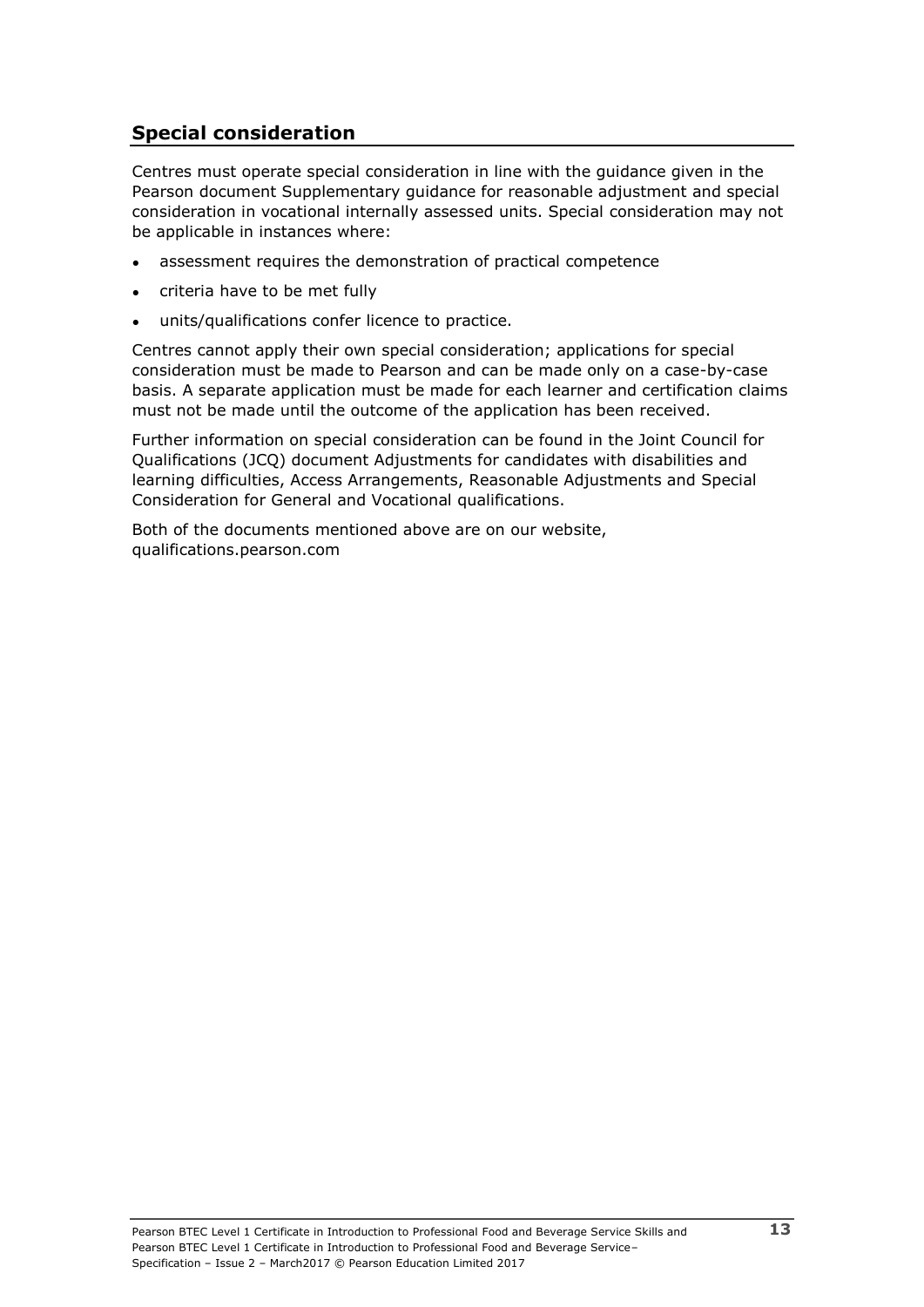#### **Special consideration**

Centres must operate special consideration in line with the guidance given in the Pearson document Supplementary guidance for reasonable adjustment and special consideration in vocational internally assessed units. Special consideration may not be applicable in instances where:

- assessment requires the demonstration of practical competence
- criteria have to be met fully
- units/qualifications confer licence to practice.

Centres cannot apply their own special consideration; applications for special consideration must be made to Pearson and can be made only on a case-by-case basis. A separate application must be made for each learner and certification claims must not be made until the outcome of the application has been received.

Further information on special consideration can be found in the Joint Council for Qualifications (JCQ) document Adjustments for candidates with disabilities and learning difficulties, Access Arrangements, Reasonable Adjustments and Special Consideration for General and Vocational qualifications.

Both of the documents mentioned above are on our website, qualifications.pearson.com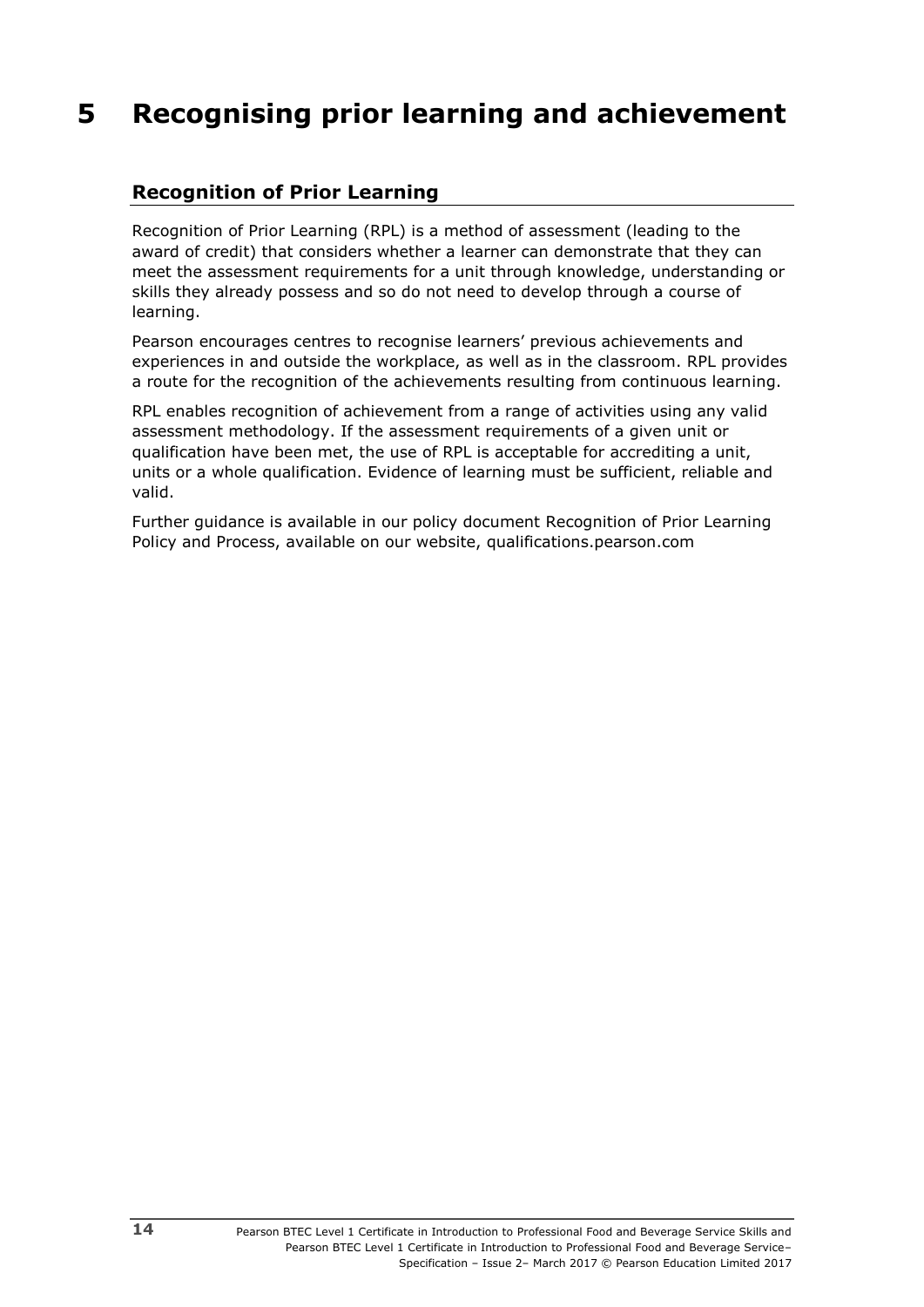### **5 Recognising prior learning and achievement**

#### **Recognition of Prior Learning**

Recognition of Prior Learning (RPL) is a method of assessment (leading to the award of credit) that considers whether a learner can demonstrate that they can meet the assessment requirements for a unit through knowledge, understanding or skills they already possess and so do not need to develop through a course of learning.

Pearson encourages centres to recognise learners' previous achievements and experiences in and outside the workplace, as well as in the classroom. RPL provides a route for the recognition of the achievements resulting from continuous learning.

RPL enables recognition of achievement from a range of activities using any valid assessment methodology. If the assessment requirements of a given unit or qualification have been met, the use of RPL is acceptable for accrediting a unit, units or a whole qualification. Evidence of learning must be sufficient, reliable and valid.

Further guidance is available in our policy document Recognition of Prior Learning Policy and Process, available on our website, qualifications.pearson.com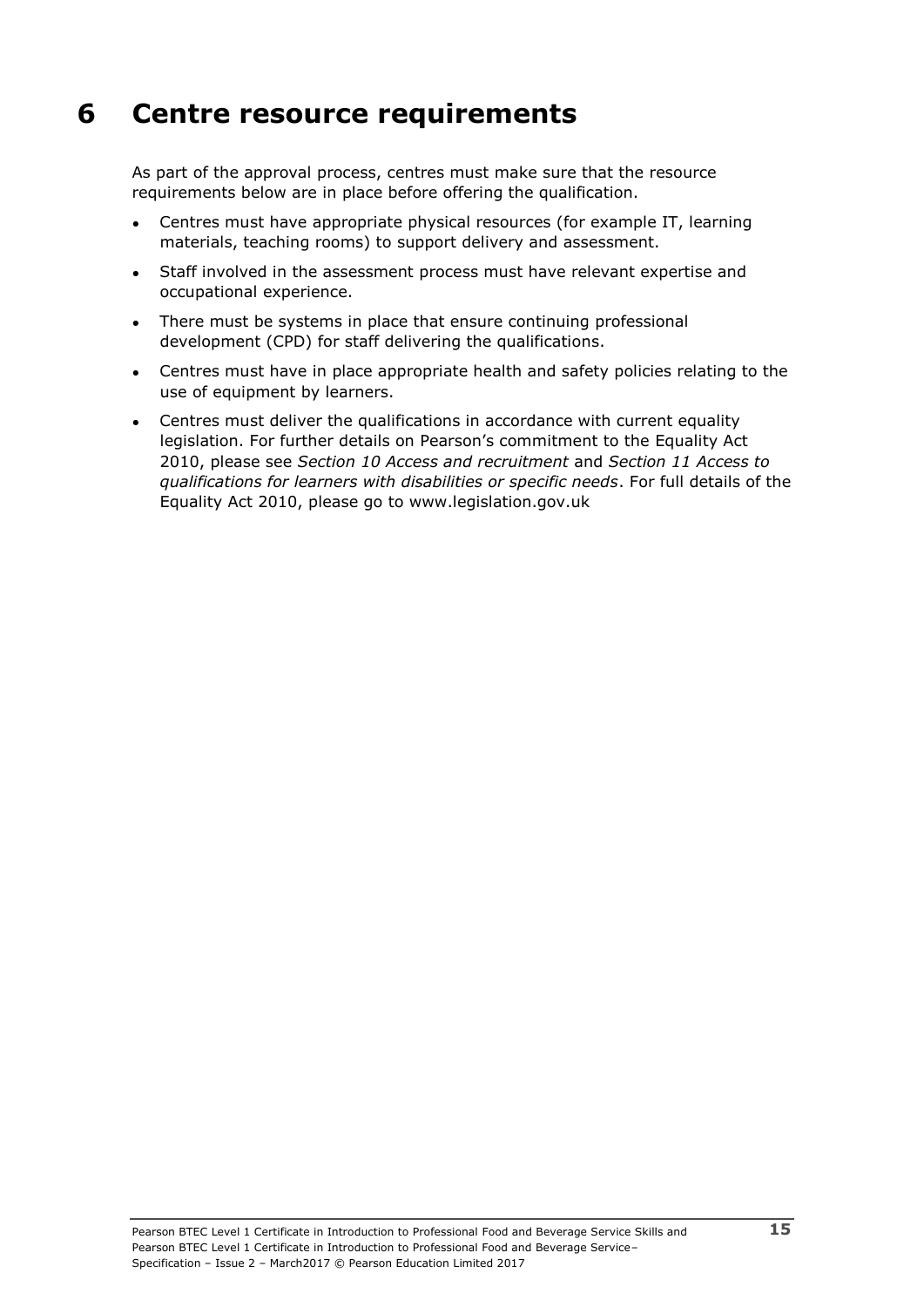### **6 Centre resource requirements**

As part of the approval process, centres must make sure that the resource requirements below are in place before offering the qualification.

- Centres must have appropriate physical resources (for example IT, learning materials, teaching rooms) to support delivery and assessment.
- Staff involved in the assessment process must have relevant expertise and occupational experience.
- There must be systems in place that ensure continuing professional development (CPD) for staff delivering the qualifications.
- Centres must have in place appropriate health and safety policies relating to the use of equipment by learners.
- Centres must deliver the qualifications in accordance with current equality legislation. For further details on Pearson's commitment to the Equality Act 2010, please see *Section 10 Access and recruitment* and *Section 11 Access to qualifications for learners with disabilities or specific needs*. For full details of the Equality Act 2010, please go to www.legislation.gov.uk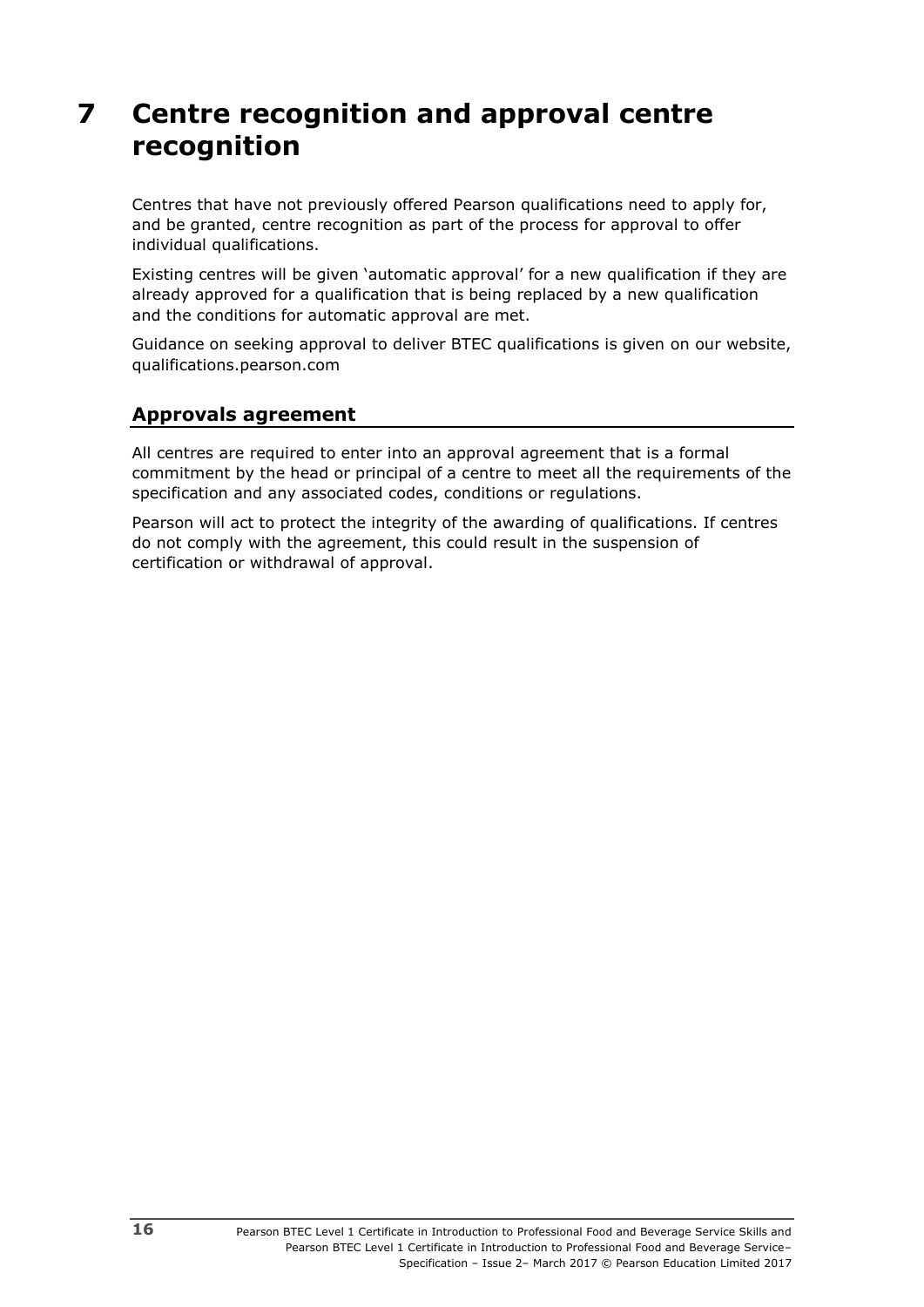### **7 Centre recognition and approval centre recognition**

Centres that have not previously offered Pearson qualifications need to apply for, and be granted, centre recognition as part of the process for approval to offer individual qualifications.

Existing centres will be given 'automatic approval' for a new qualification if they are already approved for a qualification that is being replaced by a new qualification and the conditions for automatic approval are met.

Guidance on seeking approval to deliver BTEC qualifications is given on our website, qualifications.pearson.com

#### **Approvals agreement**

All centres are required to enter into an approval agreement that is a formal commitment by the head or principal of a centre to meet all the requirements of the specification and any associated codes, conditions or regulations.

Pearson will act to protect the integrity of the awarding of qualifications. If centres do not comply with the agreement, this could result in the suspension of certification or withdrawal of approval.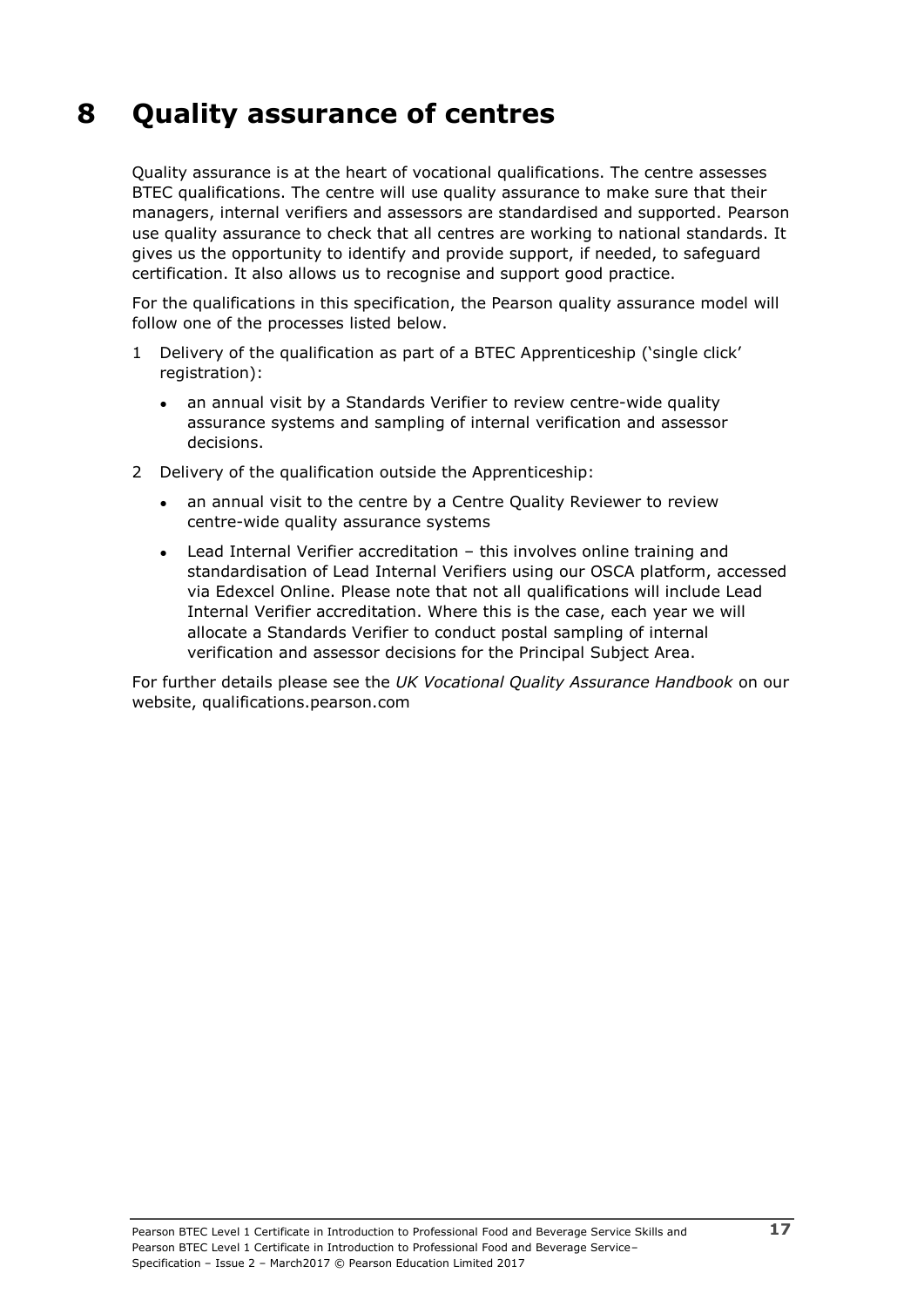### **8 Quality assurance of centres**

Quality assurance is at the heart of vocational qualifications. The centre assesses BTEC qualifications. The centre will use quality assurance to make sure that their managers, internal verifiers and assessors are standardised and supported. Pearson use quality assurance to check that all centres are working to national standards. It gives us the opportunity to identify and provide support, if needed, to safeguard certification. It also allows us to recognise and support good practice.

For the qualifications in this specification, the Pearson quality assurance model will follow one of the processes listed below.

- 1 Delivery of the qualification as part of a BTEC Apprenticeship ('single click' registration):
	- an annual visit by a Standards Verifier to review centre-wide quality assurance systems and sampling of internal verification and assessor decisions.
- 2 Delivery of the qualification outside the Apprenticeship:
	- an annual visit to the centre by a Centre Quality Reviewer to review centre-wide quality assurance systems
	- Lead Internal Verifier accreditation this involves online training and standardisation of Lead Internal Verifiers using our OSCA platform, accessed via Edexcel Online. Please note that not all qualifications will include Lead Internal Verifier accreditation. Where this is the case, each year we will allocate a Standards Verifier to conduct postal sampling of internal verification and assessor decisions for the Principal Subject Area.

For further details please see the *UK Vocational Quality Assurance Handbook* [on](http://www.edexcel.com/quals/BTEC/quality/Pages/documents.aspx) our website, qualifications.pearson.com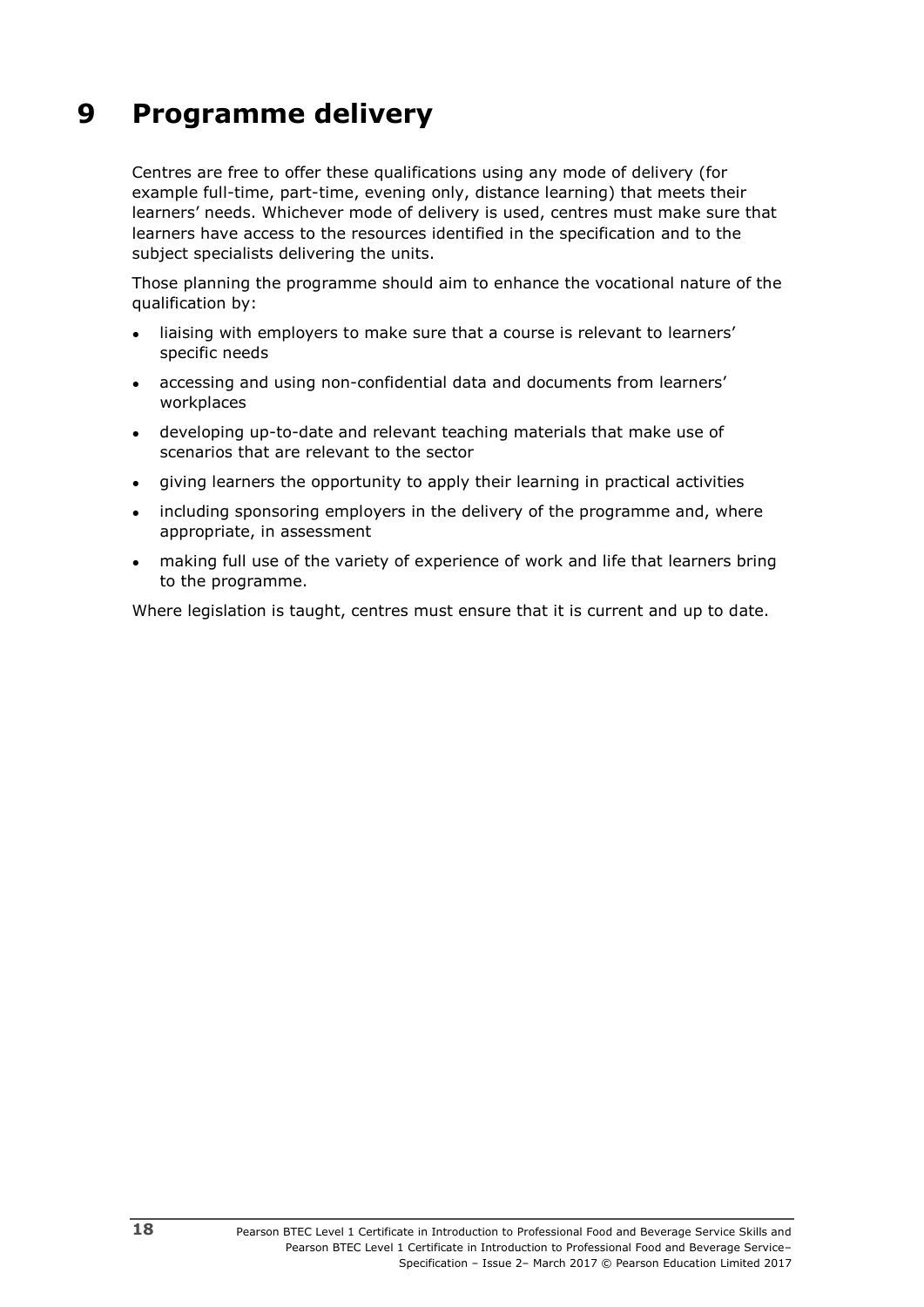### **9 Programme delivery**

Centres are free to offer these qualifications using any mode of delivery (for example full-time, part-time, evening only, distance learning) that meets their learners' needs. Whichever mode of delivery is used, centres must make sure that learners have access to the resources identified in the specification and to the subject specialists delivering the units.

Those planning the programme should aim to enhance the vocational nature of the qualification by:

- liaising with employers to make sure that a course is relevant to learners' specific needs
- accessing and using non-confidential data and documents from learners' workplaces
- developing up-to-date and relevant teaching materials that make use of scenarios that are relevant to the sector
- giving learners the opportunity to apply their learning in practical activities
- including sponsoring employers in the delivery of the programme and, where appropriate, in assessment
- making full use of the variety of experience of work and life that learners bring to the programme.

Where legislation is taught, centres must ensure that it is current and up to date.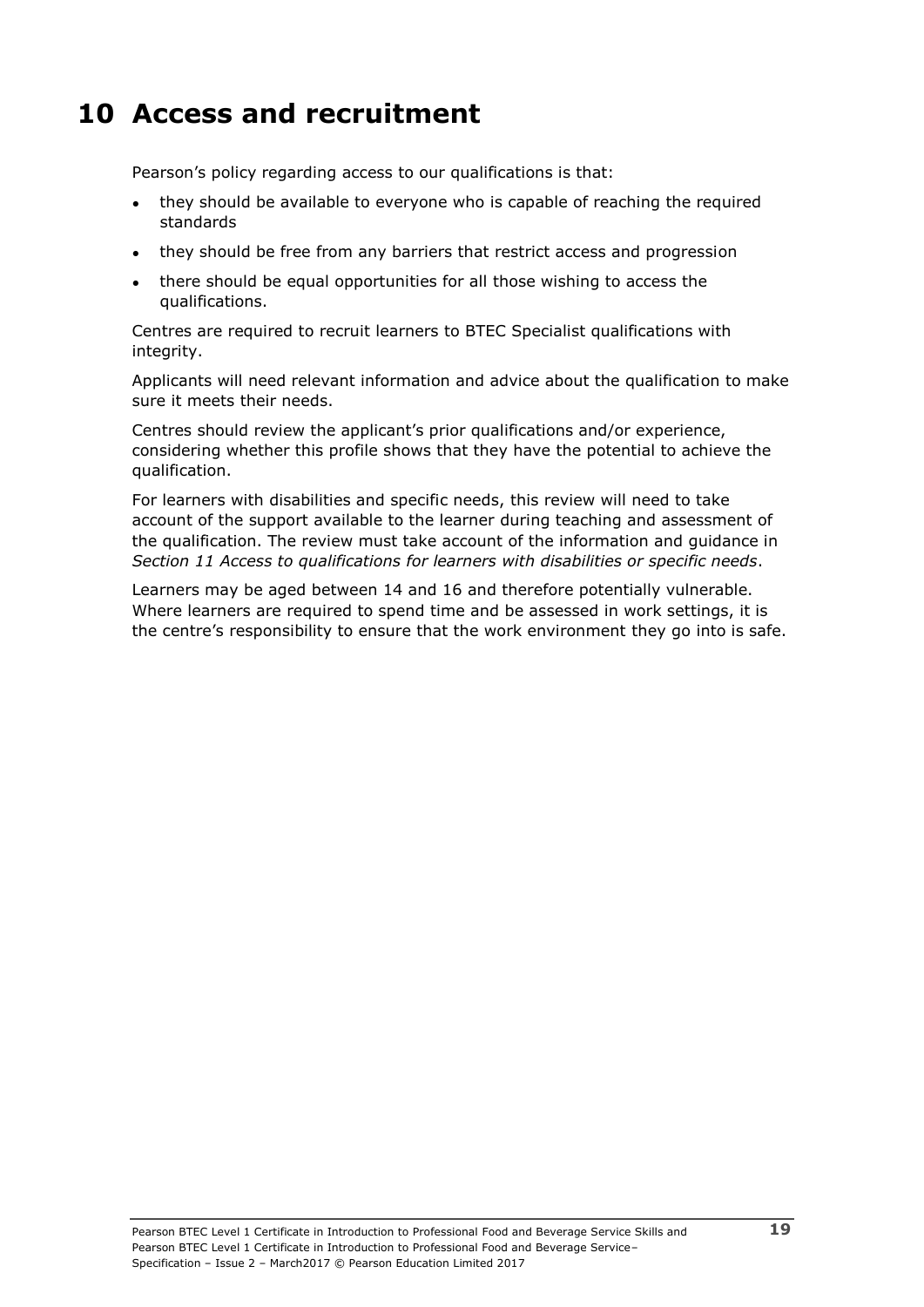### **10 Access and recruitment**

Pearson's policy regarding access to our qualifications is that:

- they should be available to everyone who is capable of reaching the required standards
- they should be free from any barriers that restrict access and progression
- there should be equal opportunities for all those wishing to access the qualifications.

Centres are required to recruit learners to BTEC Specialist qualifications with integrity.

Applicants will need relevant information and advice about the qualification to make sure it meets their needs.

Centres should review the applicant's prior qualifications and/or experience, considering whether this profile shows that they have the potential to achieve the qualification.

For learners with disabilities and specific needs, this review will need to take account of the support available to the learner during teaching and assessment of the qualification. The review must take account of the information and guidance in *Section 11 Access to qualifications for learners with disabilities or specific needs*.

Learners may be aged between 14 and 16 and therefore potentially vulnerable. Where learners are required to spend time and be assessed in work settings, it is the centre's responsibility to ensure that the work environment they go into is safe.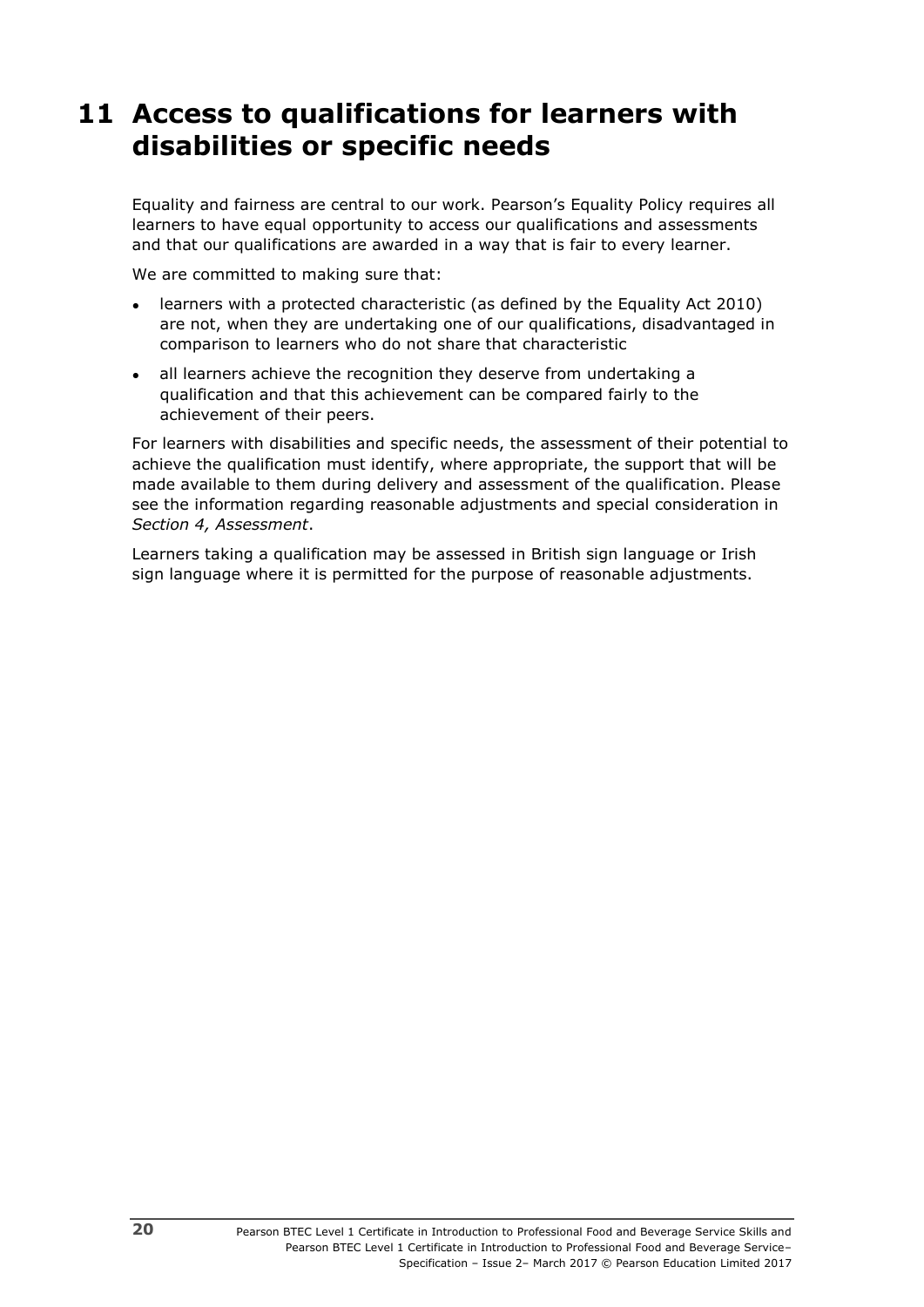### **11 Access to qualifications for learners with disabilities or specific needs**

Equality and fairness are central to our work. Pearson's Equality Policy requires all learners to have equal opportunity to access our qualifications and assessments and that our qualifications are awarded in a way that is fair to every learner.

We are committed to making sure that:

- learners with a protected characteristic (as defined by the Equality Act 2010) are not, when they are undertaking one of our qualifications, disadvantaged in comparison to learners who do not share that characteristic
- all learners achieve the recognition they deserve from undertaking a qualification and that this achievement can be compared fairly to the achievement of their peers.

For learners with disabilities and specific needs, the assessment of their potential to achieve the qualification must identify, where appropriate, the support that will be made available to them during delivery and assessment of the qualification. Please see the information regarding reasonable adjustments and special consideration in *Section 4, Assessment*.

Learners taking a qualification may be assessed in British sign language or Irish sign language where it is permitted for the purpose of reasonable adjustments.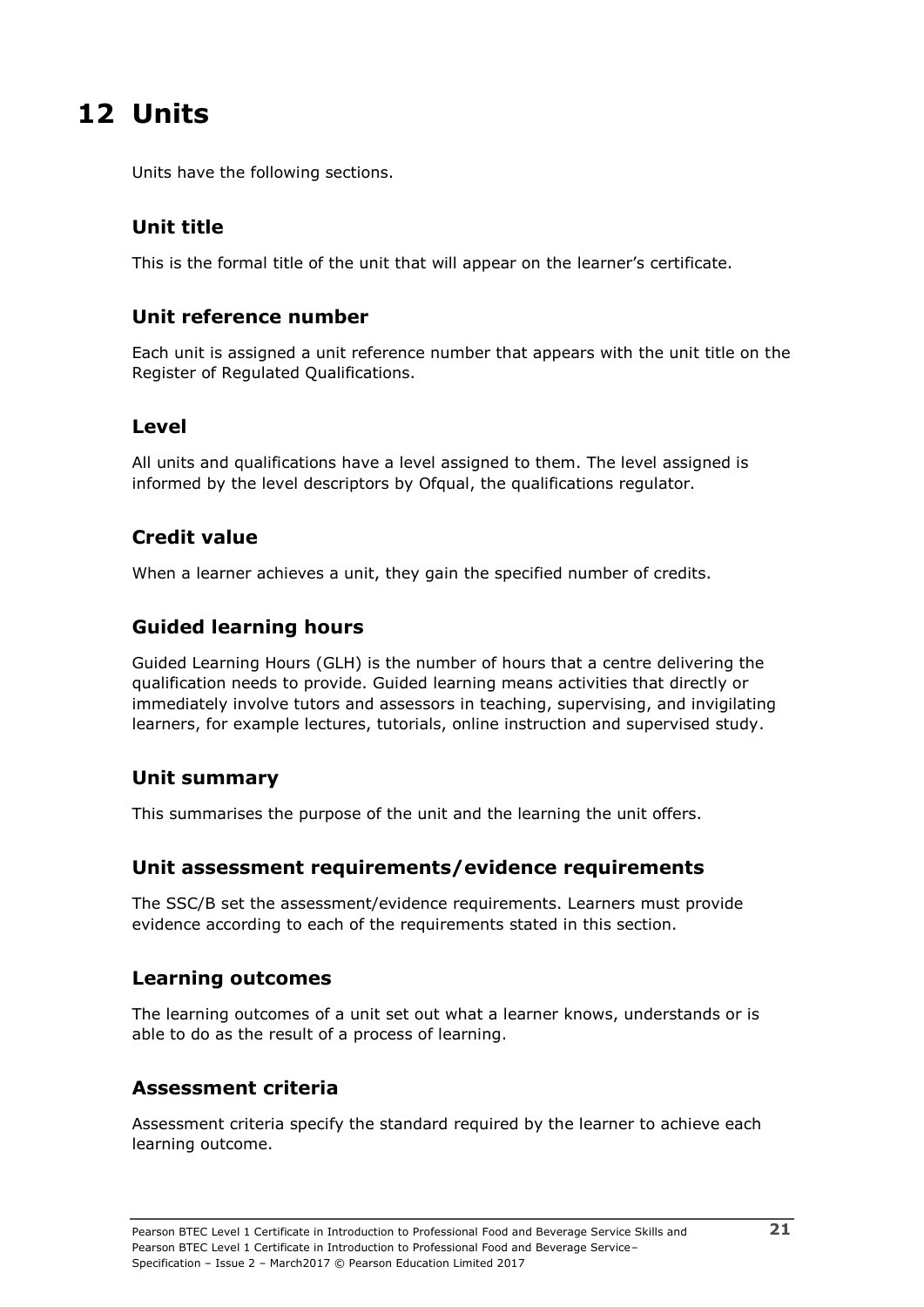### **12 Units**

Units have the following sections.

#### **Unit title**

This is the formal title of the unit that will appear on the learner's certificate.

#### **Unit reference number**

Each unit is assigned a unit reference number that appears with the unit title on the Register of Regulated Qualifications.

#### **Level**

All units and qualifications have a level assigned to them. The level assigned is informed by the level descriptors by Ofqual, the qualifications regulator.

#### **Credit value**

When a learner achieves a unit, they gain the specified number of credits.

#### **Guided learning hours**

Guided Learning Hours (GLH) is the number of hours that a centre delivering the qualification needs to provide. Guided learning means activities that directly or immediately involve tutors and assessors in teaching, supervising, and invigilating learners, for example lectures, tutorials, online instruction and supervised study.

#### **Unit summary**

This summarises the purpose of the unit and the learning the unit offers.

#### **Unit assessment requirements/evidence requirements**

The SSC/B set the assessment/evidence requirements. Learners must provide evidence according to each of the requirements stated in this section.

#### **Learning outcomes**

The learning outcomes of a unit set out what a learner knows, understands or is able to do as the result of a process of learning.

#### **Assessment criteria**

Assessment criteria specify the standard required by the learner to achieve each learning outcome.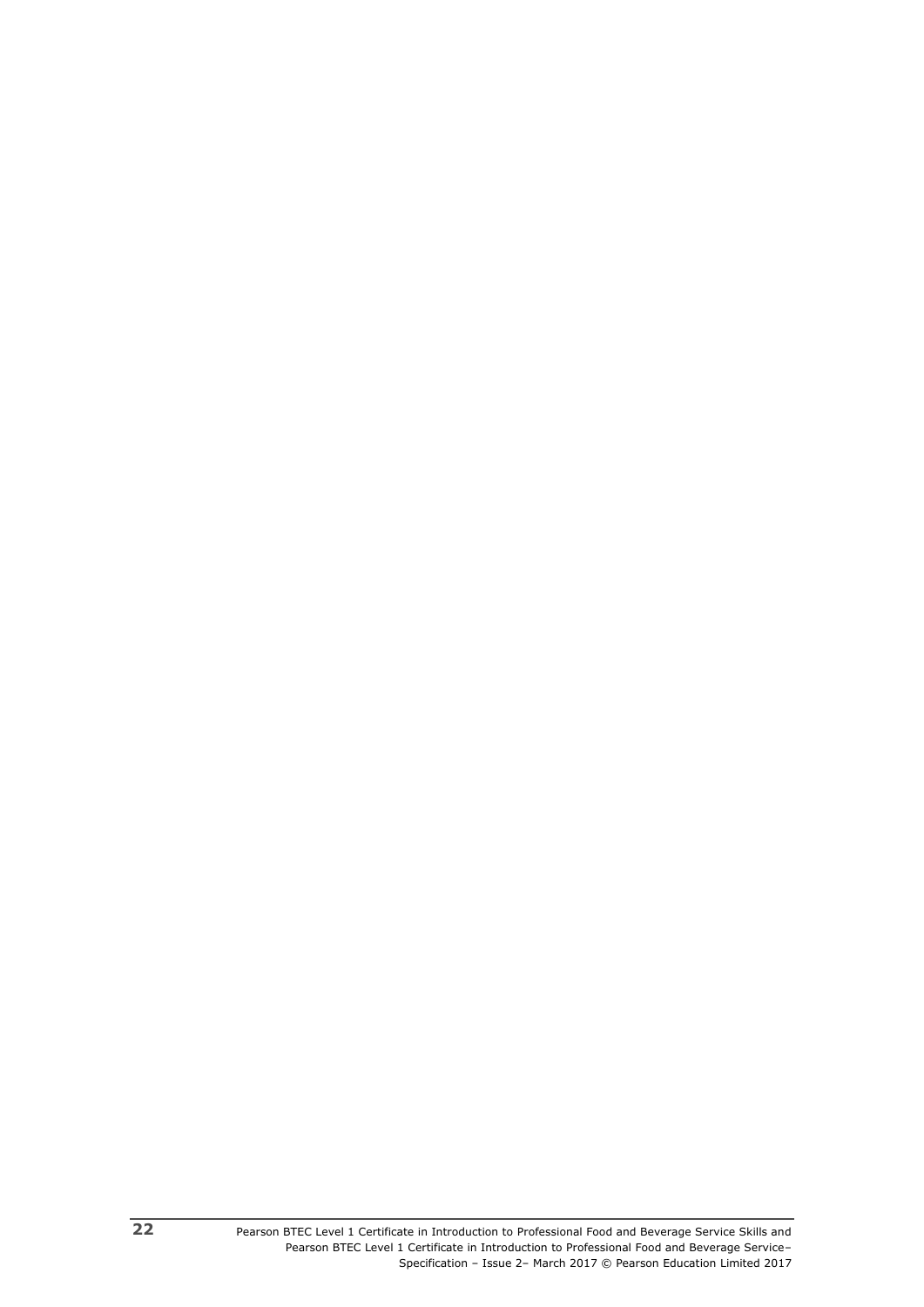#### Pearson BTEC Level 1 Certificate in Introduction to Professional Food and Beverage Service Skills and Pearson BTEC Level 1 Certificate in Introduction to Professional Food and Beverage Service– Specification – Issue 2– March 2017 © Pearson Education Limited 2017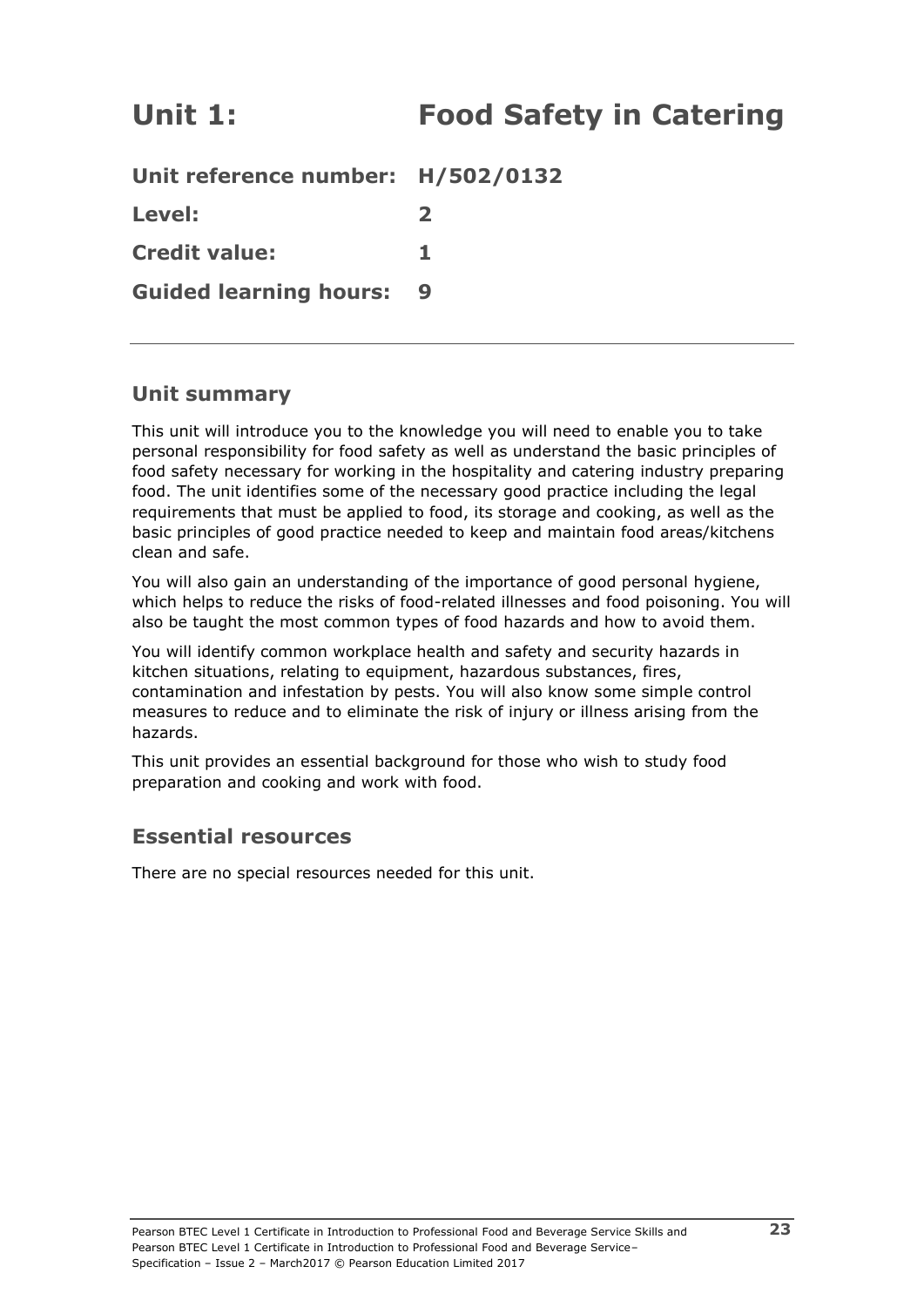### **Unit 1: Food Safety in Catering**

| Unit reference number: H/502/0132 |                  |
|-----------------------------------|------------------|
| Level:                            | $\boldsymbol{z}$ |
| <b>Credit value:</b>              |                  |
| <b>Guided learning hours:</b>     | - 9              |

#### **Unit summary**

This unit will introduce you to the knowledge you will need to enable you to take personal responsibility for food safety as well as understand the basic principles of food safety necessary for working in the hospitality and catering industry preparing food. The unit identifies some of the necessary good practice including the legal requirements that must be applied to food, its storage and cooking, as well as the basic principles of good practice needed to keep and maintain food areas/kitchens clean and safe.

You will also gain an understanding of the importance of good personal hygiene, which helps to reduce the risks of food-related illnesses and food poisoning. You will also be taught the most common types of food hazards and how to avoid them.

You will identify common workplace health and safety and security hazards in kitchen situations, relating to equipment, hazardous substances, fires, contamination and infestation by pests. You will also know some simple control measures to reduce and to eliminate the risk of injury or illness arising from the hazards.

This unit provides an essential background for those who wish to study food preparation and cooking and work with food.

#### **Essential resources**

There are no special resources needed for this unit.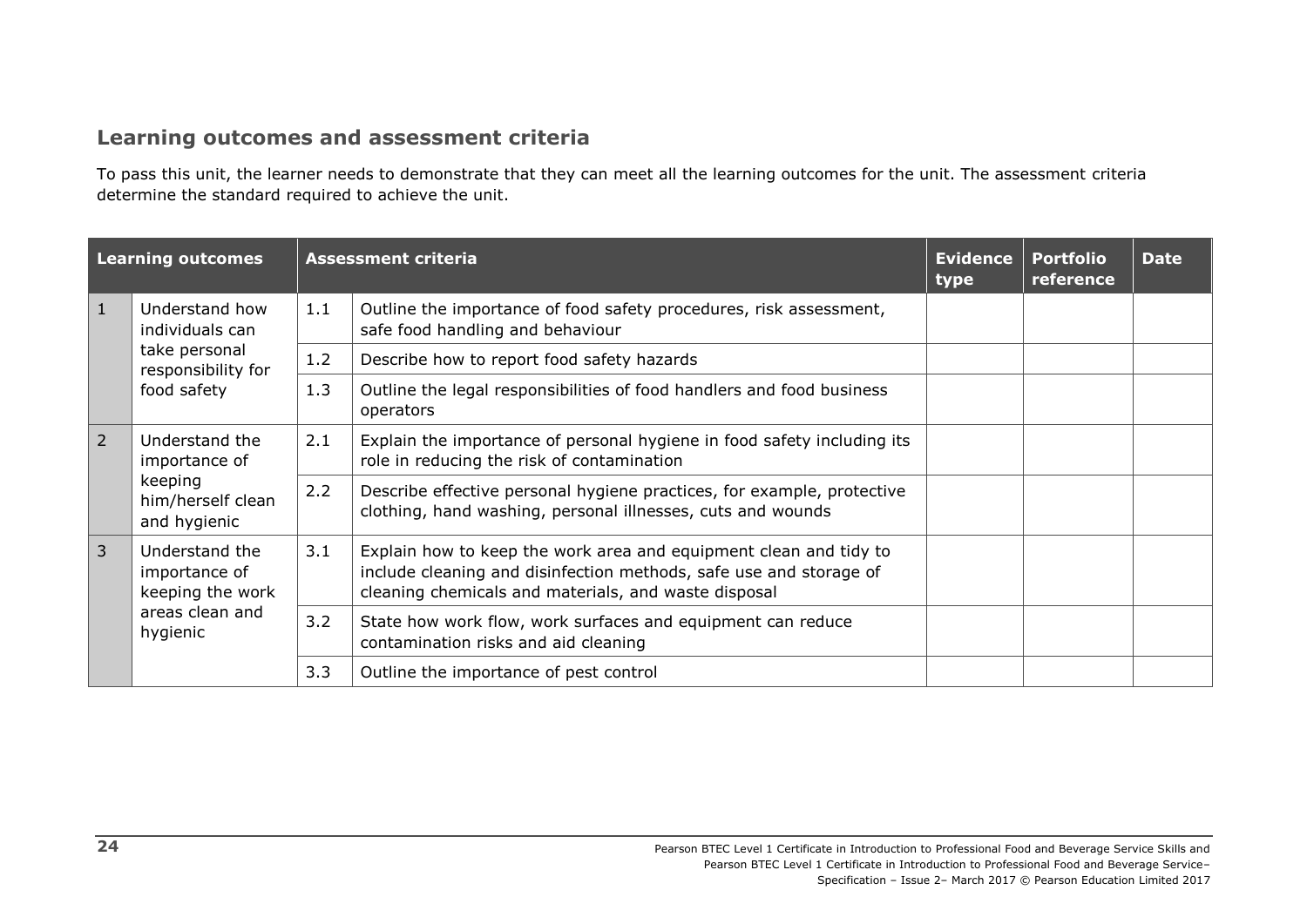#### **Learning outcomes and assessment criteria**

To pass this unit, the learner needs to demonstrate that they can meet all the learning outcomes for the unit. The assessment criteria determine the standard required to achieve the unit.

|                | <b>Learning outcomes</b>                                                                |     | <b>Assessment criteria</b>                                                                                                                                                                      | <b>Evidence</b><br>type | <b>Portfolio</b><br>reference | <b>Date</b> |
|----------------|-----------------------------------------------------------------------------------------|-----|-------------------------------------------------------------------------------------------------------------------------------------------------------------------------------------------------|-------------------------|-------------------------------|-------------|
| $\mathbf{1}$   | Understand how<br>individuals can<br>take personal<br>responsibility for<br>food safety | 1.1 | Outline the importance of food safety procedures, risk assessment,<br>safe food handling and behaviour                                                                                          |                         |                               |             |
|                |                                                                                         | 1.2 | Describe how to report food safety hazards                                                                                                                                                      |                         |                               |             |
|                |                                                                                         | 1.3 | Outline the legal responsibilities of food handlers and food business<br>operators                                                                                                              |                         |                               |             |
| $\overline{2}$ | Understand the<br>importance of<br>keeping<br>him/herself clean<br>and hygienic         | 2.1 | Explain the importance of personal hygiene in food safety including its<br>role in reducing the risk of contamination                                                                           |                         |                               |             |
|                |                                                                                         | 2.2 | Describe effective personal hygiene practices, for example, protective<br>clothing, hand washing, personal illnesses, cuts and wounds                                                           |                         |                               |             |
| $\overline{3}$ | Understand the<br>importance of<br>keeping the work<br>areas clean and<br>hygienic      | 3.1 | Explain how to keep the work area and equipment clean and tidy to<br>include cleaning and disinfection methods, safe use and storage of<br>cleaning chemicals and materials, and waste disposal |                         |                               |             |
|                |                                                                                         | 3.2 | State how work flow, work surfaces and equipment can reduce<br>contamination risks and aid cleaning                                                                                             |                         |                               |             |
|                |                                                                                         | 3.3 | Outline the importance of pest control                                                                                                                                                          |                         |                               |             |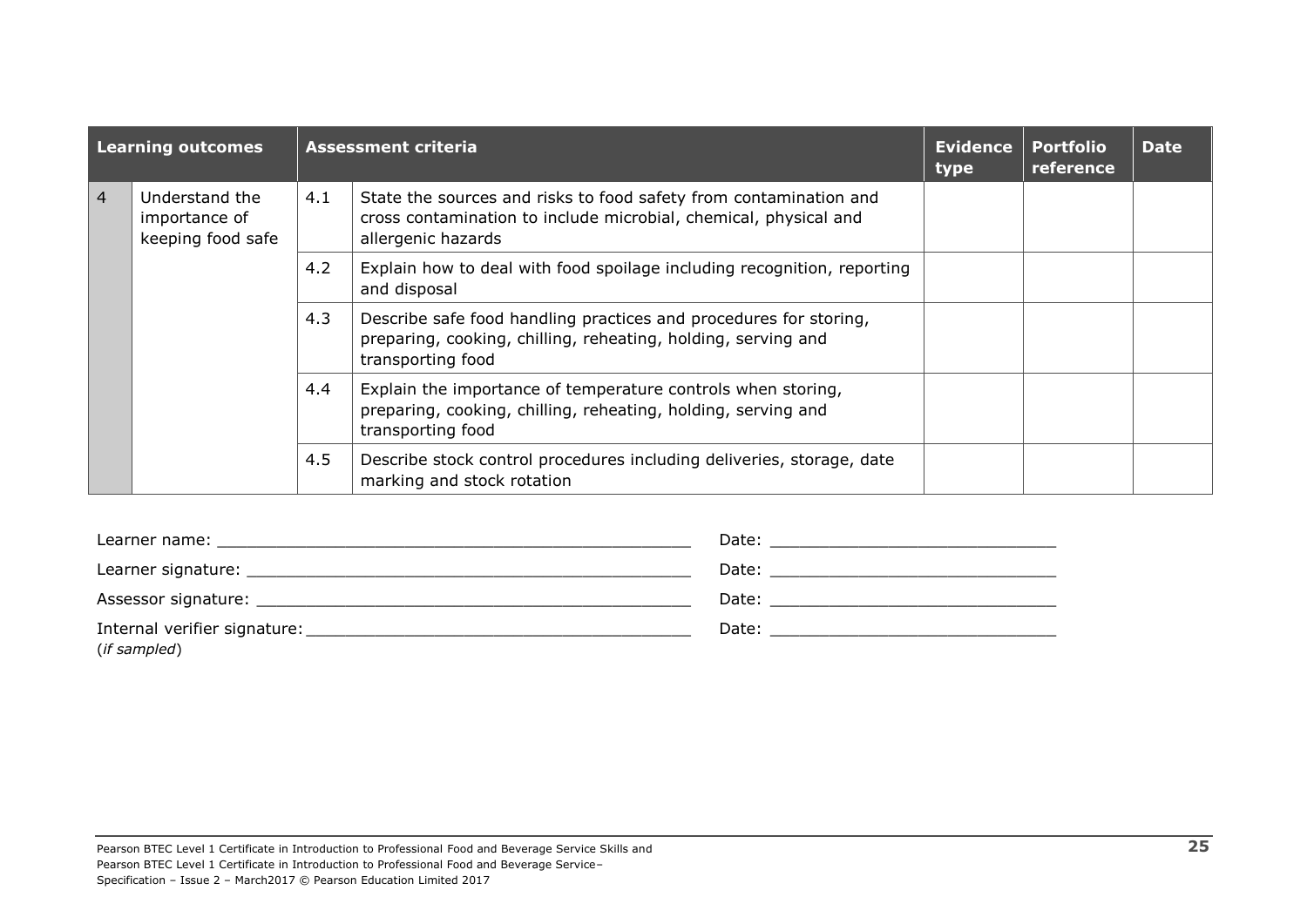|                | Learning outcomes                                    | <b>Assessment criteria</b><br><b>Evidence</b><br>type |                                                                                                                                                             | <b>Portfolio</b><br>reference | <b>Date</b> |  |
|----------------|------------------------------------------------------|-------------------------------------------------------|-------------------------------------------------------------------------------------------------------------------------------------------------------------|-------------------------------|-------------|--|
| $\overline{4}$ | Understand the<br>importance of<br>keeping food safe | 4.1                                                   | State the sources and risks to food safety from contamination and<br>cross contamination to include microbial, chemical, physical and<br>allergenic hazards |                               |             |  |
|                |                                                      | 4.2                                                   | Explain how to deal with food spoilage including recognition, reporting<br>and disposal                                                                     |                               |             |  |
|                |                                                      | 4.3                                                   | Describe safe food handling practices and procedures for storing,<br>preparing, cooking, chilling, reheating, holding, serving and<br>transporting food     |                               |             |  |
|                |                                                      | 4.4                                                   | Explain the importance of temperature controls when storing,<br>preparing, cooking, chilling, reheating, holding, serving and<br>transporting food          |                               |             |  |
|                |                                                      | 4.5                                                   | Describe stock control procedures including deliveries, storage, date<br>marking and stock rotation                                                         |                               |             |  |

|                                                                                                                                                                                                                                | Date:<br>the contract of the contract of the contract of the contract of the contract of the contract of                                                                                                                       |
|--------------------------------------------------------------------------------------------------------------------------------------------------------------------------------------------------------------------------------|--------------------------------------------------------------------------------------------------------------------------------------------------------------------------------------------------------------------------------|
| Learner signature: North and September 2014 and September 2014 and September 2014 and September 2014 and September 2014 and September 2014 and September 2014 and September 2014 and September 2014 and September 2014 and Sep | Date:<br><u> 1980 - Jan Stein Berlin, Amerikaansk politiker (</u>                                                                                                                                                              |
| Assessor signature: National Assessor Signature:                                                                                                                                                                               | Date: the contract of the contract of the contract of the contract of the contract of the contract of the contract of the contract of the contract of the contract of the contract of the contract of the contract of the cont |
| (if sampled)                                                                                                                                                                                                                   | Date: the contract of the contract of the contract of the contract of the contract of the contract of the contract of the contract of the contract of the contract of the contract of the contract of the contract of the cont |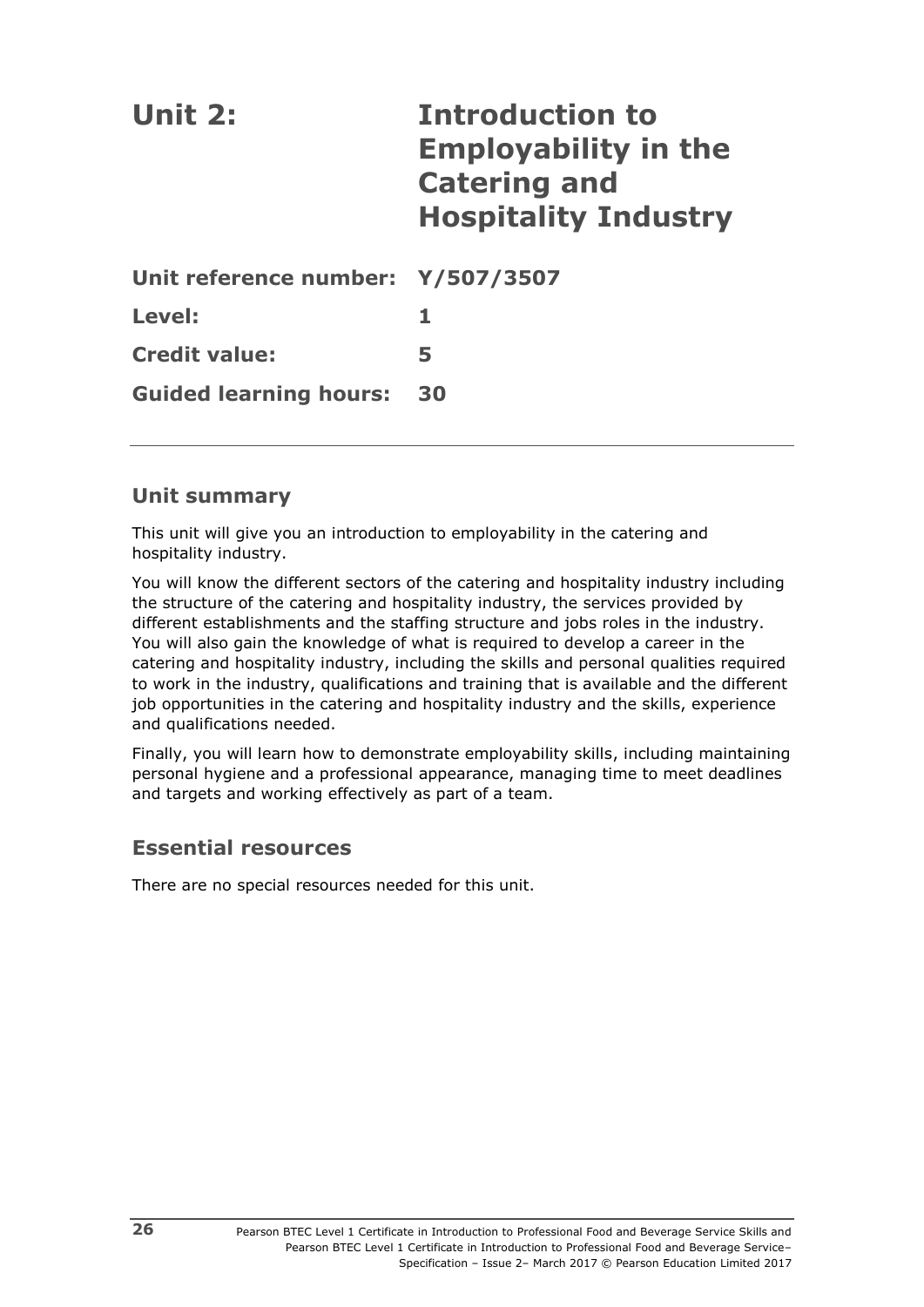| Unit 2:                           | <b>Introduction to</b><br><b>Employability in the</b><br><b>Catering and</b><br><b>Hospitality Industry</b> |
|-----------------------------------|-------------------------------------------------------------------------------------------------------------|
| Unit reference number: Y/507/3507 |                                                                                                             |
| Level:                            | 1.                                                                                                          |
| <b>Credit value:</b>              | 5                                                                                                           |
| <b>Guided learning hours:</b>     | 30                                                                                                          |

#### **Unit summary**

This unit will give you an introduction to employability in the catering and hospitality industry.

You will know the different sectors of the catering and hospitality industry including the structure of the catering and hospitality industry, the services provided by different establishments and the staffing structure and jobs roles in the industry. You will also gain the knowledge of what is required to develop a career in the catering and hospitality industry, including the skills and personal qualities required to work in the industry, qualifications and training that is available and the different job opportunities in the catering and hospitality industry and the skills, experience and qualifications needed.

Finally, you will learn how to demonstrate employability skills, including maintaining personal hygiene and a professional appearance, managing time to meet deadlines and targets and working effectively as part of a team.

#### **Essential resources**

There are no special resources needed for this unit.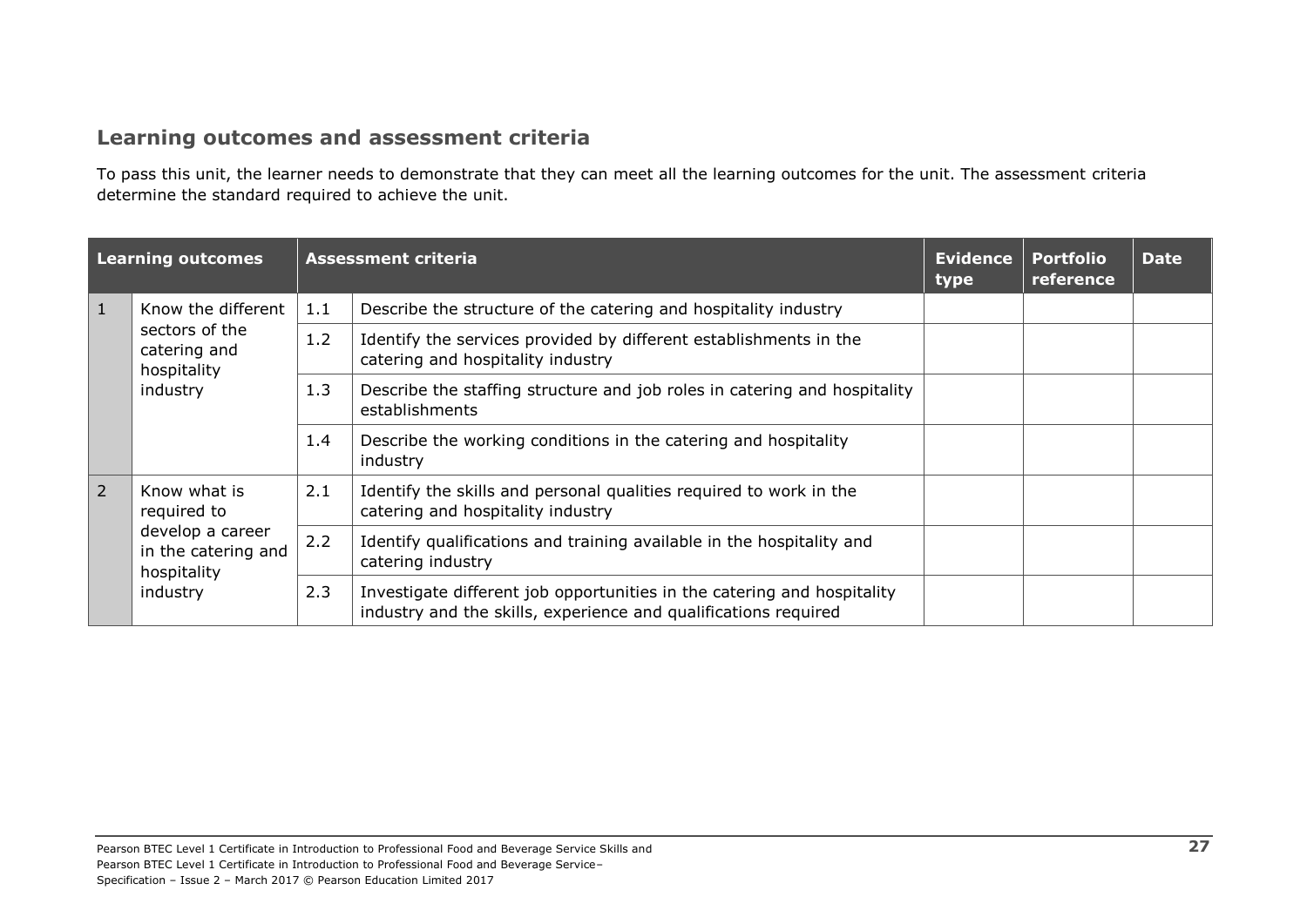### **Learning outcomes and assessment criteria**

To pass this unit, the learner needs to demonstrate that they can meet all the learning outcomes for the unit. The assessment criteria determine the standard required to achieve the unit.

| <b>Learning outcomes</b> |                                                                                                   |     | <b>Assessment criteria</b>                                                                                                                 | <b>Evidence</b><br>type | <b>Portfolio</b><br>reference | <b>Date</b> |
|--------------------------|---------------------------------------------------------------------------------------------------|-----|--------------------------------------------------------------------------------------------------------------------------------------------|-------------------------|-------------------------------|-------------|
| $\mathbf{1}$             | Know the different                                                                                | 1.1 | Describe the structure of the catering and hospitality industry                                                                            |                         |                               |             |
|                          | sectors of the<br>catering and<br>hospitality<br>industry                                         | 1.2 | Identify the services provided by different establishments in the<br>catering and hospitality industry                                     |                         |                               |             |
|                          |                                                                                                   | 1.3 | Describe the staffing structure and job roles in catering and hospitality<br>establishments                                                |                         |                               |             |
|                          |                                                                                                   | 1.4 | Describe the working conditions in the catering and hospitality<br>industry                                                                |                         |                               |             |
| 2                        | Know what is<br>required to<br>develop a career<br>in the catering and<br>hospitality<br>industry | 2.1 | Identify the skills and personal qualities required to work in the<br>catering and hospitality industry                                    |                         |                               |             |
|                          |                                                                                                   | 2.2 | Identify qualifications and training available in the hospitality and<br>catering industry                                                 |                         |                               |             |
|                          |                                                                                                   | 2.3 | Investigate different job opportunities in the catering and hospitality<br>industry and the skills, experience and qualifications required |                         |                               |             |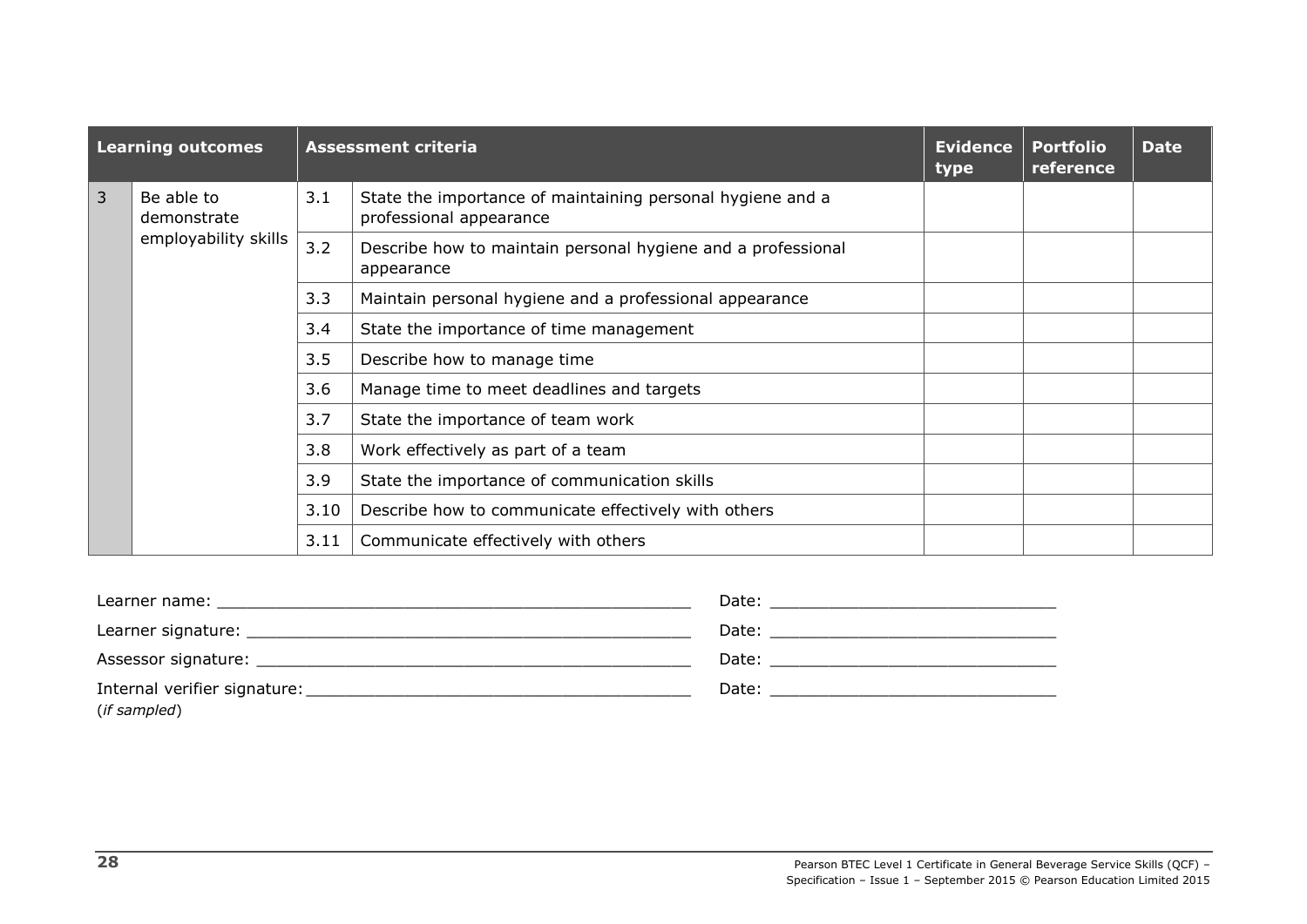| <b>Learning outcomes</b> |                           |      | <b>Assessment criteria</b>                                                            | <b>Evidence</b><br>type | <b>Portfolio</b><br>reference | <b>Date</b> |
|--------------------------|---------------------------|------|---------------------------------------------------------------------------------------|-------------------------|-------------------------------|-------------|
| 3                        | Be able to<br>demonstrate | 3.1  | State the importance of maintaining personal hygiene and a<br>professional appearance |                         |                               |             |
|                          | employability skills      | 3.2  | Describe how to maintain personal hygiene and a professional<br>appearance            |                         |                               |             |
|                          |                           | 3.3  | Maintain personal hygiene and a professional appearance                               |                         |                               |             |
|                          |                           | 3.4  | State the importance of time management                                               |                         |                               |             |
|                          |                           | 3.5  | Describe how to manage time                                                           |                         |                               |             |
|                          |                           | 3.6  | Manage time to meet deadlines and targets                                             |                         |                               |             |
|                          |                           | 3.7  | State the importance of team work                                                     |                         |                               |             |
|                          |                           | 3.8  | Work effectively as part of a team                                                    |                         |                               |             |
|                          |                           | 3.9  | State the importance of communication skills                                          |                         |                               |             |
|                          |                           | 3.10 | Describe how to communicate effectively with others                                   |                         |                               |             |
|                          |                           | 3.11 | Communicate effectively with others                                                   |                         |                               |             |

|                                                                                                                                                                                                                                                | Date:<br><u> 1980 - Jan Stein Stein Stein Stein Stein Stein Stein Stein Stein Stein Stein Stein Stein Stein Stein Stein S</u>                                                                                                  |
|------------------------------------------------------------------------------------------------------------------------------------------------------------------------------------------------------------------------------------------------|--------------------------------------------------------------------------------------------------------------------------------------------------------------------------------------------------------------------------------|
| Learner signature:                                                                                                                                                                                                                             |                                                                                                                                                                                                                                |
|                                                                                                                                                                                                                                                |                                                                                                                                                                                                                                |
| Internal verifier signature: North and the state of the state of the state of the state of the state of the state of the state of the state of the state of the state of the state of the state of the state of the state of t<br>(if sampled) | Date: the contract of the contract of the contract of the contract of the contract of the contract of the contract of the contract of the contract of the contract of the contract of the contract of the contract of the cont |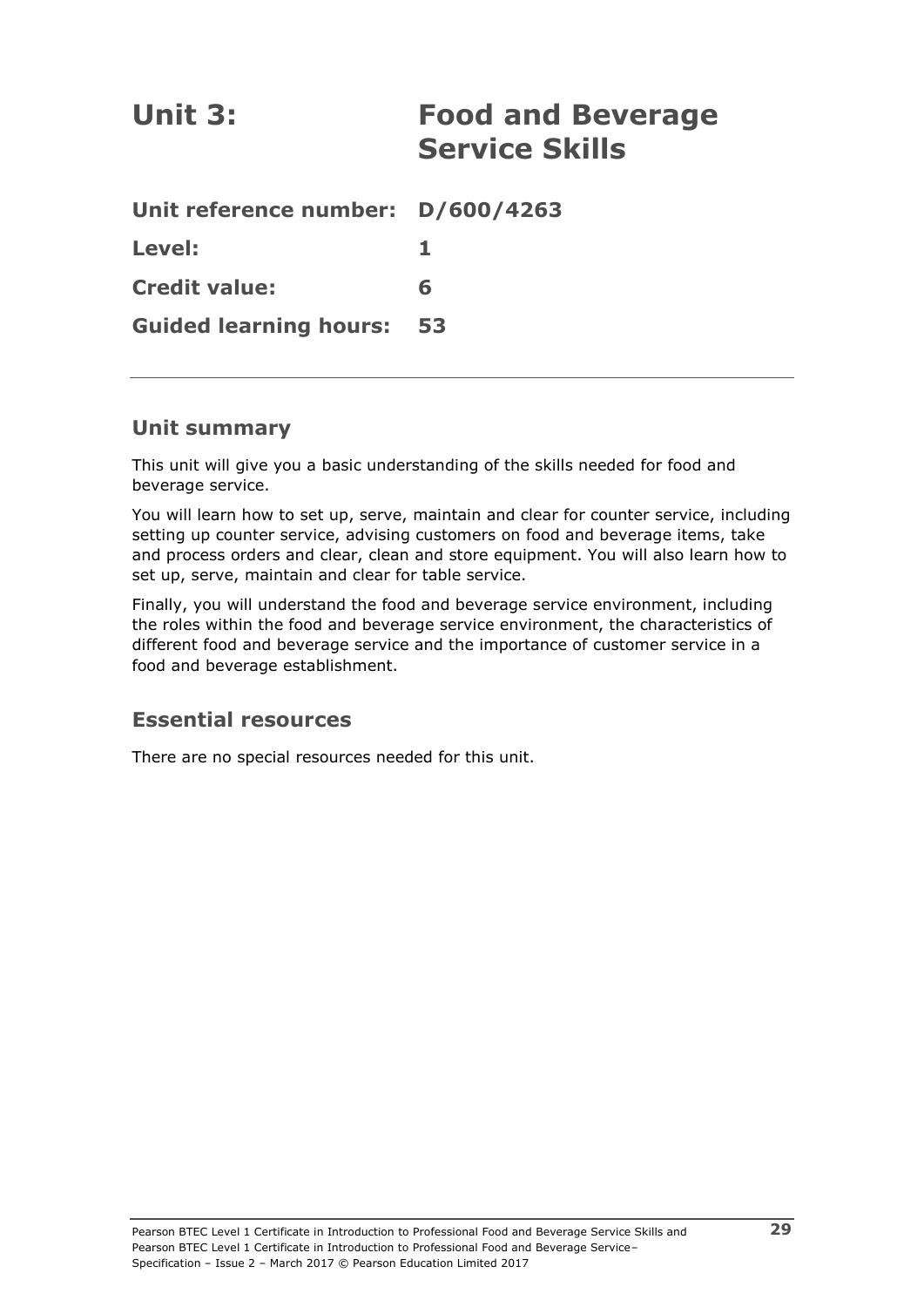| Unit 3:                           | <b>Food and Beverage</b><br><b>Service Skills</b> |
|-----------------------------------|---------------------------------------------------|
| Unit reference number: D/600/4263 |                                                   |
| Level:                            |                                                   |
| <b>Credit value:</b>              | 6                                                 |
| <b>Guided learning hours:</b>     | 53                                                |

#### **Unit summary**

This unit will give you a basic understanding of the skills needed for food and beverage service.

You will learn how to set up, serve, maintain and clear for counter service, including setting up counter service, advising customers on food and beverage items, take and process orders and clear, clean and store equipment. You will also learn how to set up, serve, maintain and clear for table service.

Finally, you will understand the food and beverage service environment, including the roles within the food and beverage service environment, the characteristics of different food and beverage service and the importance of customer service in a food and beverage establishment.

#### **Essential resources**

There are no special resources needed for this unit.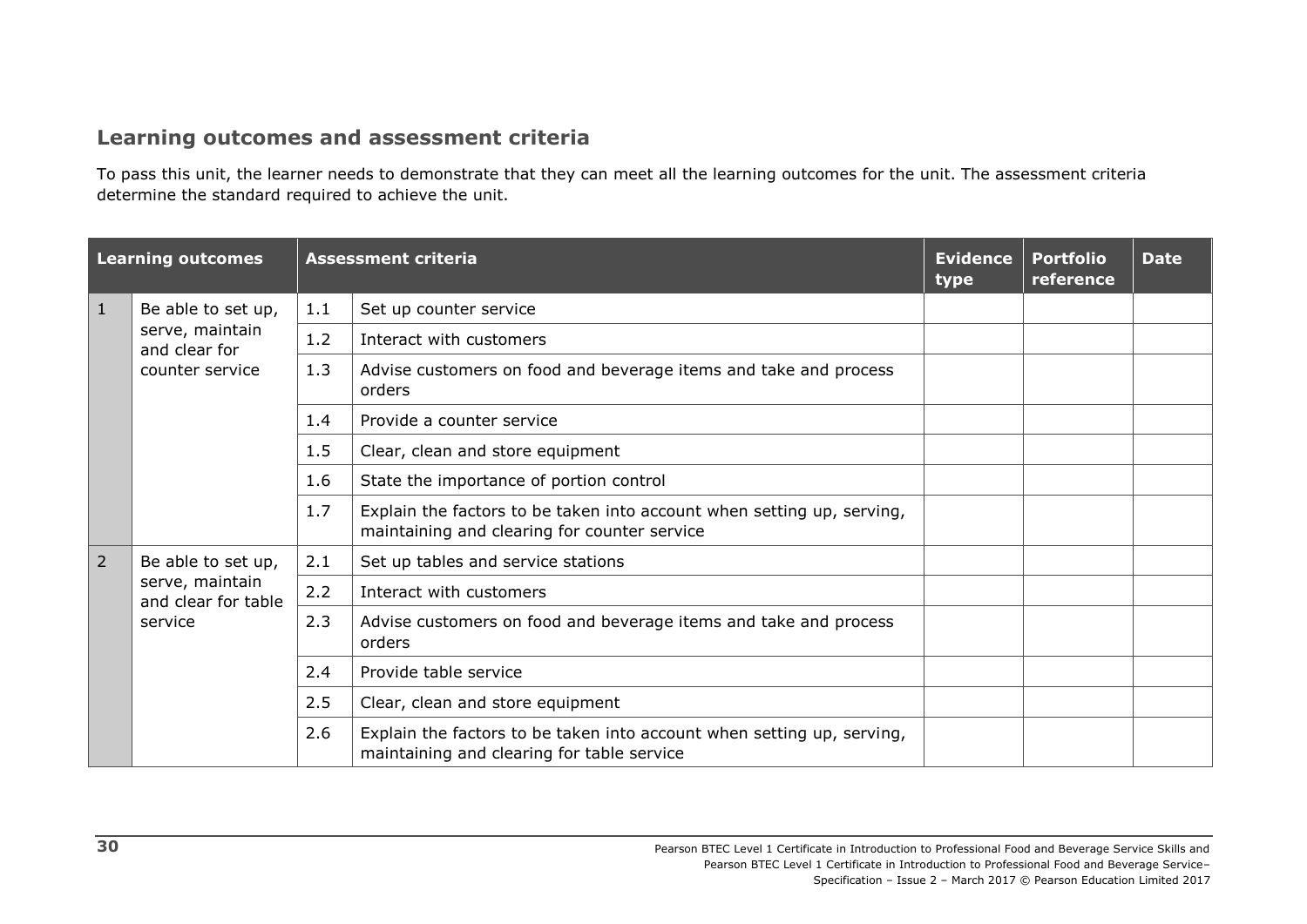#### **Learning outcomes and assessment criteria**

To pass this unit, the learner needs to demonstrate that they can meet all the learning outcomes for the unit. The assessment criteria determine the standard required to achieve the unit.

|                | <b>Learning outcomes</b>                                                |     | <b>Assessment criteria</b>                                                                                             | <b>Evidence</b><br>type | <b>Portfolio</b><br>reference | <b>Date</b> |
|----------------|-------------------------------------------------------------------------|-----|------------------------------------------------------------------------------------------------------------------------|-------------------------|-------------------------------|-------------|
| $\mathbf{1}$   | Be able to set up,                                                      | 1.1 | Set up counter service                                                                                                 |                         |                               |             |
|                | serve, maintain<br>and clear for<br>counter service                     | 1.2 | Interact with customers                                                                                                |                         |                               |             |
|                |                                                                         | 1.3 | Advise customers on food and beverage items and take and process<br>orders                                             |                         |                               |             |
|                |                                                                         | 1.4 | Provide a counter service                                                                                              |                         |                               |             |
|                |                                                                         | 1.5 | Clear, clean and store equipment                                                                                       |                         |                               |             |
|                |                                                                         | 1.6 | State the importance of portion control                                                                                |                         |                               |             |
|                |                                                                         | 1.7 | Explain the factors to be taken into account when setting up, serving,<br>maintaining and clearing for counter service |                         |                               |             |
| $\overline{2}$ | Be able to set up,<br>serve, maintain<br>and clear for table<br>service | 2.1 | Set up tables and service stations                                                                                     |                         |                               |             |
|                |                                                                         | 2.2 | Interact with customers                                                                                                |                         |                               |             |
|                |                                                                         | 2.3 | Advise customers on food and beverage items and take and process<br>orders                                             |                         |                               |             |
|                |                                                                         | 2.4 | Provide table service                                                                                                  |                         |                               |             |
|                |                                                                         | 2.5 | Clear, clean and store equipment                                                                                       |                         |                               |             |
|                |                                                                         | 2.6 | Explain the factors to be taken into account when setting up, serving,<br>maintaining and clearing for table service   |                         |                               |             |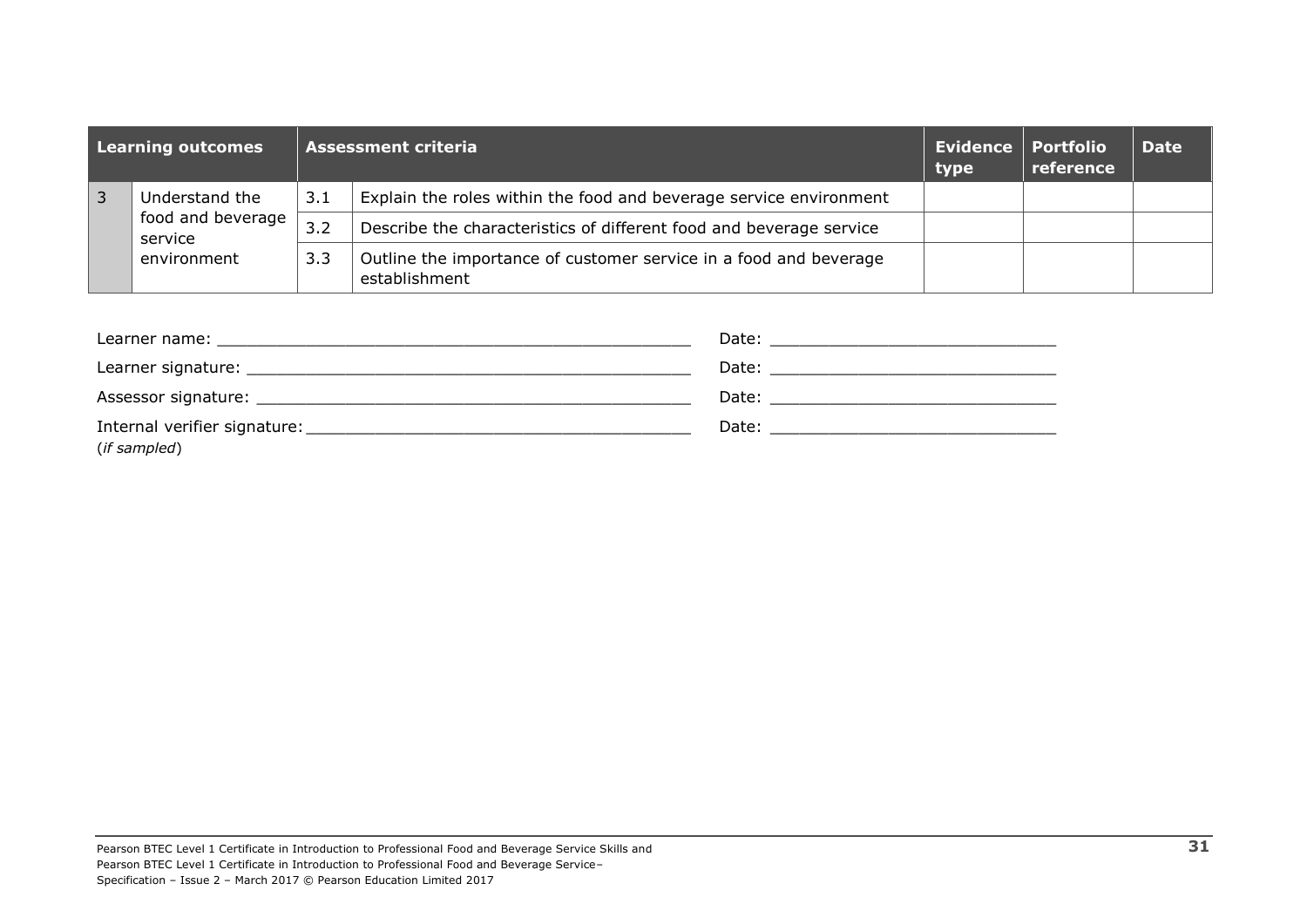|  | <b>Learning outcomes</b>     |     | <b>Assessment criteria</b>                                                         | Evidence   Portfolio<br>type | reference | <b>Date</b> |
|--|------------------------------|-----|------------------------------------------------------------------------------------|------------------------------|-----------|-------------|
|  | Understand the               | 3.1 | Explain the roles within the food and beverage service environment                 |                              |           |             |
|  | food and beverage<br>service | 3.2 | Describe the characteristics of different food and beverage service                |                              |           |             |
|  | environment                  | 3.3 | Outline the importance of customer service in a food and beverage<br>establishment |                              |           |             |

|              | Date:<br><u> 1980 - Jan Barbara, martin da shekara 1980 - An tsa a tsa a tsa a tsa a tsa a tsa a tsa a tsa a tsa a tsa a t</u>                                                                                                 |
|--------------|--------------------------------------------------------------------------------------------------------------------------------------------------------------------------------------------------------------------------------|
|              |                                                                                                                                                                                                                                |
|              |                                                                                                                                                                                                                                |
| (if sampled) | Date: the contract of the contract of the contract of the contract of the contract of the contract of the contract of the contract of the contract of the contract of the contract of the contract of the contract of the cont |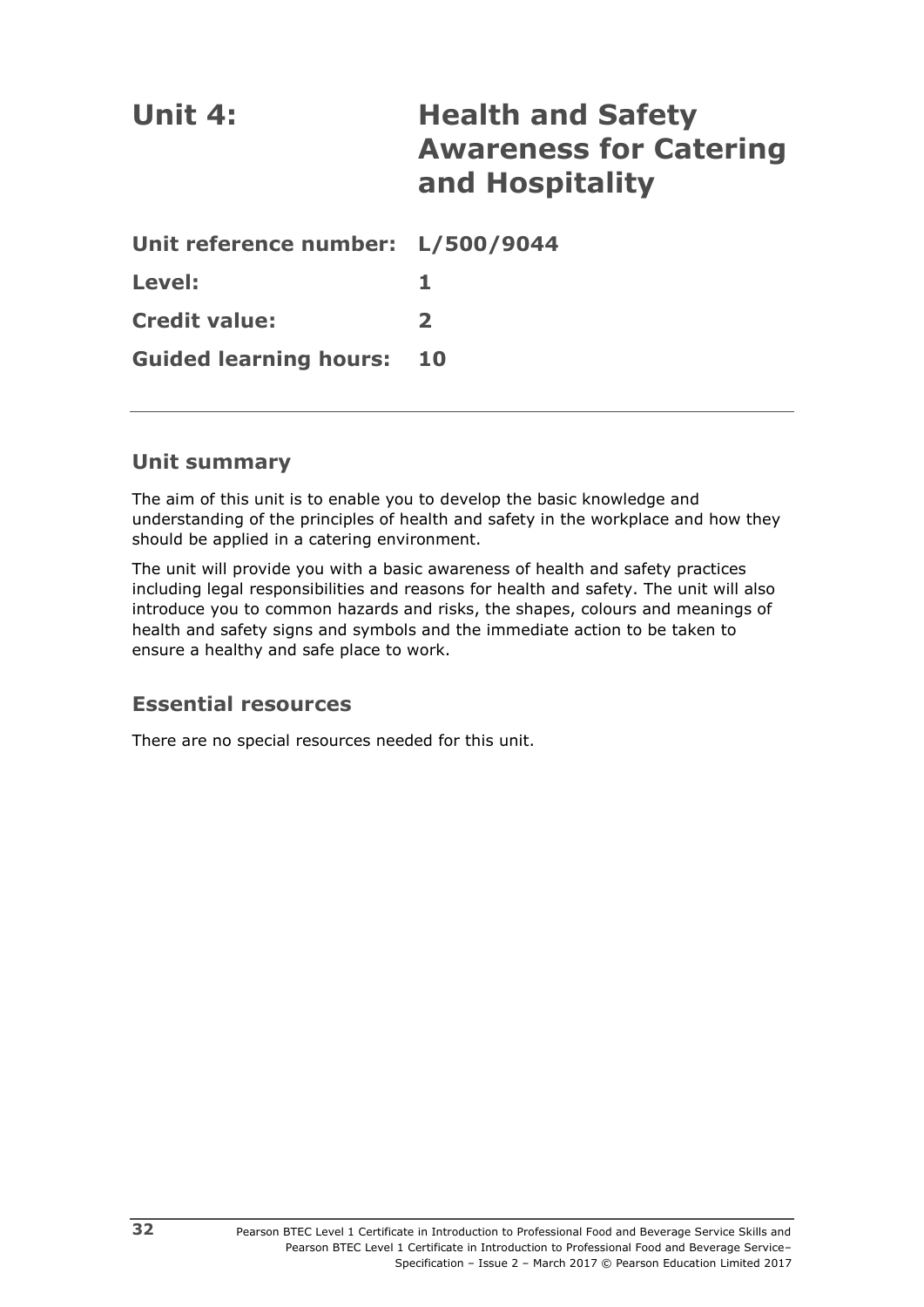| Unit 4:                           | <b>Health and Safety</b><br><b>Awareness for Catering</b><br>and Hospitality |
|-----------------------------------|------------------------------------------------------------------------------|
| Unit reference number: L/500/9044 |                                                                              |
| Level:                            |                                                                              |
| <b>Credit value:</b>              | $\overline{\mathbf{2}}$                                                      |
| <b>Guided learning hours:</b>     | 10                                                                           |

#### **Unit summary**

The aim of this unit is to enable you to develop the basic knowledge and understanding of the principles of health and safety in the workplace and how they should be applied in a catering environment.

The unit will provide you with a basic awareness of health and safety practices including legal responsibilities and reasons for health and safety. The unit will also introduce you to common hazards and risks, the shapes, colours and meanings of health and safety signs and symbols and the immediate action to be taken to ensure a healthy and safe place to work.

#### **Essential resources**

There are no special resources needed for this unit.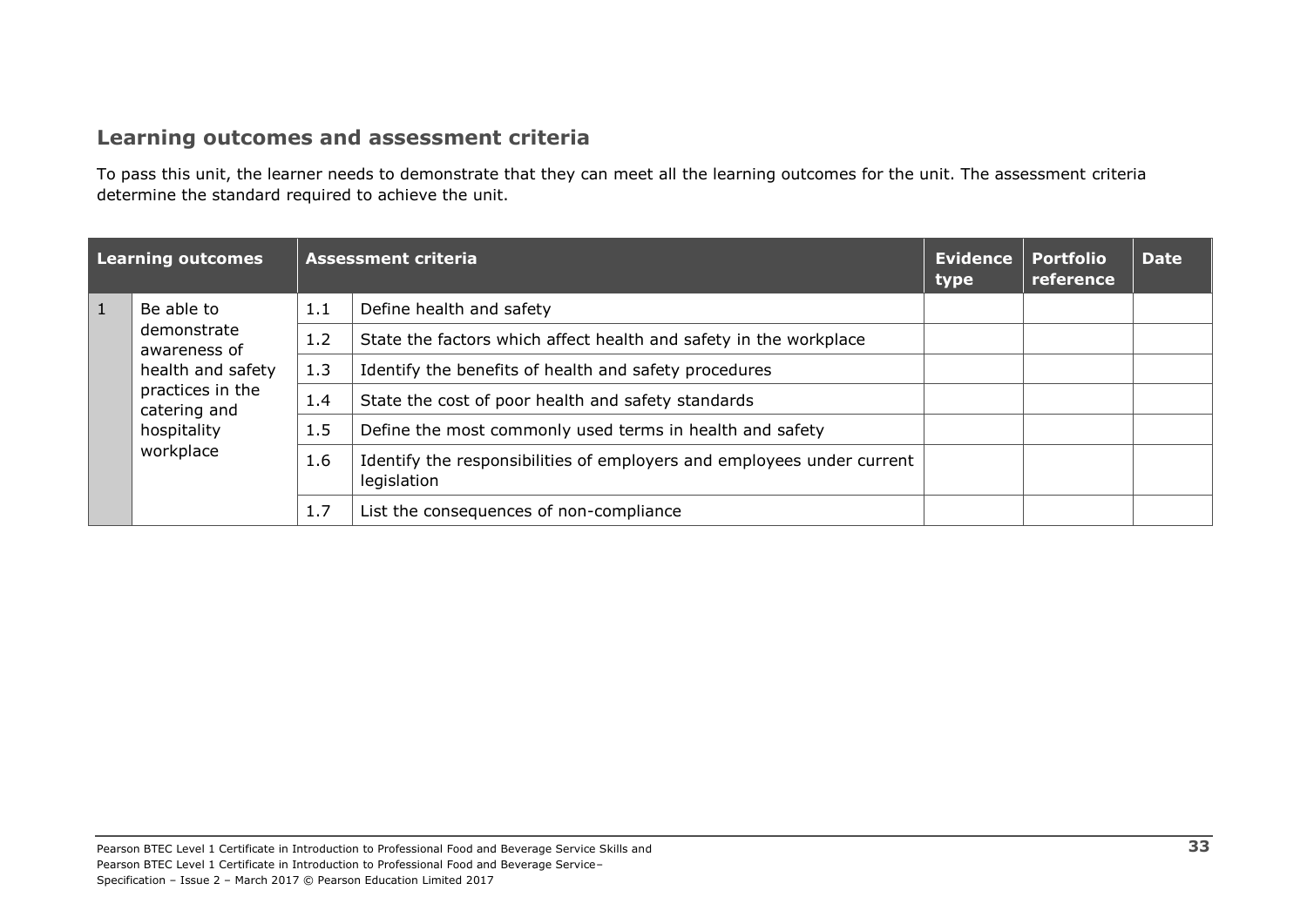### **Learning outcomes and assessment criteria**

To pass this unit, the learner needs to demonstrate that they can meet all the learning outcomes for the unit. The assessment criteria determine the standard required to achieve the unit.

| Learning outcomes |                                                                                                                  |     | <b>Assessment criteria</b>                                                            | <b>Evidence</b><br>type | <b>Portfolio</b><br>reference | <b>Date</b> |
|-------------------|------------------------------------------------------------------------------------------------------------------|-----|---------------------------------------------------------------------------------------|-------------------------|-------------------------------|-------------|
| $\overline{1}$    | Be able to                                                                                                       | 1.1 | Define health and safety                                                              |                         |                               |             |
|                   | demonstrate<br>awareness of<br>health and safety<br>practices in the<br>catering and<br>hospitality<br>workplace | 1.2 | State the factors which affect health and safety in the workplace                     |                         |                               |             |
|                   |                                                                                                                  | 1.3 | Identify the benefits of health and safety procedures                                 |                         |                               |             |
|                   |                                                                                                                  | 1.4 | State the cost of poor health and safety standards                                    |                         |                               |             |
|                   |                                                                                                                  | 1.5 | Define the most commonly used terms in health and safety                              |                         |                               |             |
|                   |                                                                                                                  | 1.6 | Identify the responsibilities of employers and employees under current<br>legislation |                         |                               |             |
|                   |                                                                                                                  | 1.7 | List the consequences of non-compliance                                               |                         |                               |             |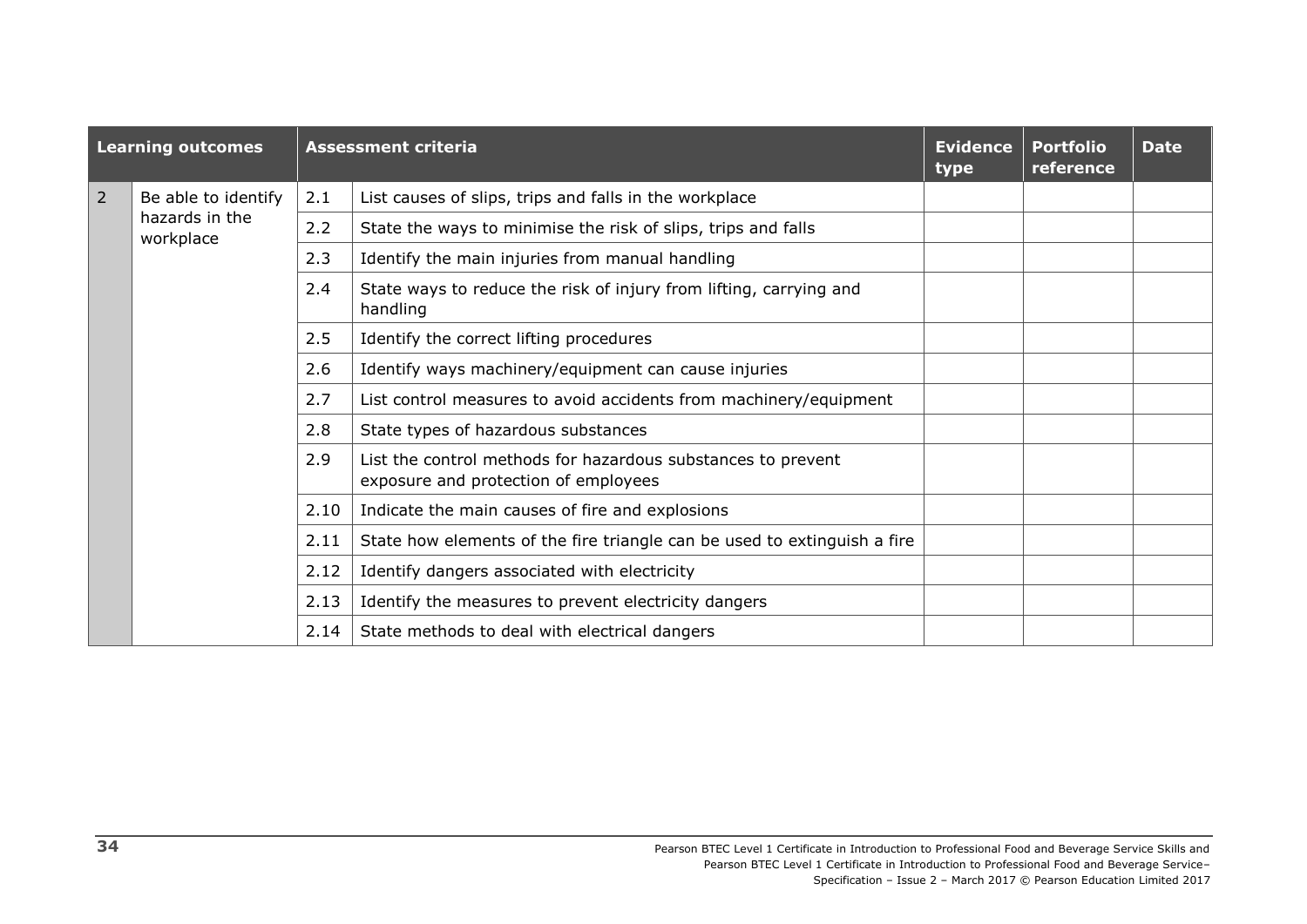| <b>Learning outcomes</b> |                             |      | <b>Assessment criteria</b>                                                                           | <b>Evidence</b><br>type | <b>Portfolio</b><br>reference | <b>Date</b> |
|--------------------------|-----------------------------|------|------------------------------------------------------------------------------------------------------|-------------------------|-------------------------------|-------------|
| $\overline{2}$           | Be able to identify         | 2.1  | List causes of slips, trips and falls in the workplace                                               |                         |                               |             |
|                          | hazards in the<br>workplace | 2.2  | State the ways to minimise the risk of slips, trips and falls                                        |                         |                               |             |
|                          |                             | 2.3  | Identify the main injuries from manual handling                                                      |                         |                               |             |
|                          |                             | 2.4  | State ways to reduce the risk of injury from lifting, carrying and<br>handling                       |                         |                               |             |
|                          |                             | 2.5  | Identify the correct lifting procedures                                                              |                         |                               |             |
|                          |                             | 2.6  | Identify ways machinery/equipment can cause injuries                                                 |                         |                               |             |
|                          |                             | 2.7  | List control measures to avoid accidents from machinery/equipment                                    |                         |                               |             |
|                          |                             | 2.8  | State types of hazardous substances                                                                  |                         |                               |             |
|                          |                             | 2.9  | List the control methods for hazardous substances to prevent<br>exposure and protection of employees |                         |                               |             |
|                          |                             | 2.10 | Indicate the main causes of fire and explosions                                                      |                         |                               |             |
|                          |                             | 2.11 | State how elements of the fire triangle can be used to extinguish a fire                             |                         |                               |             |
|                          |                             | 2.12 | Identify dangers associated with electricity                                                         |                         |                               |             |
|                          |                             | 2.13 | Identify the measures to prevent electricity dangers                                                 |                         |                               |             |
|                          |                             | 2.14 | State methods to deal with electrical dangers                                                        |                         |                               |             |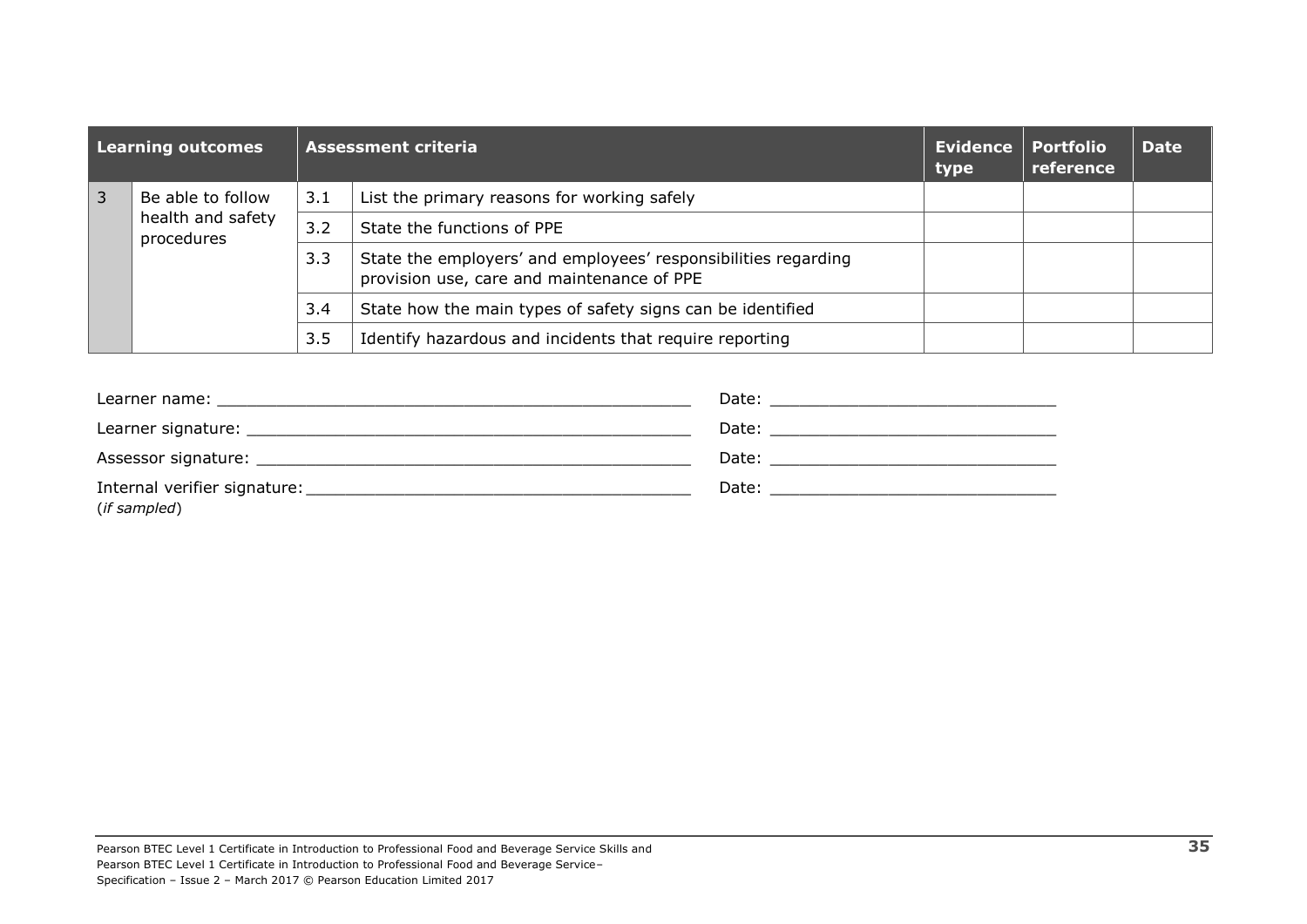| Learning outcomes |                                 |     | <b>Assessment criteria</b>                                                                                   | <b>Evidence</b><br>type. | Portfolio<br>reference | <b>Date</b> |
|-------------------|---------------------------------|-----|--------------------------------------------------------------------------------------------------------------|--------------------------|------------------------|-------------|
|                   | Be able to follow               | 3.1 | List the primary reasons for working safely                                                                  |                          |                        |             |
|                   | health and safety<br>procedures | 3.2 | State the functions of PPE                                                                                   |                          |                        |             |
|                   |                                 | 3.3 | State the employers' and employees' responsibilities regarding<br>provision use, care and maintenance of PPE |                          |                        |             |
|                   |                                 | 3.4 | State how the main types of safety signs can be identified                                                   |                          |                        |             |
|                   |                                 | 3.5 | Identify hazardous and incidents that require reporting                                                      |                          |                        |             |

|                                                                                                                                 | Date:                                                                                                                                                                                                                          |
|---------------------------------------------------------------------------------------------------------------------------------|--------------------------------------------------------------------------------------------------------------------------------------------------------------------------------------------------------------------------------|
|                                                                                                                                 | Date:                                                                                                                                                                                                                          |
|                                                                                                                                 |                                                                                                                                                                                                                                |
| Internal verifier signature: University of the state of the state of the state of the state of the state of the<br>(if sampled) | Date: the contract of the contract of the contract of the contract of the contract of the contract of the contract of the contract of the contract of the contract of the contract of the contract of the contract of the cont |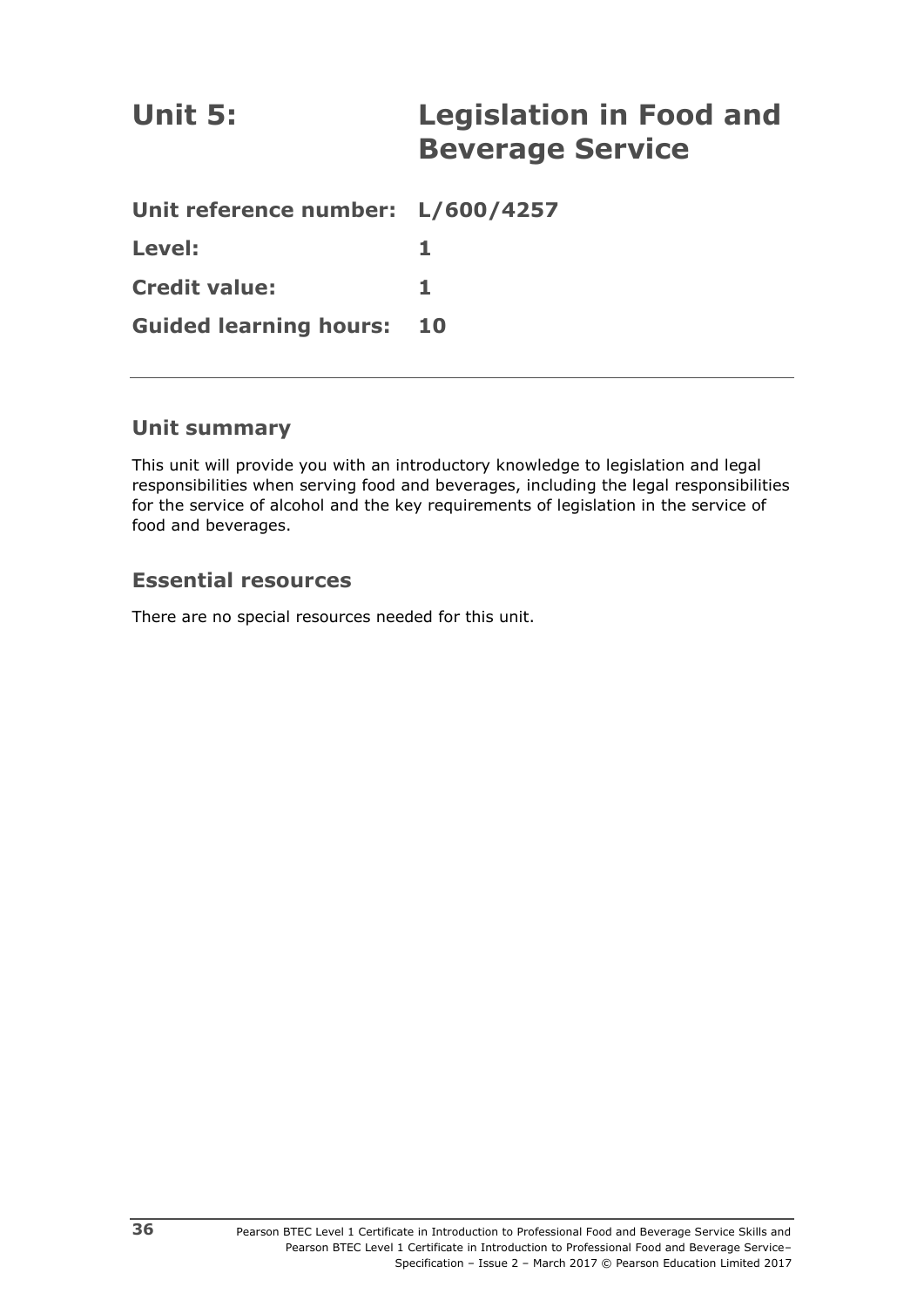| Unit 5:                           | <b>Legislation in Food and</b><br><b>Beverage Service</b> |
|-----------------------------------|-----------------------------------------------------------|
| Unit reference number: L/600/4257 |                                                           |
| Level:                            |                                                           |
| <b>Credit value:</b>              |                                                           |
| <b>Guided learning hours:</b>     | <b>10</b>                                                 |

#### **Unit summary**

This unit will provide you with an introductory knowledge to legislation and legal responsibilities when serving food and beverages, including the legal responsibilities for the service of alcohol and the key requirements of legislation in the service of food and beverages.

#### **Essential resources**

There are no special resources needed for this unit.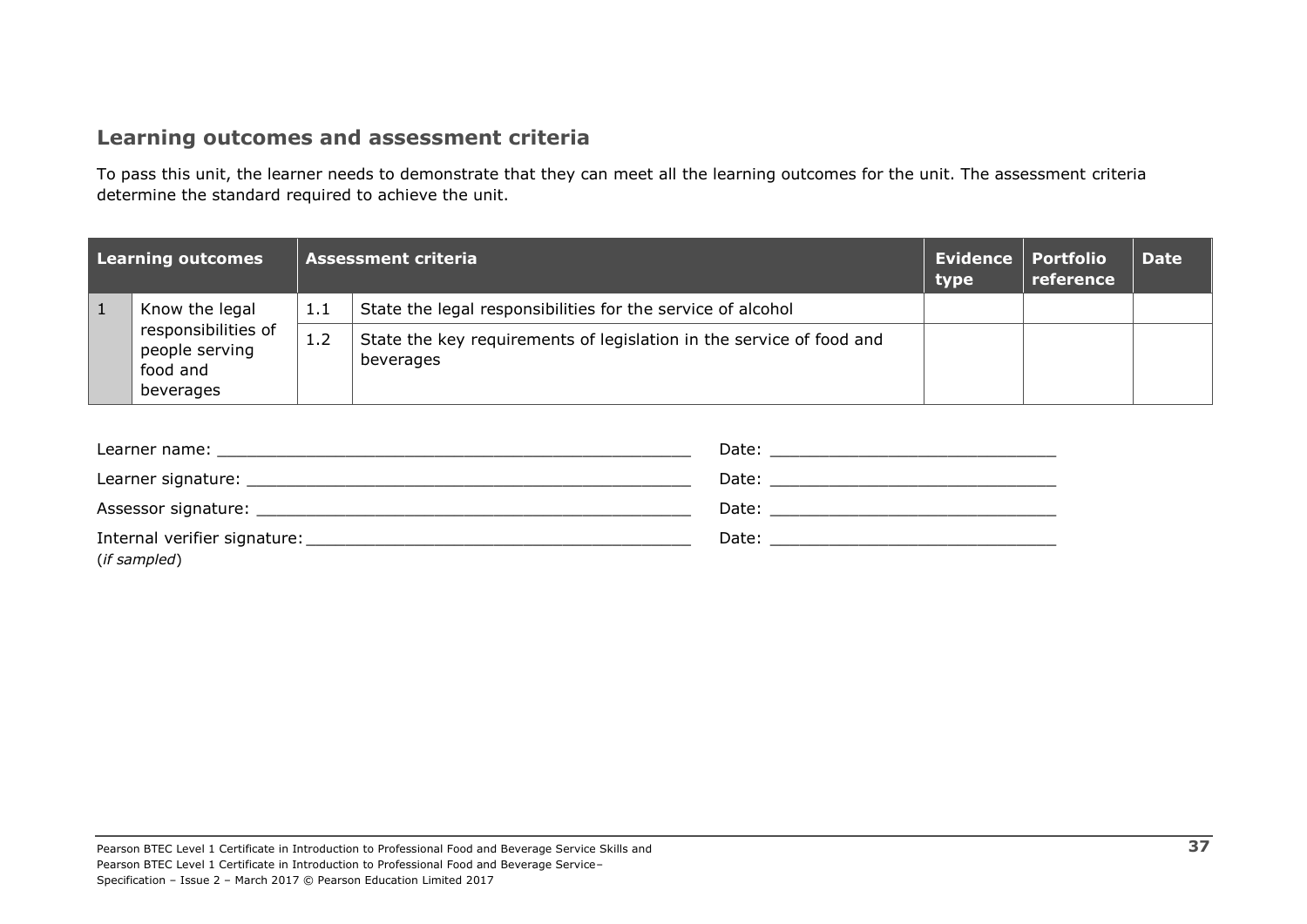#### **Learning outcomes and assessment criteria**

To pass this unit, the learner needs to demonstrate that they can meet all the learning outcomes for the unit. The assessment criteria determine the standard required to achieve the unit.

| Learning outcomes                                              |     | Assessment criteria                                                               | <b>Evidence</b><br>type | Portfolio<br>reference | <b>Date</b> |
|----------------------------------------------------------------|-----|-----------------------------------------------------------------------------------|-------------------------|------------------------|-------------|
| Know the legal                                                 | 1.1 | State the legal responsibilities for the service of alcohol                       |                         |                        |             |
| responsibilities of<br>people serving<br>food and<br>beverages | 1.2 | State the key requirements of legislation in the service of food and<br>beverages |                         |                        |             |

|                                              | Date: |
|----------------------------------------------|-------|
|                                              |       |
|                                              | Date: |
| Internal verifier signature:<br>(if sampled) | Date: |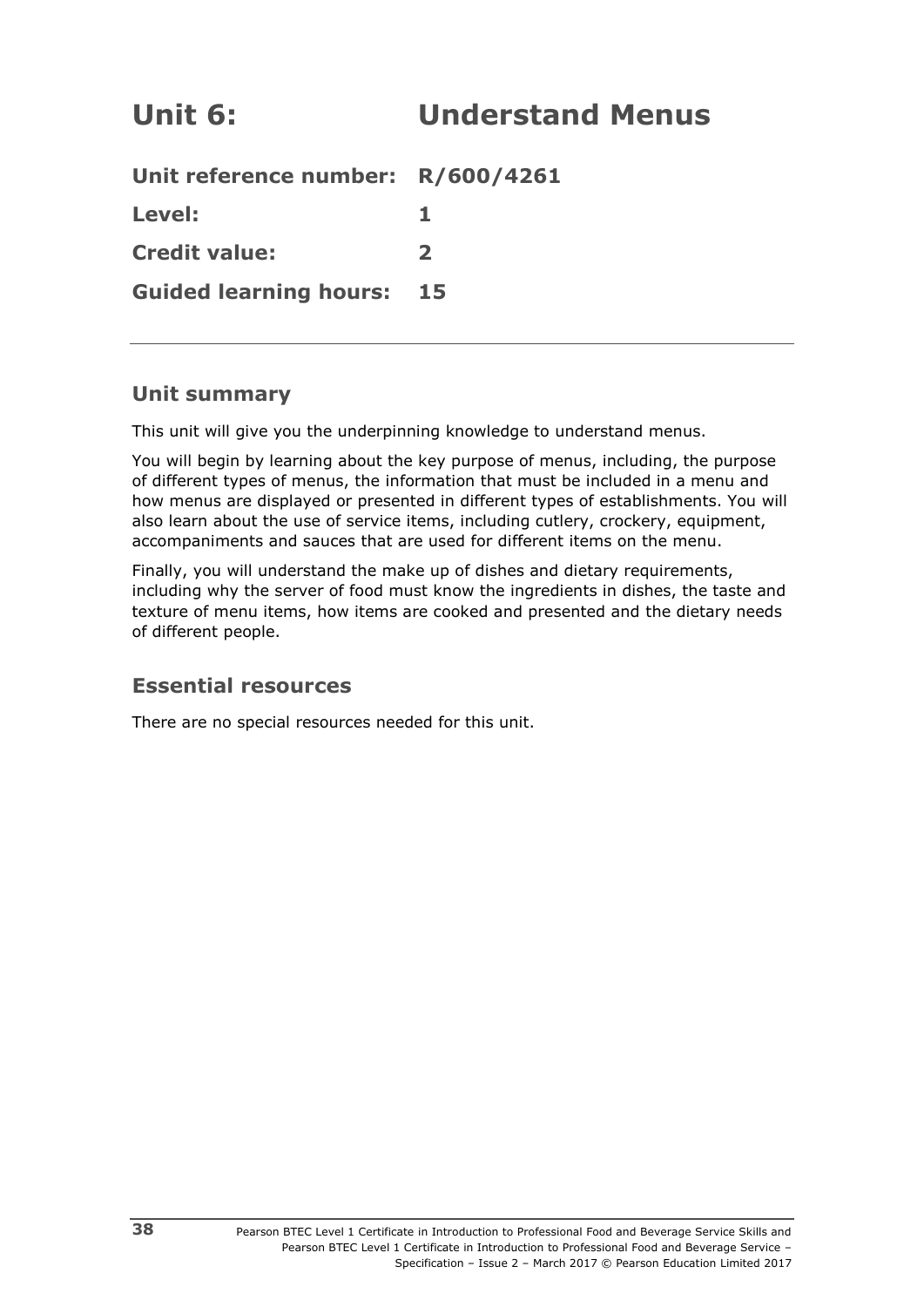**Unit 6: Understand Menus**

| Unit reference number: R/600/4261 |              |
|-----------------------------------|--------------|
| Level:                            |              |
| <b>Credit value:</b>              | $\mathbf{z}$ |
| <b>Guided learning hours: 15</b>  |              |

#### **Unit summary**

This unit will give you the underpinning knowledge to understand menus.

You will begin by learning about the key purpose of menus, including, the purpose of different types of menus, the information that must be included in a menu and how menus are displayed or presented in different types of establishments. You will also learn about the use of service items, including cutlery, crockery, equipment, accompaniments and sauces that are used for different items on the menu.

Finally, you will understand the make up of dishes and dietary requirements, including why the server of food must know the ingredients in dishes, the taste and texture of menu items, how items are cooked and presented and the dietary needs of different people.

#### **Essential resources**

There are no special resources needed for this unit.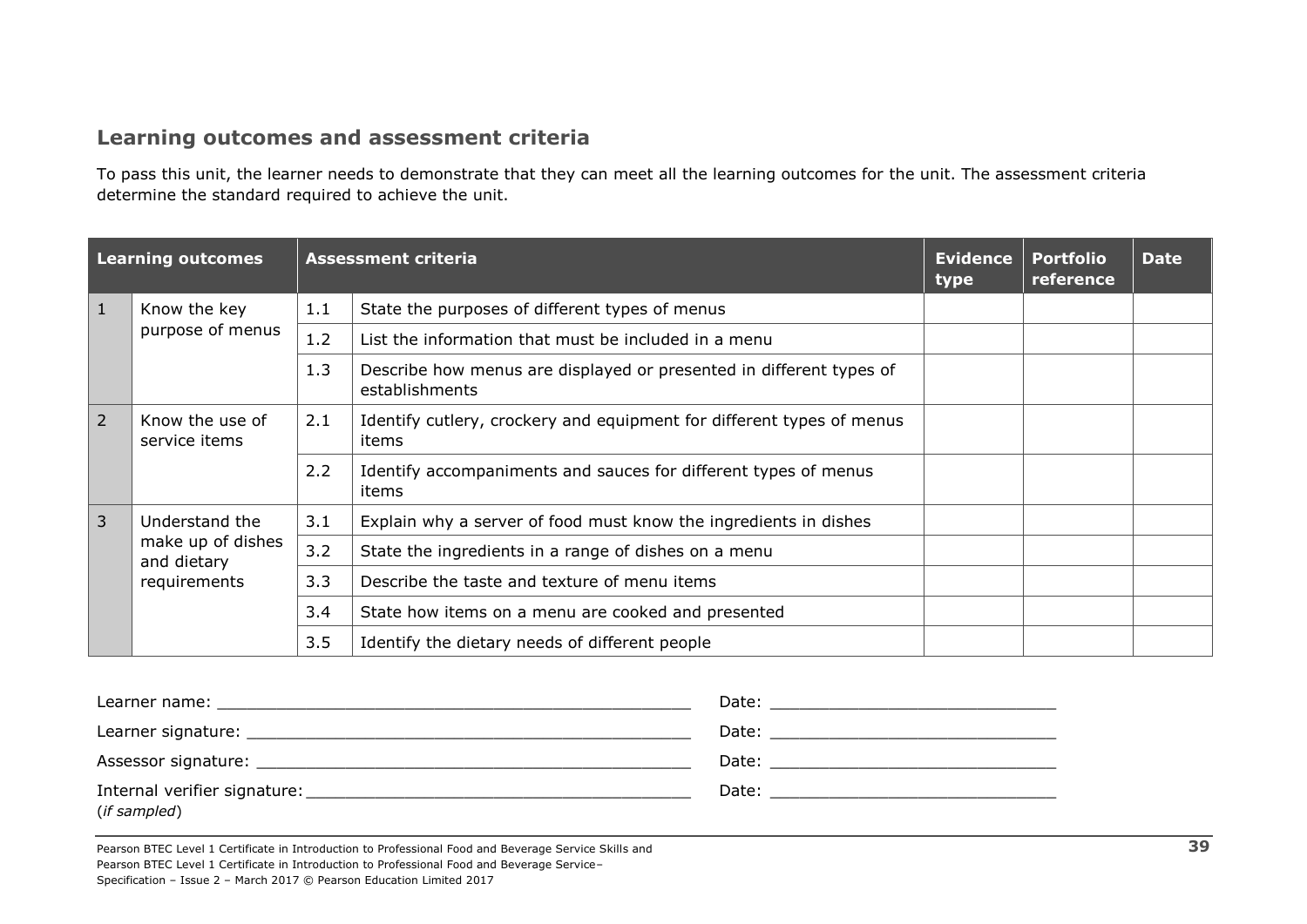#### **Learning outcomes and assessment criteria**

To pass this unit, the learner needs to demonstrate that they can meet all the learning outcomes for the unit. The assessment criteria determine the standard required to achieve the unit.

| <b>Learning outcomes</b>     |                                                    |     | <b>Assessment criteria</b>                                                            | <b>Evidence</b><br>type | <b>Portfolio</b><br>reference | <b>Date</b> |
|------------------------------|----------------------------------------------------|-----|---------------------------------------------------------------------------------------|-------------------------|-------------------------------|-------------|
| $\mathbf{1}$<br>Know the key |                                                    | 1.1 | State the purposes of different types of menus                                        |                         |                               |             |
|                              | purpose of menus                                   | 1.2 | List the information that must be included in a menu                                  |                         |                               |             |
|                              |                                                    | 1.3 | Describe how menus are displayed or presented in different types of<br>establishments |                         |                               |             |
| 2                            | Know the use of<br>service items                   | 2.1 | Identify cutlery, crockery and equipment for different types of menus<br>items        |                         |                               |             |
|                              |                                                    | 2.2 | Identify accompaniments and sauces for different types of menus<br>items              |                         |                               |             |
| 3                            | Understand the<br>make up of dishes<br>and dietary | 3.1 | Explain why a server of food must know the ingredients in dishes                      |                         |                               |             |
|                              |                                                    | 3.2 | State the ingredients in a range of dishes on a menu                                  |                         |                               |             |
|                              | requirements                                       | 3.3 | Describe the taste and texture of menu items                                          |                         |                               |             |
|                              |                                                    | 3.4 | State how items on a menu are cooked and presented                                    |                         |                               |             |
|                              |                                                    | 3.5 | Identify the dietary needs of different people                                        |                         |                               |             |

|                                                                                                                                                                                                                                | Date:                                                                                                                                                                                                                          |
|--------------------------------------------------------------------------------------------------------------------------------------------------------------------------------------------------------------------------------|--------------------------------------------------------------------------------------------------------------------------------------------------------------------------------------------------------------------------------|
|                                                                                                                                                                                                                                | Date: the contract of the contract of the contract of the contract of the contract of the contract of the contract of the contract of the contract of the contract of the contract of the contract of the contract of the cont |
| Assessor signature: New York State State State State State State State State State State State State State State State State State State State State State State State State State State State State State State State State S |                                                                                                                                                                                                                                |
| Internal verifier signature: National Account of the Contract of the Contract of the Contract of the Contract of the Contract of the Contract of the Contract of the Contract of the Contract of the Contract of the Contract  | Date:                                                                                                                                                                                                                          |
| (if sampled)                                                                                                                                                                                                                   |                                                                                                                                                                                                                                |

Pearson BTEC Level 1 Certificate in Introduction to Professional Food and Beverage Service Skills and Pearson BTEC Level 1 Certificate in Introduction to Professional Food and Beverage Service– Specification – Issue 2 – March 2017 © Pearson Education Limited 2017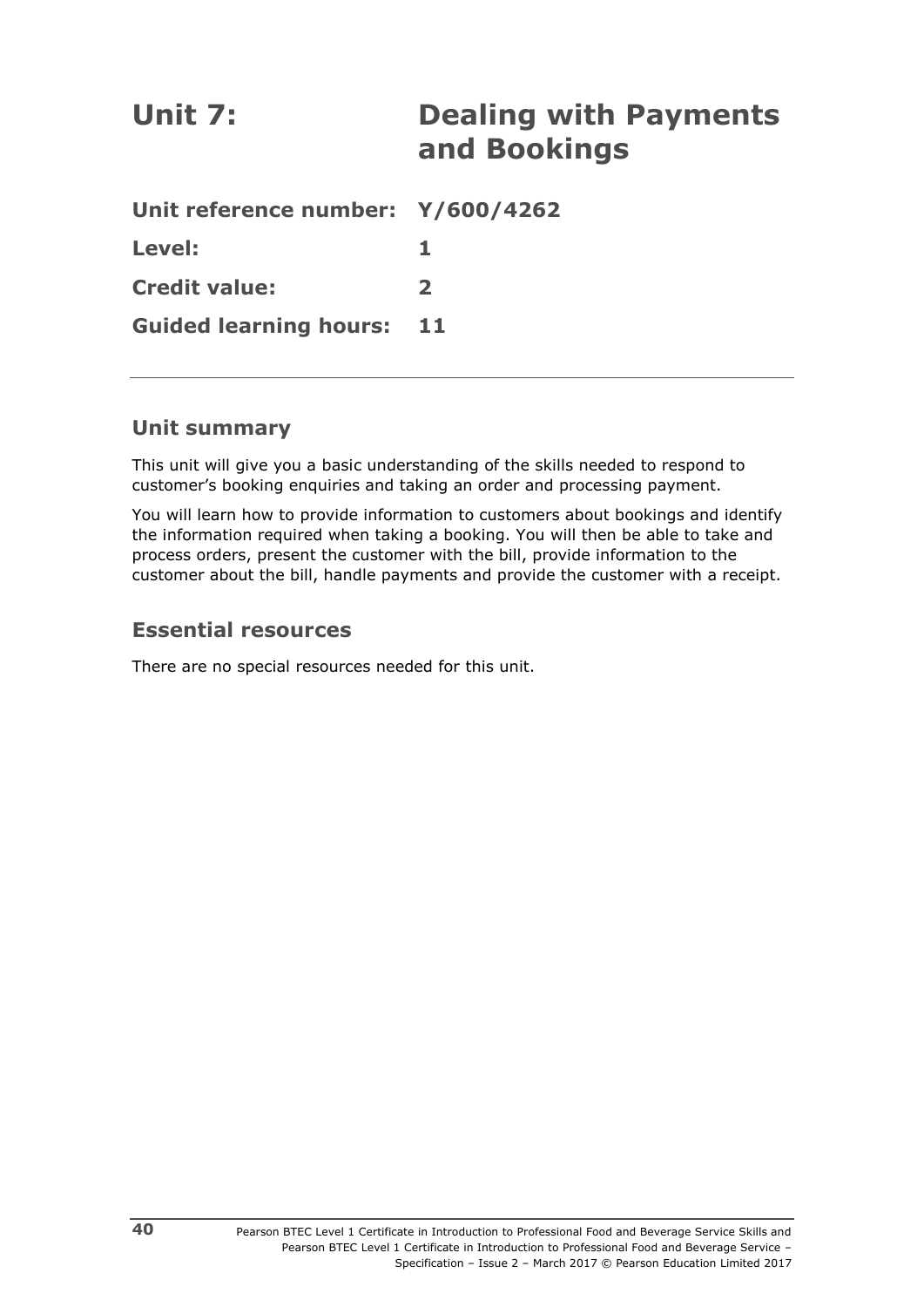| Unit 7:                           | <b>Dealing with Payments</b><br>and Bookings |
|-----------------------------------|----------------------------------------------|
| Unit reference number: Y/600/4262 |                                              |
| Level:                            |                                              |
| <b>Credit value:</b>              | $\mathbf{z}$                                 |
| <b>Guided learning hours:</b>     | 11                                           |

#### **Unit summary**

This unit will give you a basic understanding of the skills needed to respond to customer's booking enquiries and taking an order and processing payment.

You will learn how to provide information to customers about bookings and identify the information required when taking a booking. You will then be able to take and process orders, present the customer with the bill, provide information to the customer about the bill, handle payments and provide the customer with a receipt.

#### **Essential resources**

There are no special resources needed for this unit.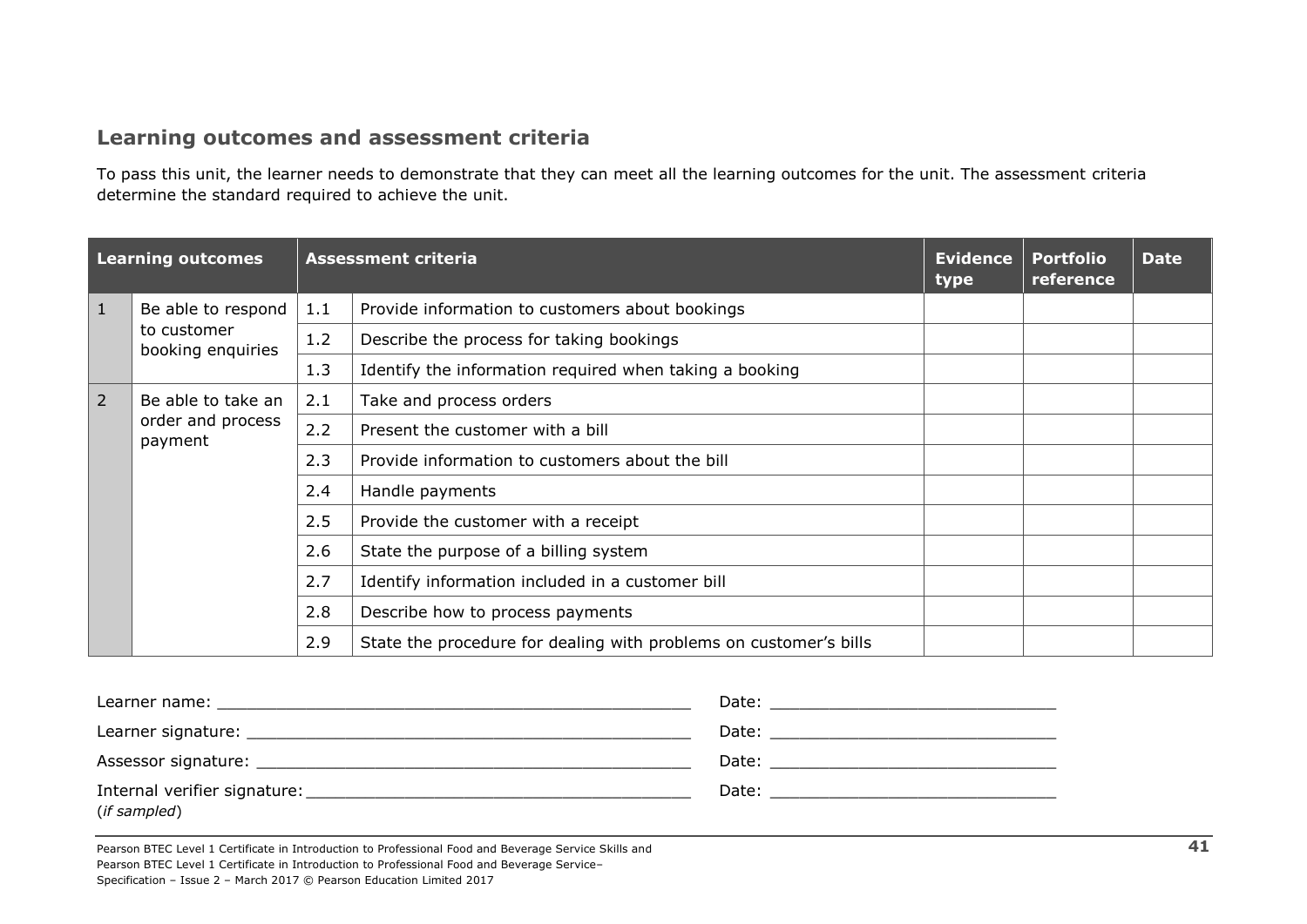#### **Learning outcomes and assessment criteria**

To pass this unit, the learner needs to demonstrate that they can meet all the learning outcomes for the unit. The assessment criteria determine the standard required to achieve the unit.

| <b>Learning outcomes</b> |                                  |     | <b>Assessment criteria</b>                                        | <b>Evidence</b><br>type | <b>Portfolio</b><br>reference | <b>Date</b> |
|--------------------------|----------------------------------|-----|-------------------------------------------------------------------|-------------------------|-------------------------------|-------------|
| $\mathbf{1}$             | Be able to respond               |     | Provide information to customers about bookings                   |                         |                               |             |
|                          | to customer<br>booking enquiries | 1.2 | Describe the process for taking bookings                          |                         |                               |             |
|                          |                                  | 1.3 | Identify the information required when taking a booking           |                         |                               |             |
| $\overline{2}$           | Be able to take an               | 2.1 | Take and process orders                                           |                         |                               |             |
|                          | order and process<br>payment     | 2.2 | Present the customer with a bill                                  |                         |                               |             |
|                          |                                  | 2.3 | Provide information to customers about the bill                   |                         |                               |             |
|                          |                                  | 2.4 | Handle payments                                                   |                         |                               |             |
|                          |                                  | 2.5 | Provide the customer with a receipt                               |                         |                               |             |
|                          |                                  | 2.6 | State the purpose of a billing system                             |                         |                               |             |
|                          |                                  | 2.7 | Identify information included in a customer bill                  |                         |                               |             |
|                          |                                  | 2.8 | Describe how to process payments                                  |                         |                               |             |
|                          |                                  | 2.9 | State the procedure for dealing with problems on customer's bills |                         |                               |             |

|                                                                                                                                                                                                                                | Date: |
|--------------------------------------------------------------------------------------------------------------------------------------------------------------------------------------------------------------------------------|-------|
| Learner signature:<br><u> 1989 - Andrea Barbara, Amerikaansk politik (</u>                                                                                                                                                     | Date: |
| Assessor signature: New York State State State State State State State State State State State State State State State State State State State State State State State State State State State State State State State State S | Date: |
| (if sampled)                                                                                                                                                                                                                   | Date: |

Pearson BTEC Level 1 Certificate in Introduction to Professional Food and Beverage Service Skills and Pearson BTEC Level 1 Certificate in Introduction to Professional Food and Beverage Service– Specification – Issue 2 – March 2017 © Pearson Education Limited 2017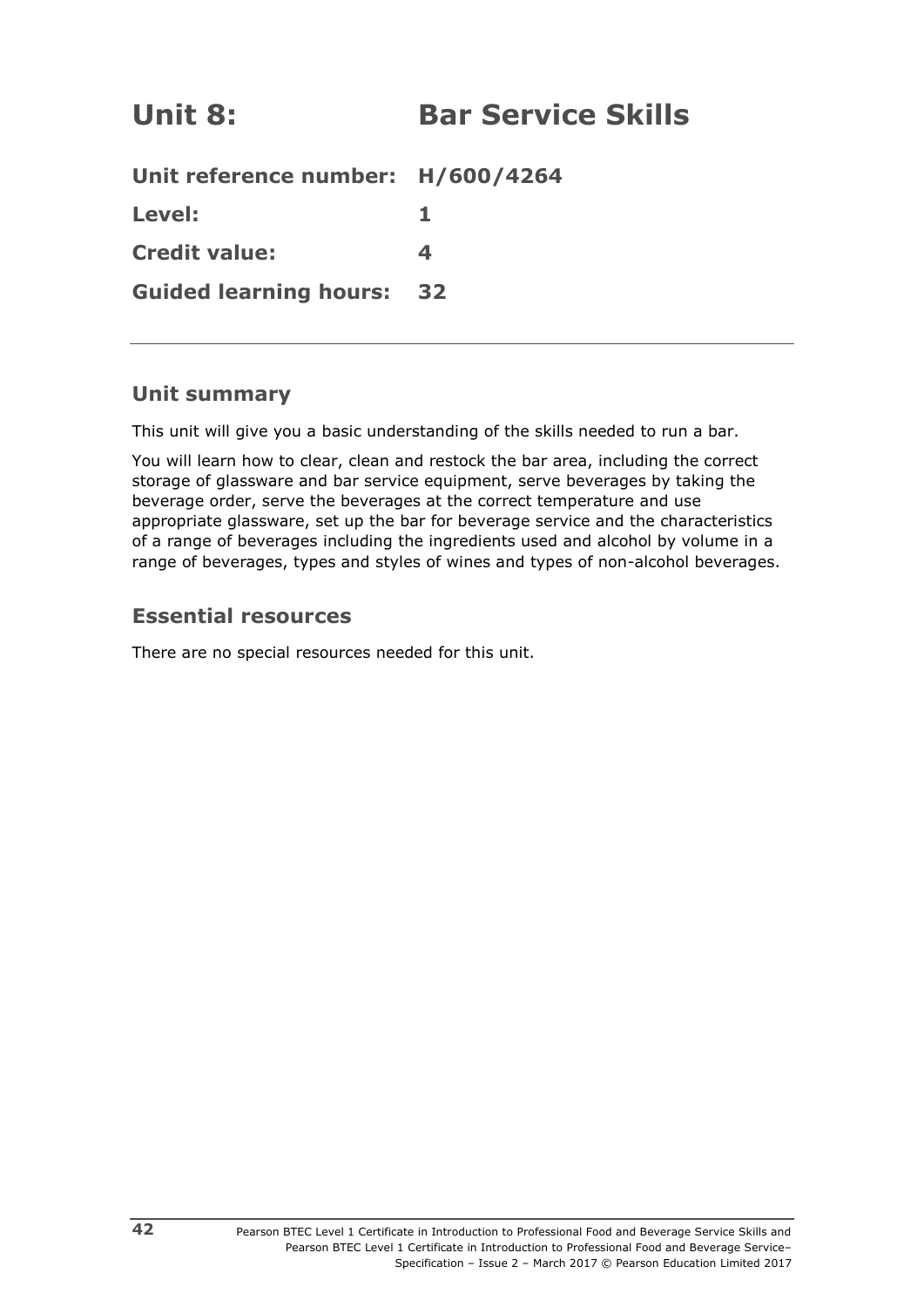## **Unit 8: Bar Service Skills**

| Unit reference number: H/600/4264 |  |
|-----------------------------------|--|
| Level:                            |  |
| <b>Credit value:</b>              |  |
| <b>Guided learning hours: 32</b>  |  |

#### **Unit summary**

This unit will give you a basic understanding of the skills needed to run a bar.

You will learn how to clear, clean and restock the bar area, including the correct storage of glassware and bar service equipment, serve beverages by taking the beverage order, serve the beverages at the correct temperature and use appropriate glassware, set up the bar for beverage service and the characteristics of a range of beverages including the ingredients used and alcohol by volume in a range of beverages, types and styles of wines and types of non-alcohol beverages.

#### **Essential resources**

There are no special resources needed for this unit.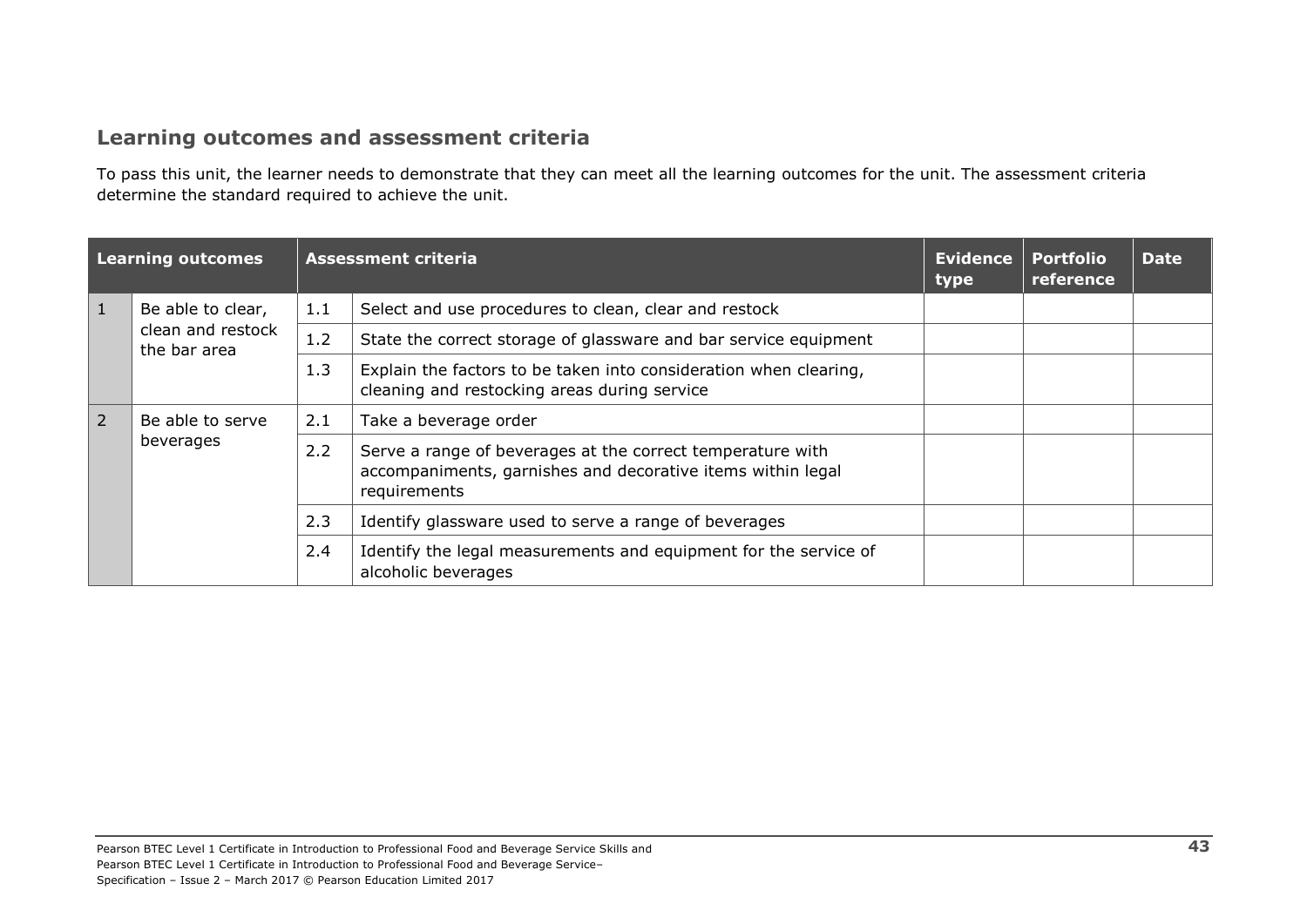### **Learning outcomes and assessment criteria**

To pass this unit, the learner needs to demonstrate that they can meet all the learning outcomes for the unit. The assessment criteria determine the standard required to achieve the unit.

| Learning outcomes |                                                        |     | <b>Assessment criteria</b>                                                                                                                | <b>Evidence</b><br>type | <b>Portfolio</b><br>reference | <b>Date</b> |
|-------------------|--------------------------------------------------------|-----|-------------------------------------------------------------------------------------------------------------------------------------------|-------------------------|-------------------------------|-------------|
| $\mathbf{1}$      | Be able to clear,<br>clean and restock<br>the bar area | 1.1 | Select and use procedures to clean, clear and restock                                                                                     |                         |                               |             |
|                   |                                                        | 1.2 | State the correct storage of glassware and bar service equipment                                                                          |                         |                               |             |
|                   |                                                        | 1.3 | Explain the factors to be taken into consideration when clearing,<br>cleaning and restocking areas during service                         |                         |                               |             |
| 2                 | Be able to serve<br>beverages                          | 2.1 | Take a beverage order                                                                                                                     |                         |                               |             |
|                   |                                                        | 2.2 | Serve a range of beverages at the correct temperature with<br>accompaniments, garnishes and decorative items within legal<br>requirements |                         |                               |             |
|                   |                                                        | 2.3 | Identify glassware used to serve a range of beverages                                                                                     |                         |                               |             |
|                   |                                                        | 2.4 | Identify the legal measurements and equipment for the service of<br>alcoholic beverages                                                   |                         |                               |             |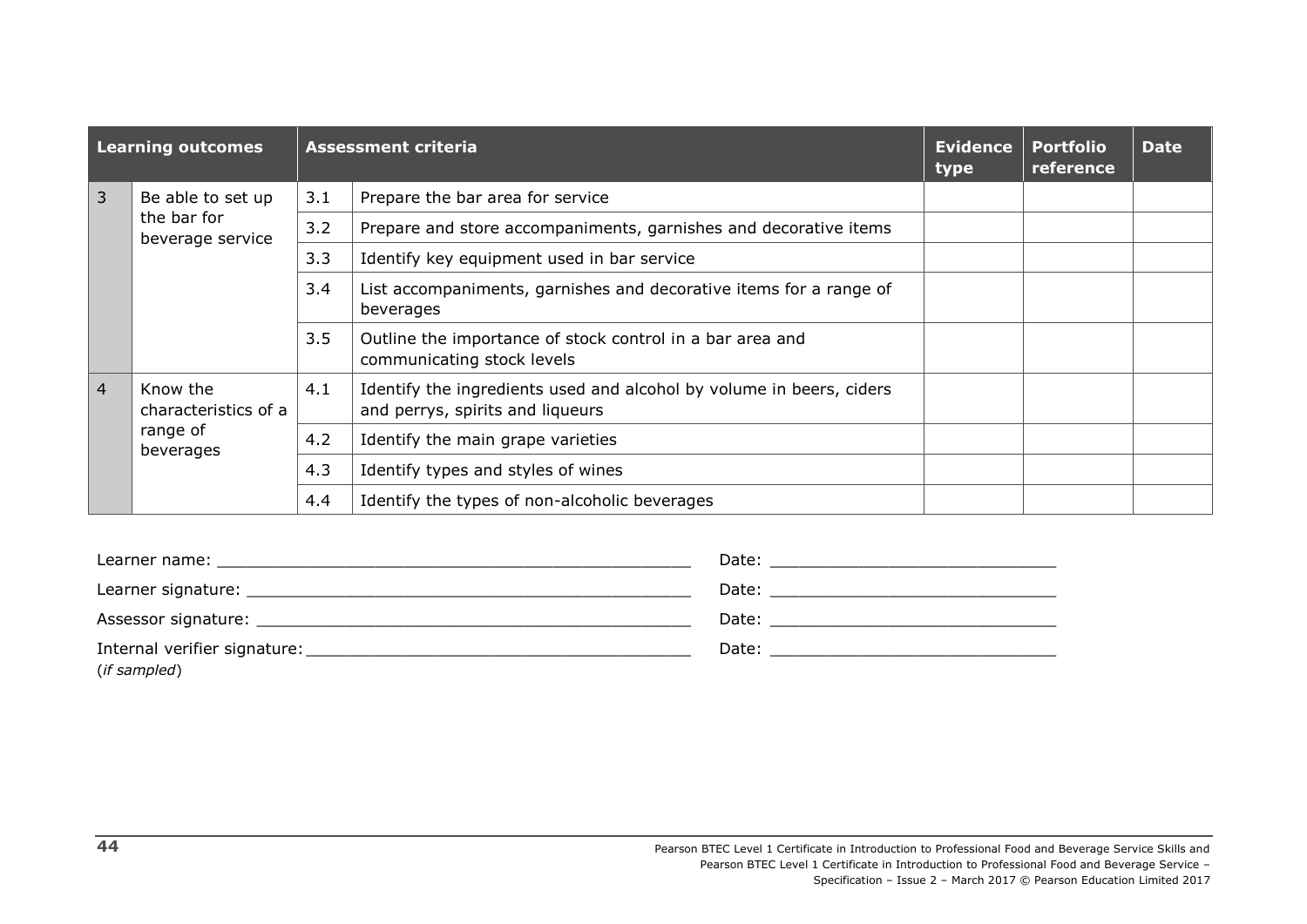| <b>Learning outcomes</b> |                                                           |     | <b>Assessment criteria</b>                                                                               | <b>Evidence</b><br>type | <b>Portfolio</b><br>reference | <b>Date</b> |
|--------------------------|-----------------------------------------------------------|-----|----------------------------------------------------------------------------------------------------------|-------------------------|-------------------------------|-------------|
| 3                        | Be able to set up<br>the bar for<br>beverage service      | 3.1 | Prepare the bar area for service                                                                         |                         |                               |             |
|                          |                                                           | 3.2 | Prepare and store accompaniments, garnishes and decorative items                                         |                         |                               |             |
|                          |                                                           | 3.3 | Identify key equipment used in bar service                                                               |                         |                               |             |
|                          |                                                           | 3.4 | List accompaniments, garnishes and decorative items for a range of<br>beverages                          |                         |                               |             |
|                          |                                                           | 3.5 | Outline the importance of stock control in a bar area and<br>communicating stock levels                  |                         |                               |             |
| $\overline{4}$           | Know the<br>characteristics of a<br>range of<br>beverages | 4.1 | Identify the ingredients used and alcohol by volume in beers, ciders<br>and perrys, spirits and liqueurs |                         |                               |             |
|                          |                                                           | 4.2 | Identify the main grape varieties                                                                        |                         |                               |             |
|                          |                                                           | 4.3 | Identify types and styles of wines                                                                       |                         |                               |             |
|                          |                                                           | 4.4 | Identify the types of non-alcoholic beverages                                                            |                         |                               |             |

|                                                                                                                                 | Date:<br><u> 1980 - Jan Stein, Amerikaansk politiker († 1908)</u> |
|---------------------------------------------------------------------------------------------------------------------------------|-------------------------------------------------------------------|
|                                                                                                                                 |                                                                   |
|                                                                                                                                 |                                                                   |
| Internal verifier signature: University of the state of the state of the state of the state of the state of the<br>(if sampled) | Date:                                                             |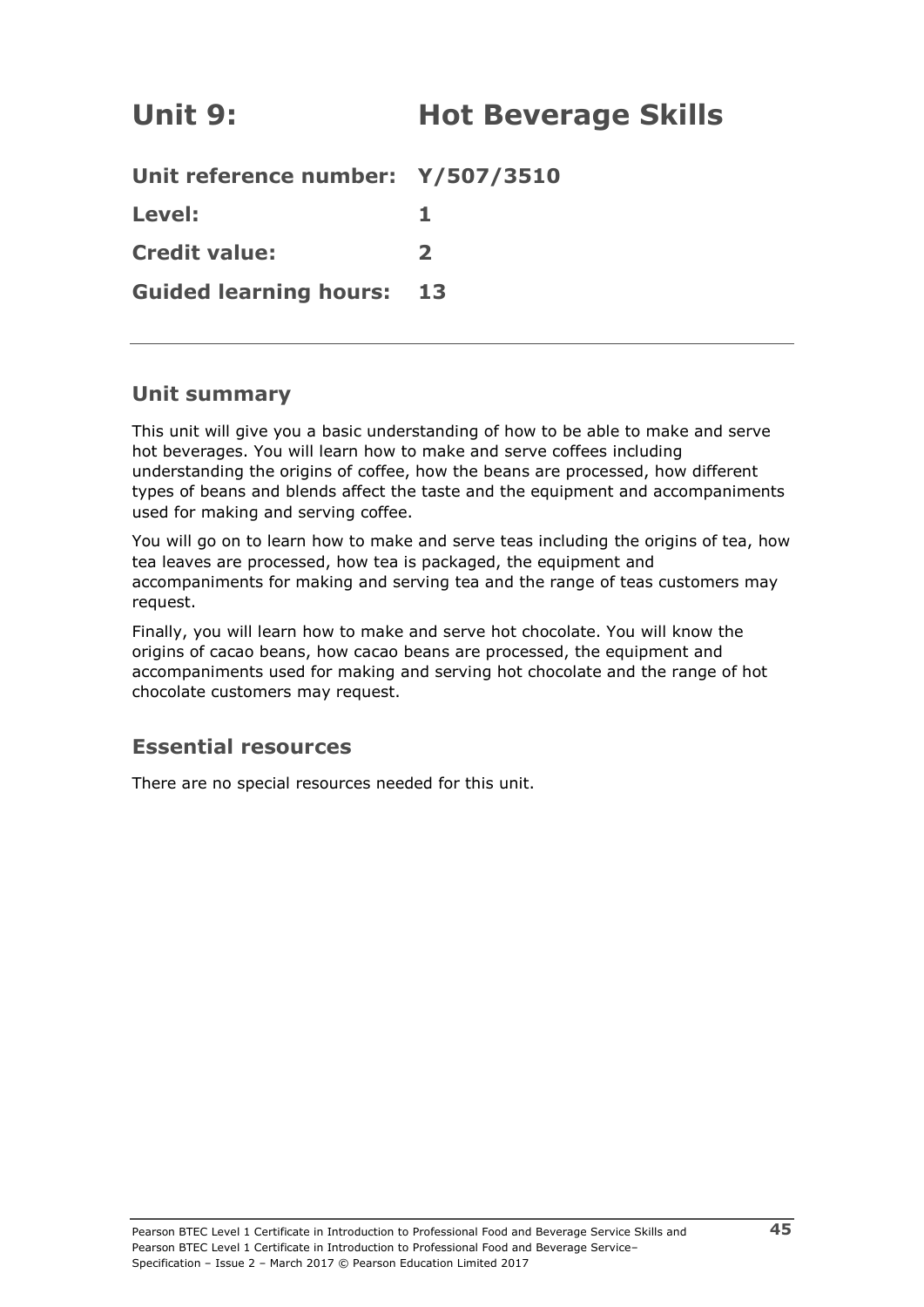## **Unit 9: Hot Beverage Skills**

| Unit reference number: Y/507/3510 |              |
|-----------------------------------|--------------|
| Level:                            |              |
| <b>Credit value:</b>              | $\mathbf{z}$ |
| <b>Guided learning hours: 13</b>  |              |

#### **Unit summary**

This unit will give you a basic understanding of how to be able to make and serve hot beverages. You will learn how to make and serve coffees including understanding the origins of coffee, how the beans are processed, how different types of beans and blends affect the taste and the equipment and accompaniments used for making and serving coffee.

You will go on to learn how to make and serve teas including the origins of tea, how tea leaves are processed, how tea is packaged, the equipment and accompaniments for making and serving tea and the range of teas customers may request.

Finally, you will learn how to make and serve hot chocolate. You will know the origins of cacao beans, how cacao beans are processed, the equipment and accompaniments used for making and serving hot chocolate and the range of hot chocolate customers may request.

#### **Essential resources**

There are no special resources needed for this unit.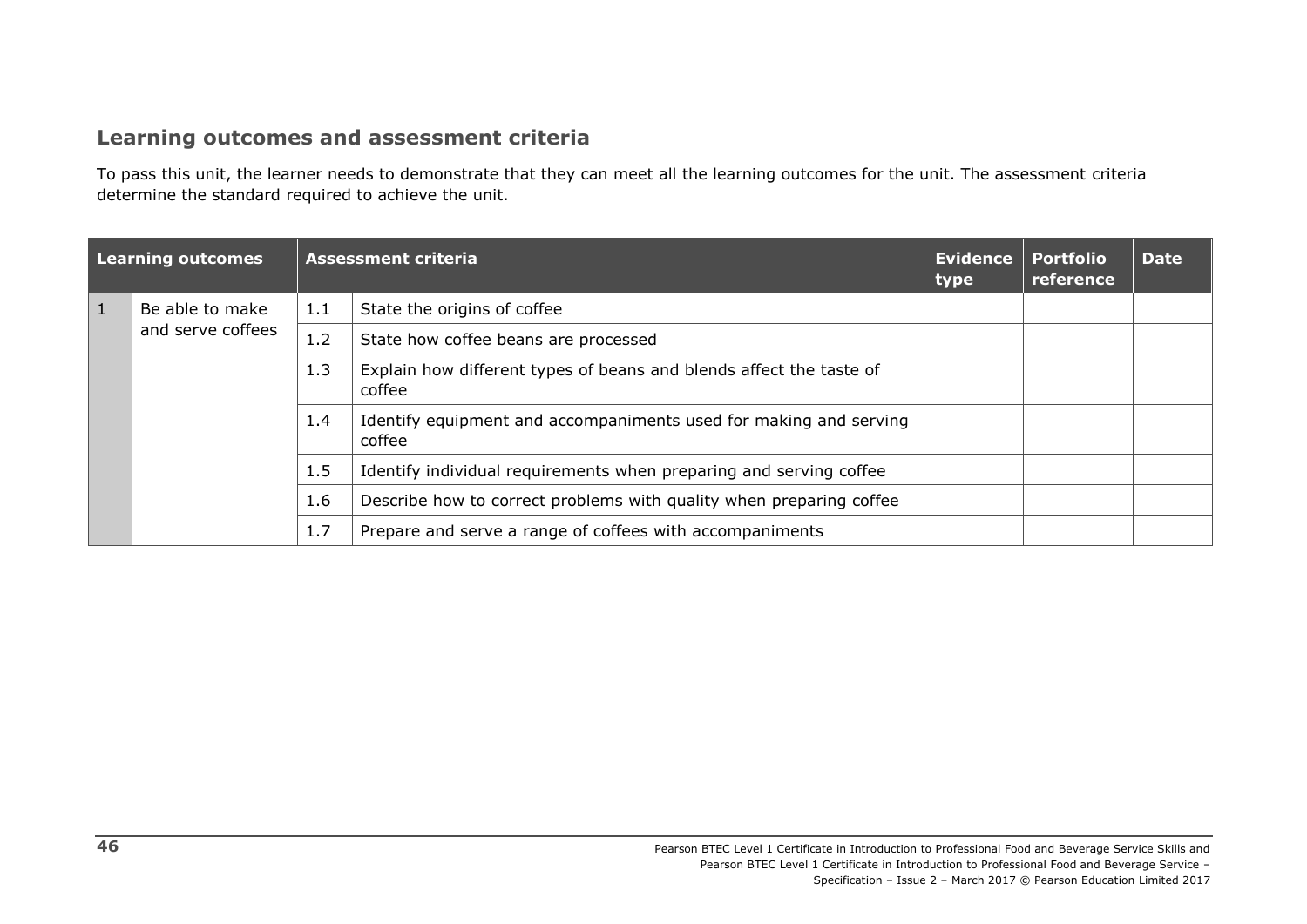#### **Learning outcomes and assessment criteria**

To pass this unit, the learner needs to demonstrate that they can meet all the learning outcomes for the unit. The assessment criteria determine the standard required to achieve the unit.

| <b>Learning outcomes</b> |                                      |     | <b>Assessment criteria</b>                                                    | <b>Evidence</b><br>type | <b>Portfolio</b><br>reference | <b>Date</b> |
|--------------------------|--------------------------------------|-----|-------------------------------------------------------------------------------|-------------------------|-------------------------------|-------------|
| $\mathbf{1}$             | Be able to make<br>and serve coffees | 1.1 | State the origins of coffee                                                   |                         |                               |             |
|                          |                                      | 1.2 | State how coffee beans are processed                                          |                         |                               |             |
|                          |                                      | 1.3 | Explain how different types of beans and blends affect the taste of<br>coffee |                         |                               |             |
|                          |                                      | 1.4 | Identify equipment and accompaniments used for making and serving<br>coffee   |                         |                               |             |
|                          |                                      | 1.5 | Identify individual requirements when preparing and serving coffee            |                         |                               |             |
|                          |                                      | 1.6 | Describe how to correct problems with quality when preparing coffee           |                         |                               |             |
|                          |                                      | 1.7 | Prepare and serve a range of coffees with accompaniments                      |                         |                               |             |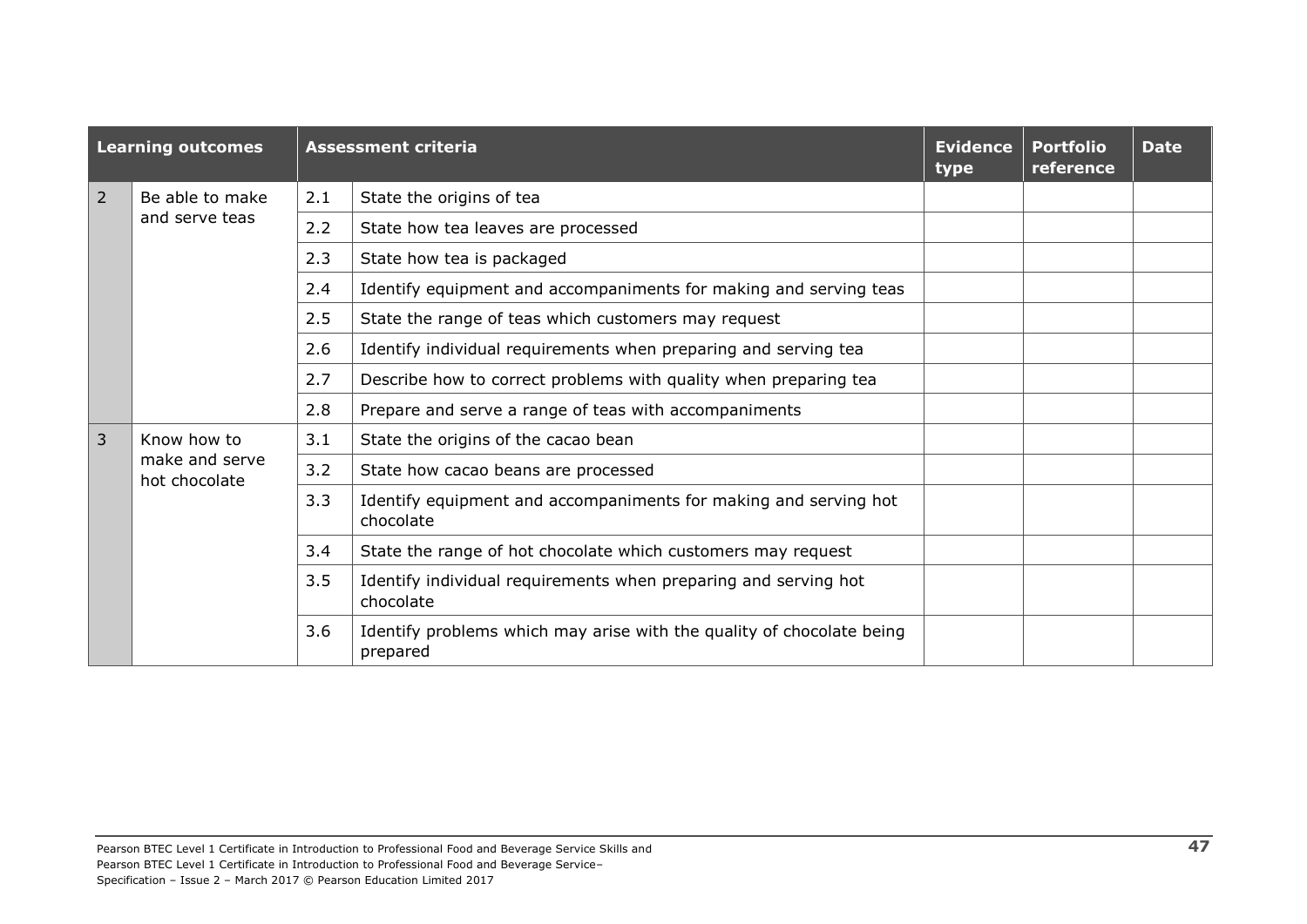| <b>Learning outcomes</b> |                                                |     | <b>Assessment criteria</b>                                                        | <b>Evidence</b><br>type | <b>Portfolio</b><br>reference | <b>Date</b> |  |  |  |
|--------------------------|------------------------------------------------|-----|-----------------------------------------------------------------------------------|-------------------------|-------------------------------|-------------|--|--|--|
| $\overline{2}$           | Be able to make                                | 2.1 | State the origins of tea                                                          |                         |                               |             |  |  |  |
|                          | and serve teas                                 | 2.2 | State how tea leaves are processed                                                |                         |                               |             |  |  |  |
|                          |                                                | 2.3 | State how tea is packaged                                                         |                         |                               |             |  |  |  |
|                          |                                                | 2.4 | Identify equipment and accompaniments for making and serving teas                 |                         |                               |             |  |  |  |
|                          |                                                | 2.5 | State the range of teas which customers may request                               |                         |                               |             |  |  |  |
|                          |                                                | 2.6 | Identify individual requirements when preparing and serving tea                   |                         |                               |             |  |  |  |
|                          |                                                | 2.7 | Describe how to correct problems with quality when preparing tea                  |                         |                               |             |  |  |  |
|                          |                                                | 2.8 | Prepare and serve a range of teas with accompaniments                             |                         |                               |             |  |  |  |
| $\overline{3}$           | Know how to<br>make and serve<br>hot chocolate | 3.1 | State the origins of the cacao bean                                               |                         |                               |             |  |  |  |
|                          |                                                | 3.2 | State how cacao beans are processed                                               |                         |                               |             |  |  |  |
|                          |                                                | 3.3 | Identify equipment and accompaniments for making and serving hot<br>chocolate     |                         |                               |             |  |  |  |
|                          |                                                | 3.4 | State the range of hot chocolate which customers may request                      |                         |                               |             |  |  |  |
|                          |                                                | 3.5 | Identify individual requirements when preparing and serving hot<br>chocolate      |                         |                               |             |  |  |  |
|                          |                                                | 3.6 | Identify problems which may arise with the quality of chocolate being<br>prepared |                         |                               |             |  |  |  |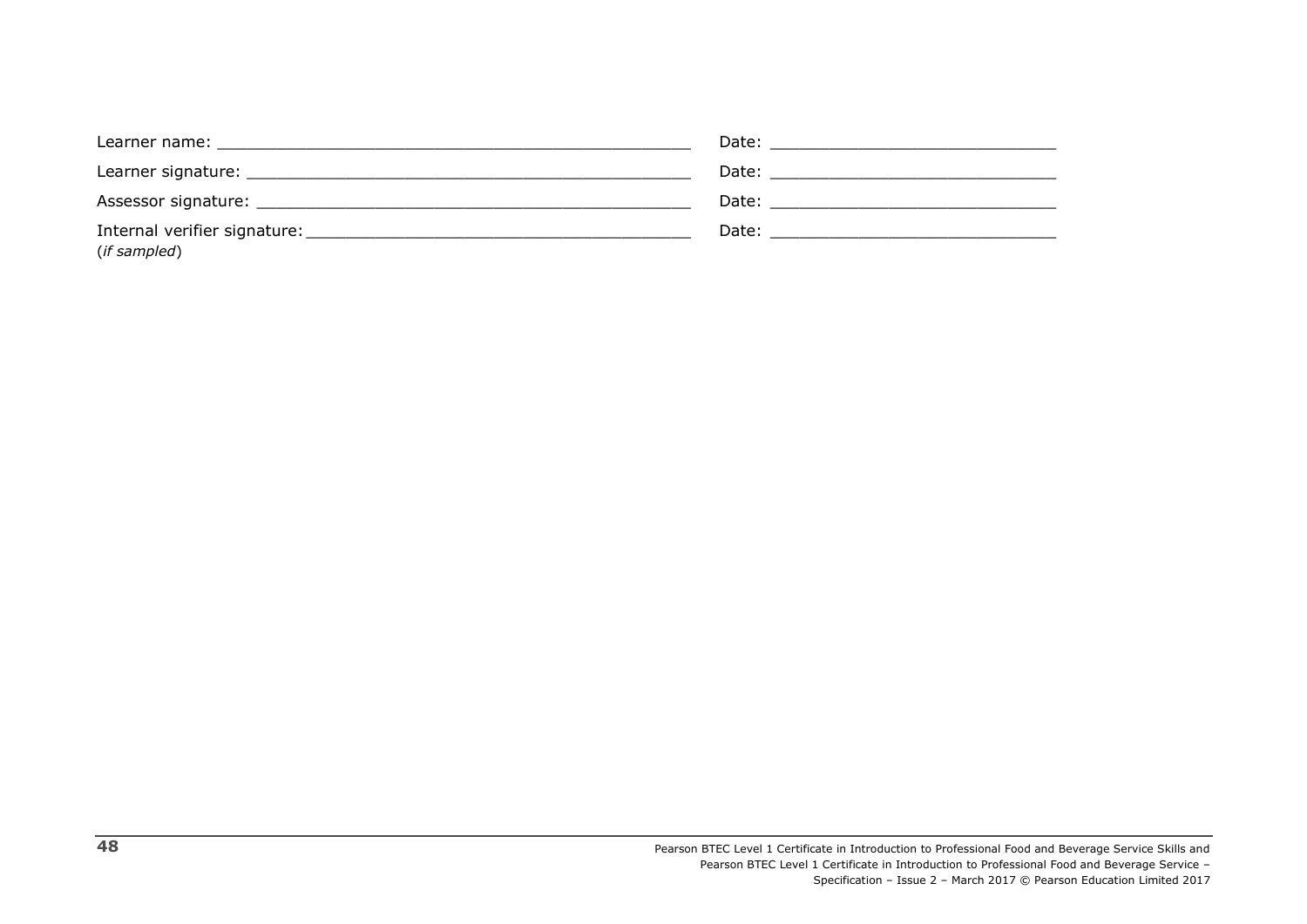|              | Date:                                                                                                                                                                                                                          |
|--------------|--------------------------------------------------------------------------------------------------------------------------------------------------------------------------------------------------------------------------------|
|              | Date:<br><u> 1980 - Jan Barbara, martxa al II-lea (h. 1980).</u>                                                                                                                                                               |
|              | Date: the contract of the contract of the contract of the contract of the contract of the contract of the contract of the contract of the contract of the contract of the contract of the contract of the contract of the cont |
| (if sampled) | Date:                                                                                                                                                                                                                          |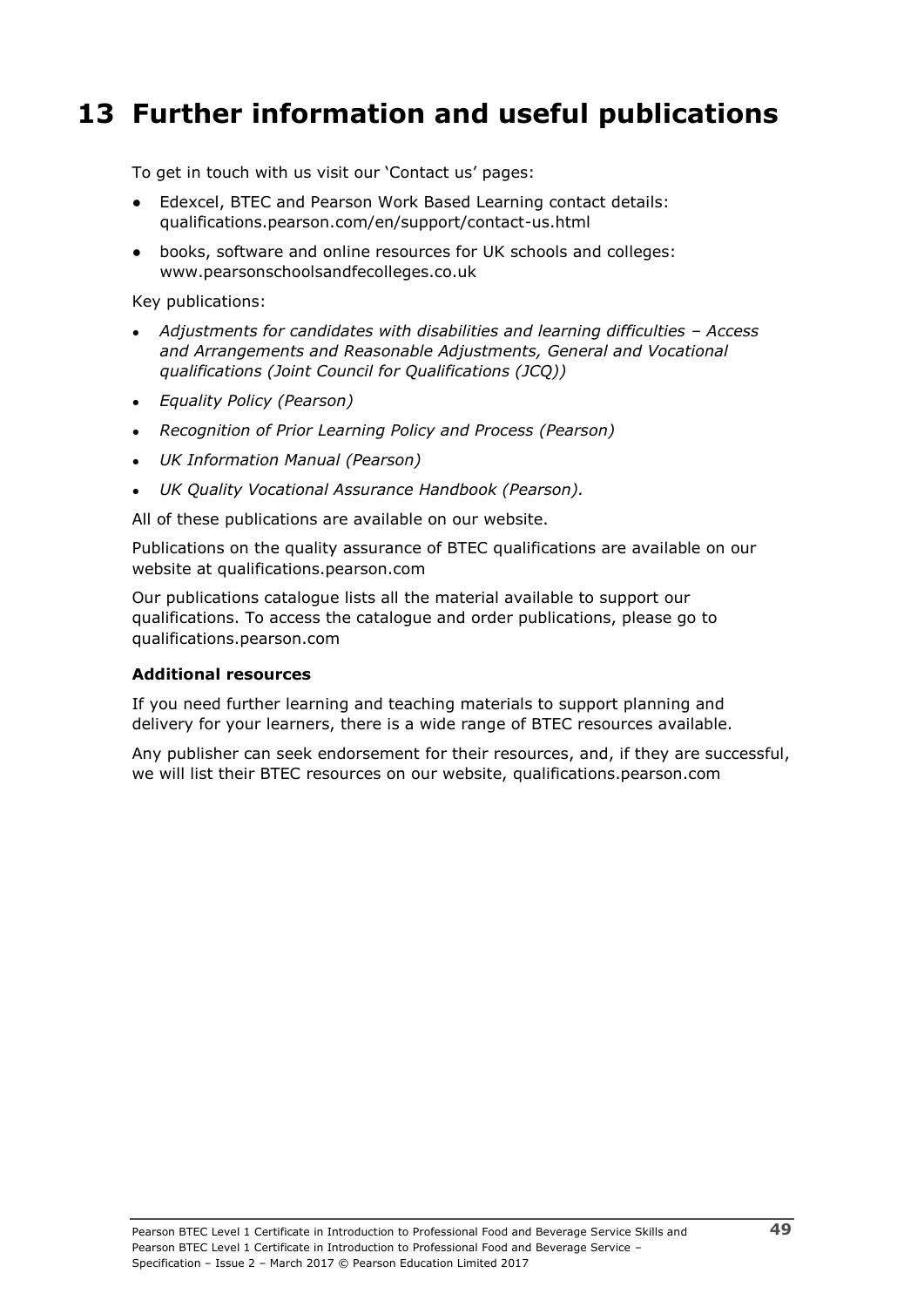### **13 Further information and useful publications**

To get in touch with us visit our 'Contact us' pages:

- Edexcel, BTEC and Pearson Work Based Learning contact details: qualifications.pearson.com/en/support/contact-us.html
- books, software and online resources for UK schools and colleges: www.pearsonschoolsandfecolleges.co.uk

Key publications:

- *Adjustments for candidates with disabilities and learning difficulties – Access and Arrangements and Reasonable Adjustments, General and Vocational qualifications (Joint Council for Qualifications (JCQ))*
- *Equality Policy (Pearson)*
- *Recognition of Prior Learning Policy and Process (Pearson)*
- *UK Information Manual (Pearson)*
- *UK Quality Vocational Assurance Handbook (Pearson).*

All of these publications are available on our website.

Publications on the quality assurance of BTEC qualifications are available on our website at qualifications.pearson.com

Our publications catalogue lists all the material available to support our qualifications. To access the catalogue and order publications, please go to qualifications.pearson.com

#### **Additional resources**

If you need further learning and teaching materials to support planning and delivery for your learners, there is a wide range of BTEC resources available.

Any publisher can seek endorsement for their resources, and, if they are successful, we will list their BTEC resources on our website, qualifications.pearson.com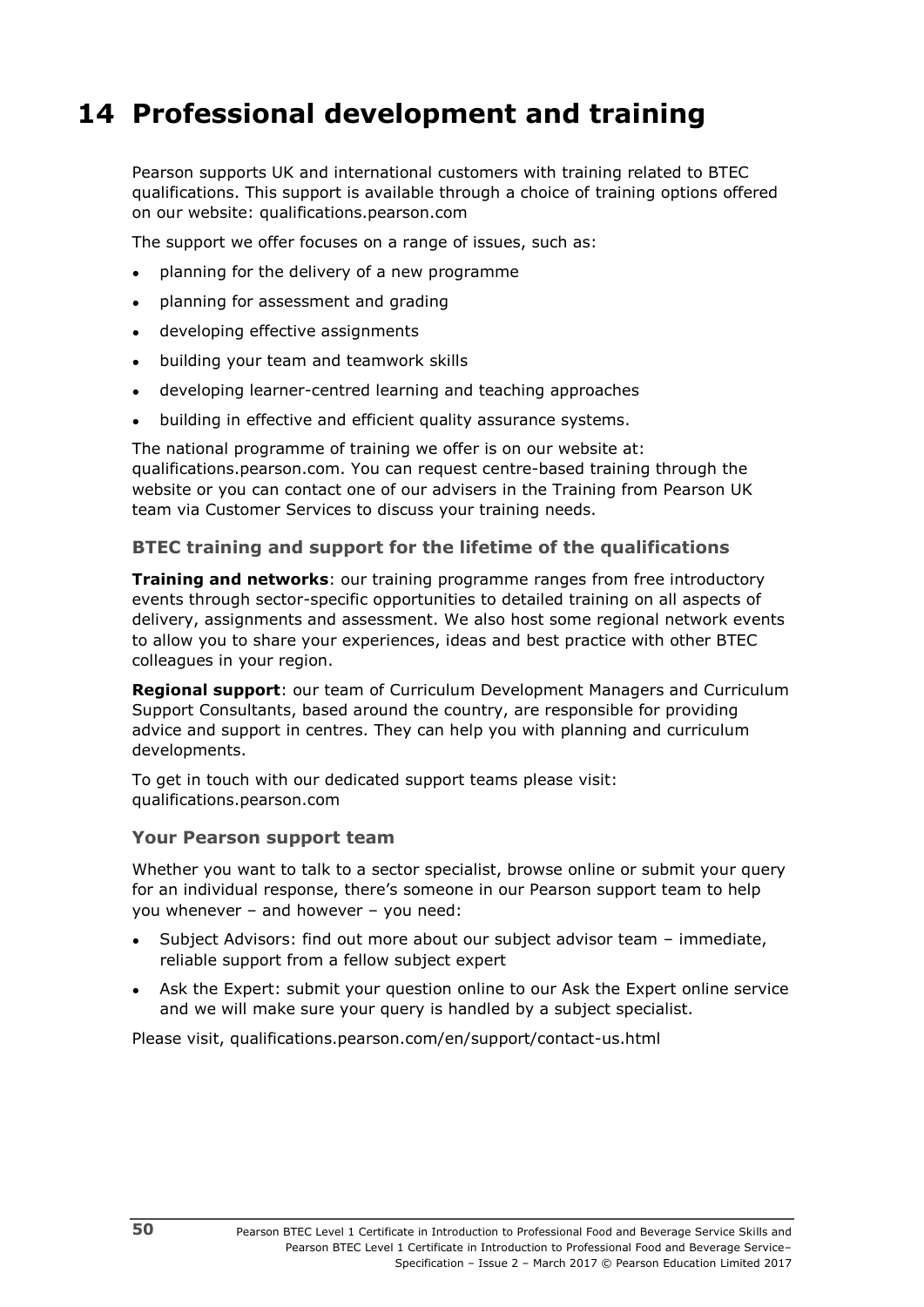### **14 Professional development and training**

Pearson supports UK and international customers with training related to BTEC qualifications. This support is available through a choice of training options offered on our website: qualifications.pearson.com

The support we offer focuses on a range of issues, such as:

- planning for the delivery of a new programme
- planning for assessment and grading
- developing effective assignments
- building your team and teamwork skills
- developing learner-centred learning and teaching approaches
- building in effective and efficient quality assurance systems.

The national programme of training we offer is on our website at: qualifications.pearson.com. You can request centre-based training through the website or you can contact one of our advisers in the Training from Pearson UK team via Customer Services to discuss your training needs.

#### **BTEC training and support for the lifetime of the qualifications**

**Training and networks**: our training programme ranges from free introductory events through sector-specific opportunities to detailed training on all aspects of delivery, assignments and assessment. We also host some regional network events to allow you to share your experiences, ideas and best practice with other BTEC colleagues in your region.

**Regional support**: our team of Curriculum Development Managers and Curriculum Support Consultants, based around the country, are responsible for providing advice and support in centres. They can help you with planning and curriculum developments.

To get in touch with our dedicated support teams please visit: qualifications.pearson.com

#### **Your Pearson support team**

Whether you want to talk to a sector specialist, browse online or submit your query for an individual response, there's someone in our Pearson support team to help you whenever – and however – you need:

- Subject Advisors: find out more about our subject advisor team immediate, reliable support from a fellow subject expert
- Ask the Expert: submit your question online to our Ask the Expert online service and we will make sure your query is handled by a subject specialist.

Please visit, qualifications.pearson.com/en/support/contact-us.html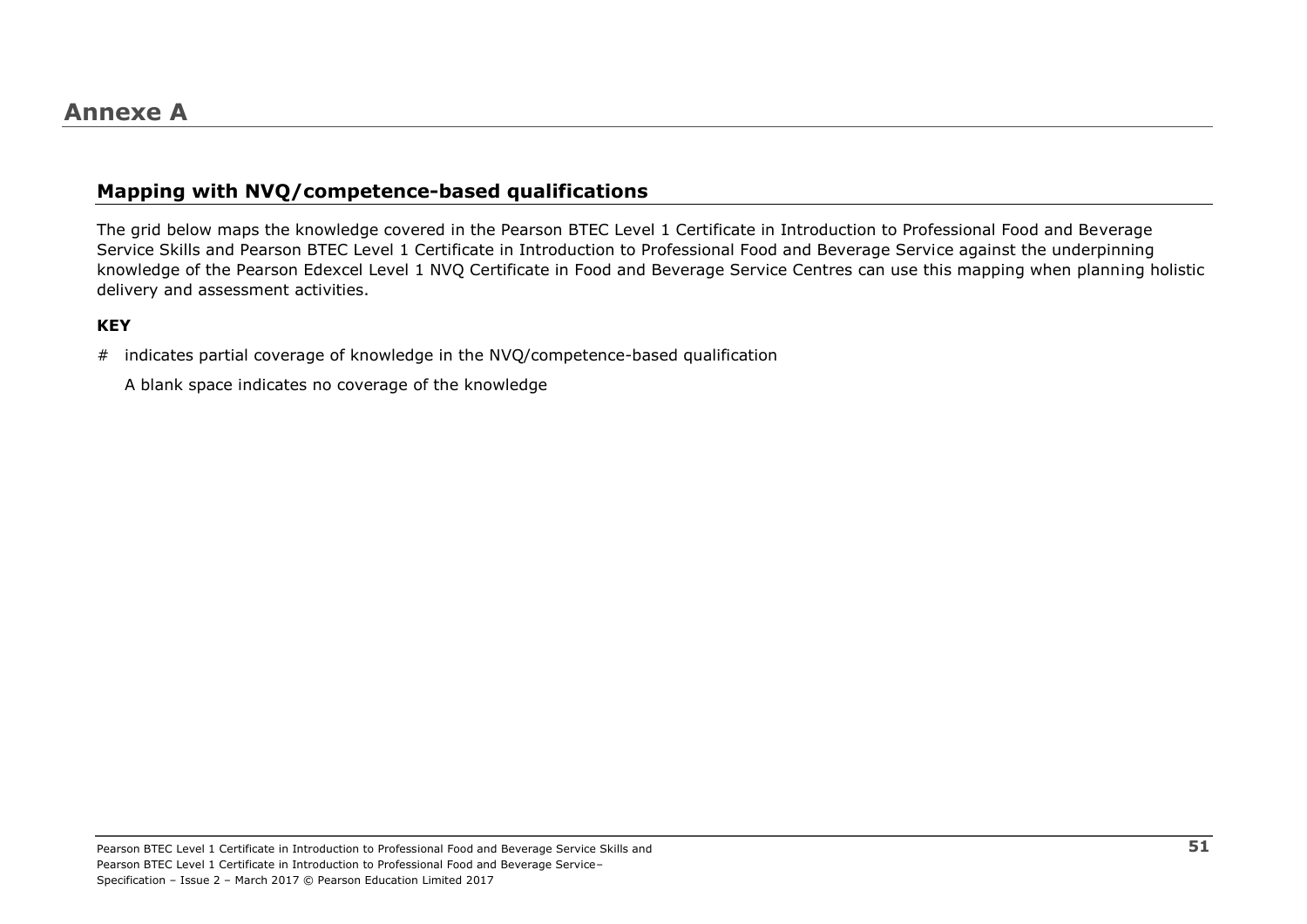#### **Mapping with NVQ/competence-based qualifications**

The grid below maps the knowledge covered in the Pearson BTEC Level 1 Certificate in Introduction to Professional Food and Beverage Service Skills and Pearson BTEC Level 1 Certificate in Introduction to Professional Food and Beverage Service against the underpinning knowledge of the Pearson Edexcel Level 1 NVQ Certificate in Food and Beverage Service Centres can use this mapping when planning holistic delivery and assessment activities.

#### **KEY**

# indicates partial coverage of knowledge in the NVQ/competence-based qualification

A blank space indicates no coverage of the knowledge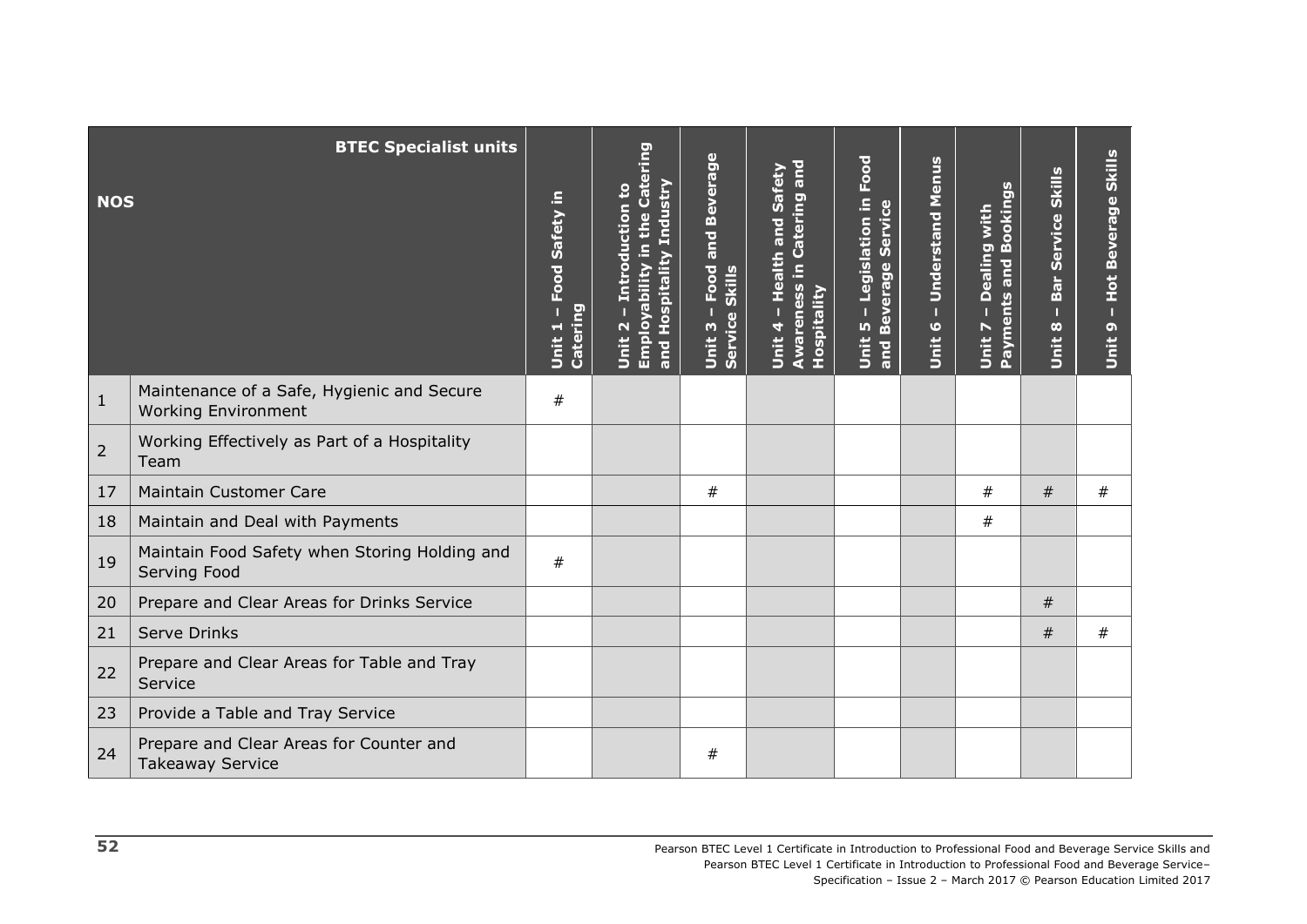| <b>NOS</b>     | <b>BTEC Specialist units</b>                                             | ood Safety in<br>π,<br>Catering<br>Unit 1 | <b>Employability in the Catering</b><br>and Hospitality Industry<br>Introduction to<br>Unit 2 | Food and Beverage<br>Skills<br>Service<br>Unit 3 | Catering and<br>Safety<br><b>Dule</b><br>Health<br>Awareness in<br>Hospitality<br>Unit 4 | Food<br>Legislation in<br>and Beverage Service<br><b>In</b><br>Unit ! | <b>Understand Menus</b><br>т<br>Unit 6 | Payments and Bookings<br>Dealing with<br>Unit 7 | Skills<br>Service<br>Bar<br>$\infty$<br>jnit | Skills<br><b>Hot Beverage</b><br>$\sigma$<br>Unit |
|----------------|--------------------------------------------------------------------------|-------------------------------------------|-----------------------------------------------------------------------------------------------|--------------------------------------------------|------------------------------------------------------------------------------------------|-----------------------------------------------------------------------|----------------------------------------|-------------------------------------------------|----------------------------------------------|---------------------------------------------------|
| $\,1\,$        | Maintenance of a Safe, Hygienic and Secure<br><b>Working Environment</b> | #                                         |                                                                                               |                                                  |                                                                                          |                                                                       |                                        |                                                 |                                              |                                                   |
| $\overline{2}$ | Working Effectively as Part of a Hospitality<br>Team                     |                                           |                                                                                               |                                                  |                                                                                          |                                                                       |                                        |                                                 |                                              |                                                   |
| 17             | <b>Maintain Customer Care</b>                                            |                                           |                                                                                               | $\#$                                             |                                                                                          |                                                                       |                                        | #                                               | #                                            | #                                                 |
| 18             | Maintain and Deal with Payments                                          |                                           |                                                                                               |                                                  |                                                                                          |                                                                       |                                        | #                                               |                                              |                                                   |
| 19             | Maintain Food Safety when Storing Holding and<br>Serving Food            | #                                         |                                                                                               |                                                  |                                                                                          |                                                                       |                                        |                                                 |                                              |                                                   |
| 20             | Prepare and Clear Areas for Drinks Service                               |                                           |                                                                                               |                                                  |                                                                                          |                                                                       |                                        |                                                 | #                                            |                                                   |
| 21             | Serve Drinks                                                             |                                           |                                                                                               |                                                  |                                                                                          |                                                                       |                                        |                                                 | #                                            | $^{\#}$                                           |
| 22             | Prepare and Clear Areas for Table and Tray<br>Service                    |                                           |                                                                                               |                                                  |                                                                                          |                                                                       |                                        |                                                 |                                              |                                                   |
| 23             | Provide a Table and Tray Service                                         |                                           |                                                                                               |                                                  |                                                                                          |                                                                       |                                        |                                                 |                                              |                                                   |
| 24             | Prepare and Clear Areas for Counter and<br><b>Takeaway Service</b>       |                                           |                                                                                               | $\#$                                             |                                                                                          |                                                                       |                                        |                                                 |                                              |                                                   |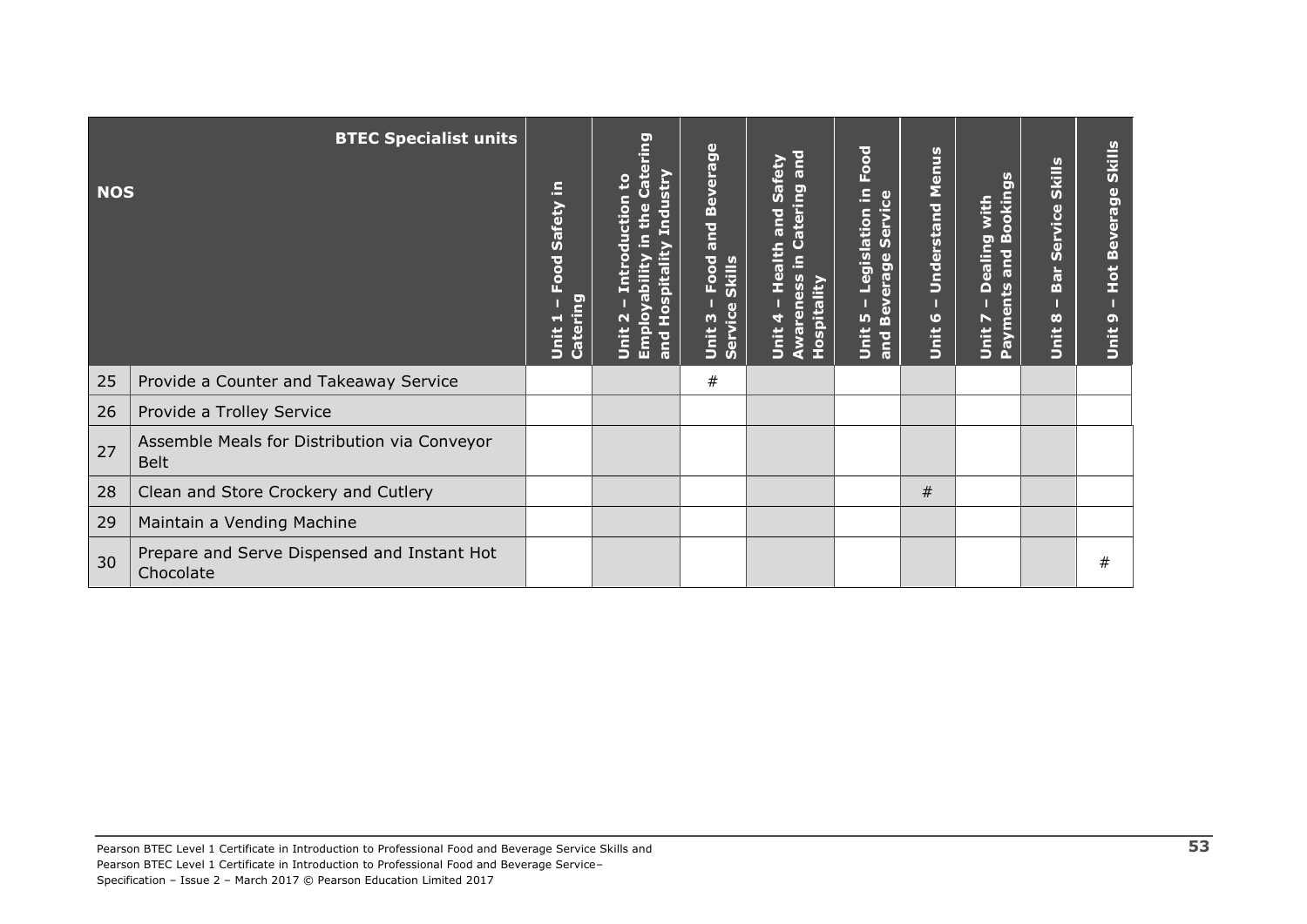| <b>BTEC Specialist units</b><br><b>NOS</b> |                                                             | 드<br>Safety<br>Food<br>Catering<br>Unit 1 | Catering<br>Industry<br>$\mathbf{e}$<br>duction<br>the<br>£.<br>and Hospitality<br>$\bullet$<br>Employability<br><b>Intr</b><br>$\frac{1}{2}$ | and Beverage<br>Food<br>Skills<br>$\omega$<br>Service<br>Unit 3 | <b>Dule</b><br><b>Safety</b><br>atering<br><b>Dure</b><br>σ<br>Health<br>Ξ.<br>Awareness<br>Hospitality<br>4<br>Unit | Food<br>$\Xi$<br>Service<br>Legislation<br><b>Beverage</b><br>Unit 5<br>and | <b>Understand Menus</b><br>Unit 6 | ookings<br>Dealing with<br>Ď<br>and<br>Payments<br>$\blacktriangleright$<br>Unit | Skills<br>Service<br>Bar<br>$\infty$<br>jinit | Skills<br><b>Beverage</b><br>Hot<br>മ<br>Unit |
|--------------------------------------------|-------------------------------------------------------------|-------------------------------------------|-----------------------------------------------------------------------------------------------------------------------------------------------|-----------------------------------------------------------------|----------------------------------------------------------------------------------------------------------------------|-----------------------------------------------------------------------------|-----------------------------------|----------------------------------------------------------------------------------|-----------------------------------------------|-----------------------------------------------|
| 25                                         | Provide a Counter and Takeaway Service                      |                                           |                                                                                                                                               | $\#$                                                            |                                                                                                                      |                                                                             |                                   |                                                                                  |                                               |                                               |
| 26                                         | Provide a Trolley Service                                   |                                           |                                                                                                                                               |                                                                 |                                                                                                                      |                                                                             |                                   |                                                                                  |                                               |                                               |
| 27                                         | Assemble Meals for Distribution via Conveyor<br><b>Belt</b> |                                           |                                                                                                                                               |                                                                 |                                                                                                                      |                                                                             |                                   |                                                                                  |                                               |                                               |
| 28                                         | Clean and Store Crockery and Cutlery                        |                                           |                                                                                                                                               |                                                                 |                                                                                                                      |                                                                             | #                                 |                                                                                  |                                               |                                               |
| 29                                         | Maintain a Vending Machine                                  |                                           |                                                                                                                                               |                                                                 |                                                                                                                      |                                                                             |                                   |                                                                                  |                                               |                                               |
| 30                                         | Prepare and Serve Dispensed and Instant Hot<br>Chocolate    |                                           |                                                                                                                                               |                                                                 |                                                                                                                      |                                                                             |                                   |                                                                                  |                                               | $\#$                                          |